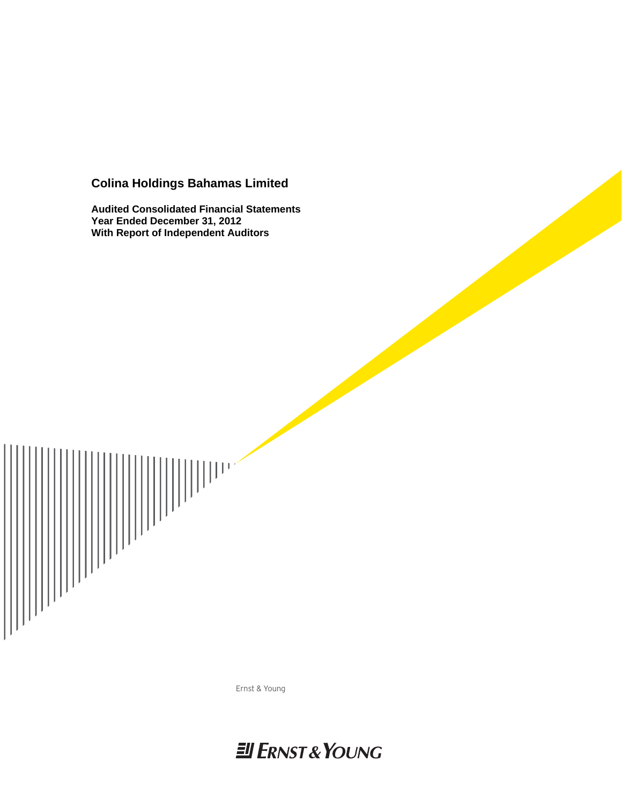**Colina Holdings Bahamas Limited** 

**Audited Consolidated Financial Statements Year Ended December 31, 2012 With Report of Independent Auditors** 

Ernst & Young

**Ell ERNST & YOUNG**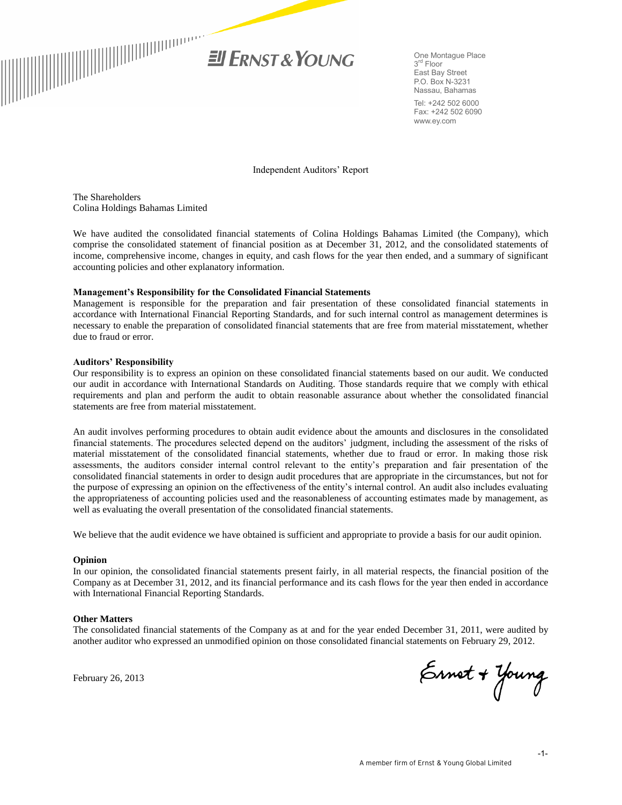

One Montague Place 3 rd Floor East Bay Street P.O. Box N-3231 Nassau, Bahamas Tel: +242 502 6000 Fax: +242 502 6090 www.ey.com

Independent Auditors' Report

The Shareholders Colina Holdings Bahamas Limited

We have audited the consolidated financial statements of Colina Holdings Bahamas Limited (the Company), which comprise the consolidated statement of financial position as at December 31, 2012, and the consolidated statements of income, comprehensive income, changes in equity, and cash flows for the year then ended, and a summary of significant accounting policies and other explanatory information.

#### **Management's Responsibility for the Consolidated Financial Statements**

Management is responsible for the preparation and fair presentation of these consolidated financial statements in accordance with International Financial Reporting Standards, and for such internal control as management determines is necessary to enable the preparation of consolidated financial statements that are free from material misstatement, whether due to fraud or error.

#### **Auditors' Responsibility**

Our responsibility is to express an opinion on these consolidated financial statements based on our audit. We conducted our audit in accordance with International Standards on Auditing. Those standards require that we comply with ethical requirements and plan and perform the audit to obtain reasonable assurance about whether the consolidated financial statements are free from material misstatement.

An audit involves performing procedures to obtain audit evidence about the amounts and disclosures in the consolidated financial statements. The procedures selected depend on the auditors' judgment, including the assessment of the risks of material misstatement of the consolidated financial statements, whether due to fraud or error. In making those risk assessments, the auditors consider internal control relevant to the entity's preparation and fair presentation of the consolidated financial statements in order to design audit procedures that are appropriate in the circumstances, but not for the purpose of expressing an opinion on the effectiveness of the entity's internal control. An audit also includes evaluating the appropriateness of accounting policies used and the reasonableness of accounting estimates made by management, as well as evaluating the overall presentation of the consolidated financial statements.

We believe that the audit evidence we have obtained is sufficient and appropriate to provide a basis for our audit opinion.

#### **Opinion**

In our opinion, the consolidated financial statements present fairly, in all material respects, the financial position of the Company as at December 31, 2012, and its financial performance and its cash flows for the year then ended in accordance with International Financial Reporting Standards.

#### **Other Matters**

The consolidated financial statements of the Company as at and for the year ended December 31, 2011, were audited by another auditor who expressed an unmodified opinion on those consolidated financial statements on February 29, 2012.

February 26, 2013

Ernet + Young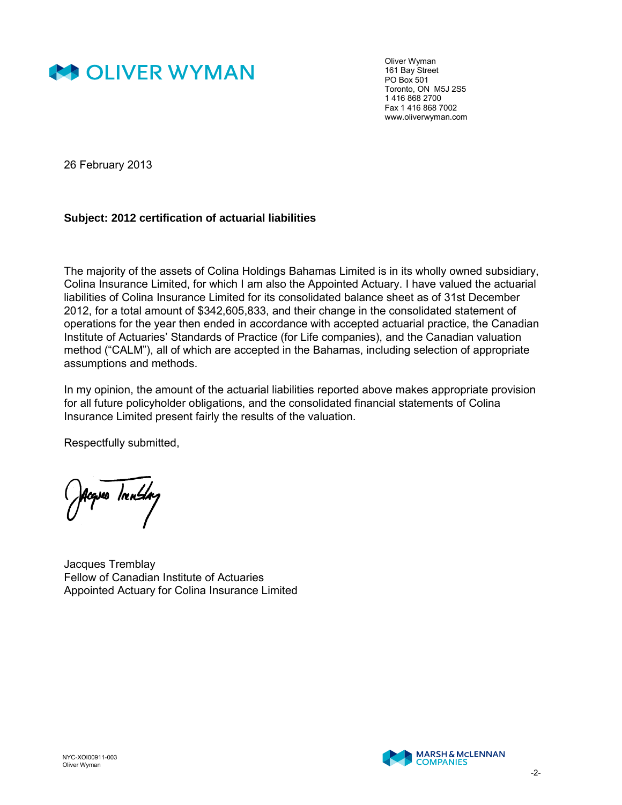

Oliver Wyman 161 Bay Street PO Box 501 Toronto, ON M5J 2S5 1 416 868 2700 Fax 1 416 868 7002 www.oliverwyman.com

26 February 2013

# **Subject: 2012 certification of actuarial liabilities**

The majority of the assets of Colina Holdings Bahamas Limited is in its wholly owned subsidiary, Colina Insurance Limited, for which I am also the Appointed Actuary. I have valued the actuarial liabilities of Colina Insurance Limited for its consolidated balance sheet as of 31st December 2012, for a total amount of \$342,605,833, and their change in the consolidated statement of operations for the year then ended in accordance with accepted actuarial practice, the Canadian Institute of Actuaries' Standards of Practice (for Life companies), and the Canadian valuation method ("CALM"), all of which are accepted in the Bahamas, including selection of appropriate assumptions and methods.

In my opinion, the amount of the actuarial liabilities reported above makes appropriate provision for all future policyholder obligations, and the consolidated financial statements of Colina Insurance Limited present fairly the results of the valuation.

Respectfully submitted,

papeo Inn*ha*y

Jacques Tremblay Fellow of Canadian Institute of Actuaries Appointed Actuary for Colina Insurance Limited

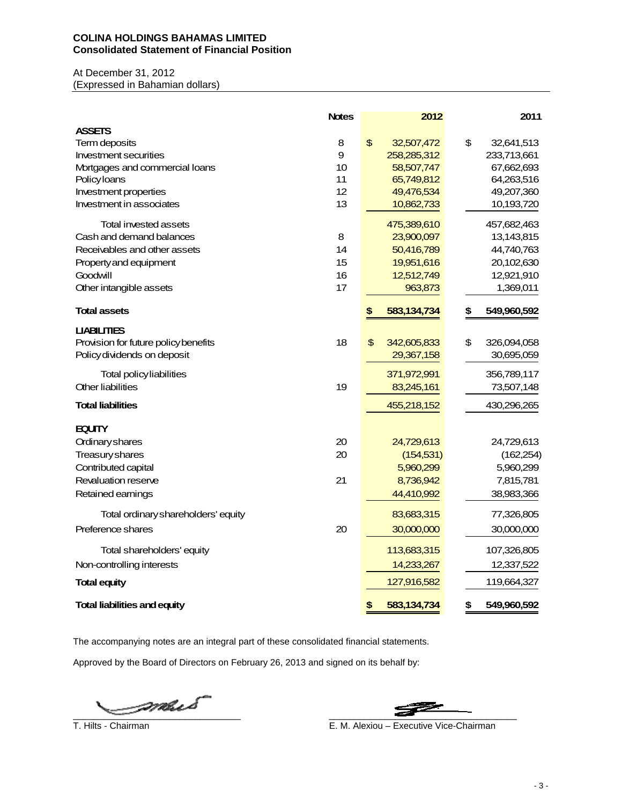## **COLINA HOLDINGS BAHAMAS LIMITED Consolidated Statement of Financial Position**

## At December 31, 2012 (Expressed in Bahamian dollars)

|                                      | <b>Notes</b> | 2012              | 2011              |
|--------------------------------------|--------------|-------------------|-------------------|
| <b>ASSETS</b>                        |              |                   |                   |
| Term deposits                        | 8            | \$<br>32,507,472  | \$<br>32,641,513  |
| <b>Investment securities</b>         | 9            | 258,285,312       | 233,713,661       |
| Mortgages and commercial loans       | 10           | 58,507,747        | 67,662,693        |
| Policy loans                         | 11           | 65,749,812        | 64,263,516        |
| Investment properties                | 12           | 49,476,534        | 49,207,360        |
| Investment in associates             | 13           | 10,862,733        | 10,193,720        |
| <b>Total invested assets</b>         |              | 475,389,610       | 457,682,463       |
| Cash and demand balances             | 8            | 23,900,097        | 13,143,815        |
| Receivables and other assets         | 14           | 50,416,789        | 44,740,763        |
| Property and equipment               | 15           | 19,951,616        | 20,102,630        |
| Goodwill                             | 16           | 12,512,749        | 12,921,910        |
| Other intangible assets              | 17           | 963,873           | 1,369,011         |
| <b>Total assets</b>                  |              | 583,134,734       | 549,960,592       |
| <b>UABILITIES</b>                    |              |                   |                   |
| Provision for future policy benefits | 18           | \$<br>342,605,833 | \$<br>326,094,058 |
| Policy dividends on deposit          |              | 29,367,158        | 30,695,059        |
| Total policy liabilities             |              | 371,972,991       | 356,789,117       |
| Other liabilities                    | 19           | 83,245,161        | 73,507,148        |
| <b>Total liabilities</b>             |              | 455,218,152       | 430,296,265       |
| <b>EQUITY</b>                        |              |                   |                   |
| <b>Ordinary shares</b>               | 20           | 24,729,613        | 24,729,613        |
| <b>Treasury shares</b>               | 20           | (154, 531)        | (162, 254)        |
| Contributed capital                  |              | 5,960,299         | 5,960,299         |
| Revaluation reserve                  | 21           | 8,736,942         | 7,815,781         |
| Retained earnings                    |              | 44,410,992        | 38,983,366        |
| Total ordinary shareholders' equity  |              | 83,683,315        | 77,326,805        |
|                                      |              |                   |                   |
| Preference shares                    | 20           | 30,000,000        | 30,000,000        |
| Total shareholders' equity           |              | 113,683,315       | 107,326,805       |
| Non-controlling interests            |              | 14,233,267        | 12,337,522        |
| <b>Total equity</b>                  |              | 127,916,582       | 119,664,327       |
| <b>Total liabilities and equity</b>  |              | 583,134,734<br>\$ | \$<br>549,960,592 |

The accompanying notes are an integral part of these consolidated financial statements.

Approved by the Board of Directors on February 26, 2013 and signed on its behalf by:

 $\frac{1}{2}$  ,  $\frac{1}{2}$  ,  $\frac{1}{2}$  ,  $\frac{1}{2}$  ,  $\frac{1}{2}$  ,  $\frac{1}{2}$  ,  $\frac{1}{2}$  ,  $\frac{1}{2}$  ,  $\frac{1}{2}$  ,  $\frac{1}{2}$  ,  $\frac{1}{2}$  ,  $\frac{1}{2}$  ,  $\frac{1}{2}$  ,  $\frac{1}{2}$  ,  $\frac{1}{2}$  ,  $\frac{1}{2}$  ,  $\frac{1}{2}$  ,  $\frac{1}{2}$  ,  $\frac{1$ 

T. Hilts - Chairman **E. M. Alexiou – Executive Vice-Chairman**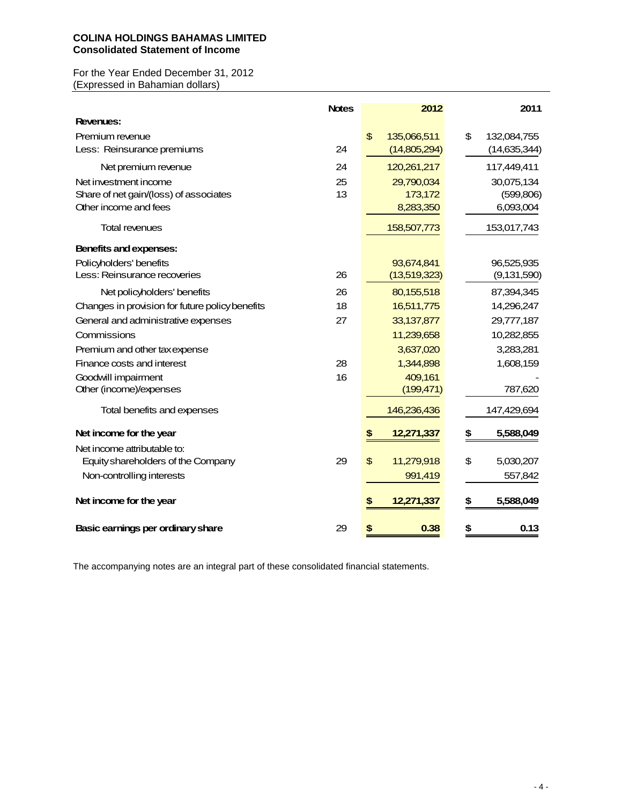## **COLINA HOLDINGS BAHAMAS LIMITED Consolidated Statement of Income**

For the Year Ended December 31, 2012 (Expressed in Bahamian dollars)

|                                                 | <b>Notes</b> | 2012                          |    | 2011          |
|-------------------------------------------------|--------------|-------------------------------|----|---------------|
| <b>Revenues:</b>                                |              |                               |    |               |
| Premium revenue                                 |              | $\mathfrak{L}$<br>135,066,511 | \$ | 132,084,755   |
| Less: Reinsurance premiums                      | 24           | (14,805,294)                  |    | (14,635,344)  |
| Net premium revenue                             | 24           | 120,261,217                   |    | 117,449,411   |
| Net investment income                           | 25           | 29,790,034                    |    | 30,075,134    |
| Share of net gain/(loss) of associates          | 13           | 173,172                       |    | (599, 806)    |
| Other income and fees                           |              | 8,283,350                     |    | 6,093,004     |
| Total revenues                                  |              | 158,507,773                   |    | 153,017,743   |
| Benefits and expenses:                          |              |                               |    |               |
| Policyholders' benefits                         |              | 93,674,841                    |    | 96,525,935    |
| Less: Reinsurance recoveries                    | 26           | (13,519,323)                  |    | (9, 131, 590) |
| Net policyholders' benefits                     | 26           | 80,155,518                    |    | 87,394,345    |
| Changes in provision for future policy benefits | 18           | 16,511,775                    |    | 14,296,247    |
| General and administrative expenses             | 27           | 33,137,877                    |    | 29,777,187    |
| Commissions                                     |              | 11,239,658                    |    | 10,282,855    |
| Premium and other tax expense                   |              | 3,637,020                     |    | 3,283,281     |
| Finance costs and interest                      | 28           | 1,344,898                     |    | 1,608,159     |
| Goodwill impairment                             | 16           | 409,161                       |    |               |
| Other (income)/expenses                         |              | (199, 471)                    |    | 787,620       |
| Total benefits and expenses                     |              | 146,236,436                   |    | 147,429,694   |
| Net income for the year                         |              | 12,271,337                    |    | 5,588,049     |
| Net income attributable to:                     |              |                               |    |               |
| Equity shareholders of the Company              | 29           | 11,279,918<br>\$              | \$ | 5,030,207     |
| Non-controlling interests                       |              | 991,419                       |    | 557,842       |
| Net income for the year                         |              | 12,271,337                    |    | 5,588,049     |
| Basic earnings per ordinary share               | 29           | 0.38<br>S                     | S  | 0.13          |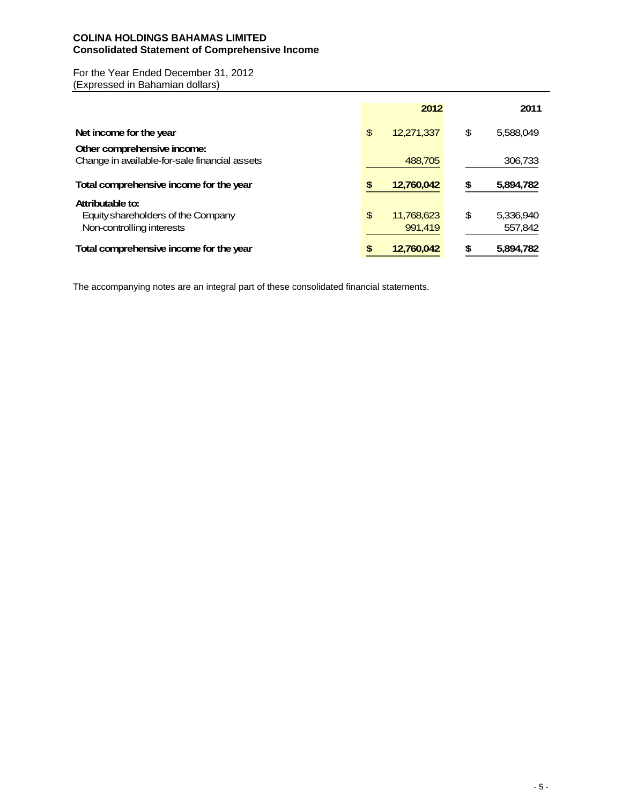# **COLINA HOLDINGS BAHAMAS LIMITED Consolidated Statement of Comprehensive Income**

For the Year Ended December 31, 2012 (Expressed in Bahamian dollars)

|                                               | 2012             | 2011            |
|-----------------------------------------------|------------------|-----------------|
| Net income for the year                       | \$<br>12,271,337 | \$<br>5,588,049 |
| Other comprehensive income:                   |                  |                 |
| Change in available-for-sale financial assets | 488,705          | 306,733         |
| Total comprehensive income for the year       | 12,760,042       | 5,894,782       |
| Attributable to:                              |                  |                 |
| Equity shareholders of the Company            | \$<br>11,768,623 | \$<br>5,336,940 |
| Non-controlling interests                     | 991,419          | 557,842         |
| Total comprehensive income for the year       | 12.760.042       | 5,894,782       |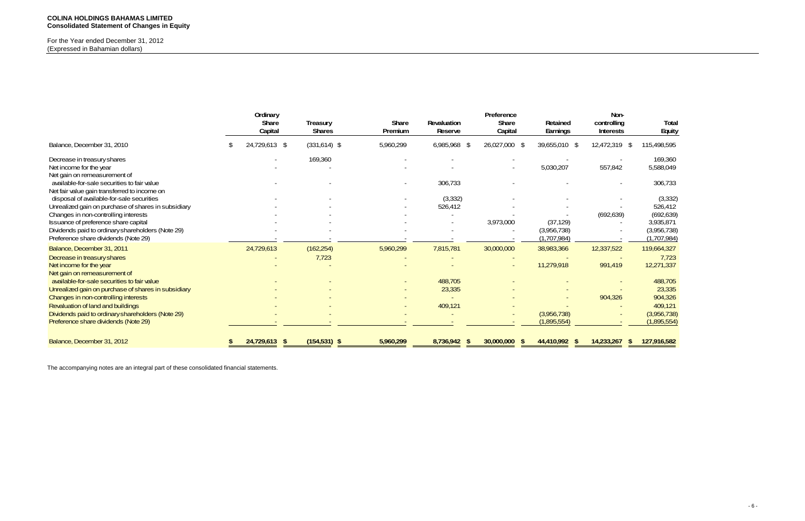|                                                     | Ordinary<br><b>Share</b><br>Capital | <b>Treasury</b><br><b>Shares</b> | <b>Share</b><br>Premium  | <b>Revaluation</b><br><b>Reserve</b> | Preference<br><b>Share</b><br>Capital | <b>Retained</b><br>Earnings | Non-<br>controlling<br><b>Interests</b> | <b>Total</b><br><b>Equity</b> |
|-----------------------------------------------------|-------------------------------------|----------------------------------|--------------------------|--------------------------------------|---------------------------------------|-----------------------------|-----------------------------------------|-------------------------------|
| Balance, December 31, 2010                          | 24,729,613 \$                       | $(331, 614)$ \$                  | 5,960,299                | 6,985,968 \$                         | 26,027,000 \$                         | 39,655,010 \$               | 12,472,319 \$                           | 115,498,595                   |
| Decrease in treasury shares                         |                                     | 169,360                          |                          |                                      |                                       |                             |                                         | 169,360                       |
| Net income for the year                             |                                     |                                  |                          |                                      |                                       | 5,030,207                   | 557,842                                 | 5,588,049                     |
| Net gain on remeasurement of                        |                                     |                                  |                          |                                      |                                       |                             |                                         |                               |
| available-for-sale securities to fair value         |                                     |                                  | $\overline{\phantom{a}}$ | 306,733                              |                                       |                             |                                         | 306,733                       |
| Net fair value gain transferred to income on        |                                     |                                  |                          |                                      |                                       |                             |                                         |                               |
| disposal of available-for-sale securities           |                                     |                                  |                          | (3,332)                              |                                       |                             |                                         | (3, 332)                      |
| Unrealized gain on purchase of shares in subsidiary |                                     |                                  |                          | 526,412                              |                                       |                             |                                         | 526,412                       |
| Changes in non-controlling interests                |                                     |                                  |                          |                                      |                                       |                             | (692, 639)                              | (692, 639)                    |
| Issuance of preference share capital                |                                     |                                  |                          |                                      | 3,973,000                             | (37, 129)                   |                                         | 3,935,871                     |
| Dividends paid to ordinary shareholders (Note 29)   |                                     |                                  |                          |                                      |                                       | (3,956,738)                 |                                         | (3,956,738)                   |
| Preference share dividends (Note 29)                |                                     |                                  |                          |                                      |                                       | (1,707,984)                 |                                         | (1,707,984)                   |
| Balance, December 31, 2011                          | 24,729,613                          | (162, 254)                       | 5,960,299                | 7,815,781                            | 30,000,000                            | 38,983,366                  | 12,337,522                              | 119,664,327                   |
| Decrease in treasury shares                         |                                     | 7,723                            |                          |                                      |                                       |                             |                                         | 7,723                         |
| Net income for the year                             |                                     |                                  |                          |                                      |                                       | 11,279,918                  | 991,419                                 | 12,271,337                    |
| Net gain on remeasurement of                        |                                     |                                  |                          |                                      |                                       |                             |                                         |                               |
| available-for-sale securities to fair value         |                                     |                                  |                          | 488,705                              |                                       |                             |                                         | 488,705                       |
| Unrealized gain on purchase of shares in subsidiary |                                     |                                  |                          | 23,335                               |                                       |                             |                                         | 23,335                        |
| Changes in non-controlling interests                |                                     |                                  |                          |                                      |                                       |                             | 904,326                                 | 904,326                       |
| Revaluation of land and buildings                   |                                     |                                  |                          | 409,121                              |                                       |                             |                                         | 409,121                       |
| Dividends paid to ordinary shareholders (Note 29)   |                                     |                                  |                          |                                      |                                       | (3,956,738)                 |                                         | (3,956,738)                   |
| Preference share dividends (Note 29)                |                                     |                                  |                          |                                      |                                       | (1,895,554)                 |                                         | (1,895,554)                   |
| Balance, December 31, 2012                          | 24,729,613 \$                       | $(154, 531)$ \$                  | 5,960,299                | 8,736,942 \$                         | 30,000,000                            | 44,410,992<br>- \$          | 14,233,267<br>- \$                      | 127,916,582                   |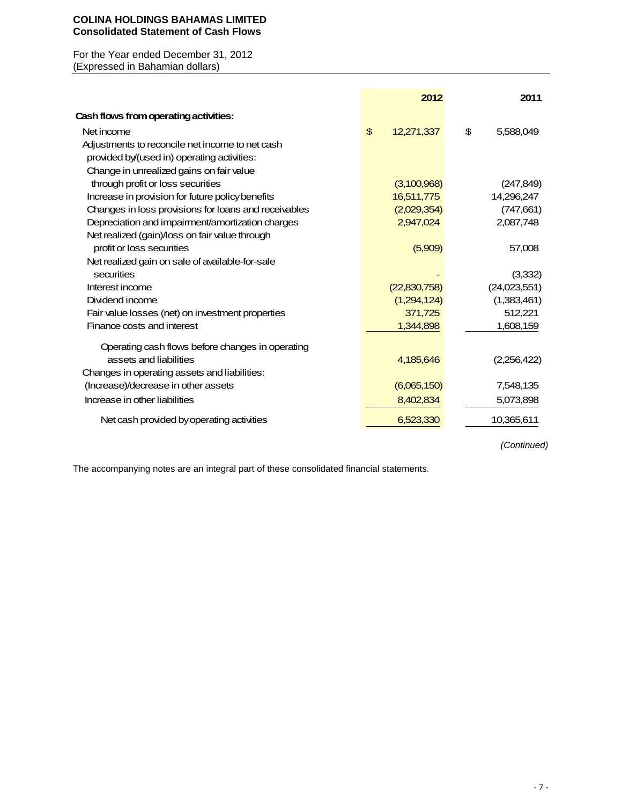## **COLINA HOLDINGS BAHAMAS LIMITED Consolidated Statement of Cash Flows**

For the Year ended December 31, 2012 (Expressed in Bahamian dollars)

|                                                      | 2012                         | 2011            |
|------------------------------------------------------|------------------------------|-----------------|
| Cash flows from operating activities:                |                              |                 |
| Net income                                           | $\mathfrak{L}$<br>12,271,337 | \$<br>5,588,049 |
| Adjustments to reconcile net income to net cash      |                              |                 |
| provided by (used in) operating activities:          |                              |                 |
| Change in unrealized gains on fair value             |                              |                 |
| through profit or loss securities                    | (3,100,968)                  | (247, 849)      |
| Increase in provision for future policy benefits     | 16,511,775                   | 14,296,247      |
| Changes in loss provisions for loans and receivables | (2,029,354)                  | (747, 661)      |
| Depreciation and impairment/amortization charges     | 2,947,024                    | 2,087,748       |
| Net realized (gain)/loss on fair value through       |                              |                 |
| profit or loss securities                            | (5,909)                      | 57,008          |
| Net realized gain on sale of available-for-sale      |                              |                 |
| securities                                           |                              | (3,332)         |
| Interest income                                      | (22,830,758)                 | (24,023,551)    |
| Dividend income                                      | (1,294,124)                  | (1,383,461)     |
| Fair value losses (net) on investment properties     | 371,725                      | 512,221         |
| Finance costs and interest                           | 1,344,898                    | 1,608,159       |
| Operating cash flows before changes in operating     |                              |                 |
| assets and liabilities                               | 4,185,646                    | (2,256,422)     |
| Changes in operating assets and liabilities:         |                              |                 |
| (Increase)/decrease in other assets                  | (6,065,150)                  | 7,548,135       |
| Increase in other liabilities                        | 8,402,834                    | 5,073,898       |
| Net cash provided by operating activities            | 6,523,330                    | 10,365,611      |

*(Continued)*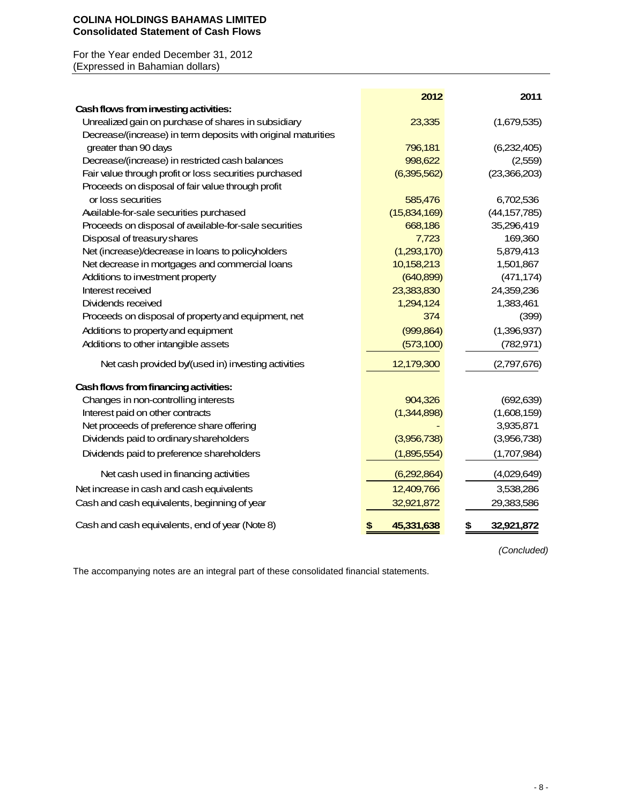## **COLINA HOLDINGS BAHAMAS LIMITED Consolidated Statement of Cash Flows**

For the Year ended December 31, 2012 (Expressed in Bahamian dollars)

|                                                               | 2012             | 2011             |
|---------------------------------------------------------------|------------------|------------------|
| Cash flows from investing activities:                         |                  |                  |
| Unrealized gain on purchase of shares in subsidiary           | 23,335           | (1,679,535)      |
| Decrease/(increase) in term deposits with original maturities |                  |                  |
| greater than 90 days                                          | 796,181          | (6,232,405)      |
| Decrease/(increase) in restricted cash balances               | 998,622          | (2,559)          |
| Fair value through profit or loss securities purchased        | (6,395,562)      | (23,366,203)     |
| Proceeds on disposal of fair value through profit             |                  |                  |
| or loss securities                                            | 585,476          | 6,702,536        |
| Available-for-sale securities purchased                       | (15,834,169)     | (44, 157, 785)   |
| Proceeds on disposal of available-for-sale securities         | 668,186          | 35,296,419       |
| Disposal of treasury shares                                   | 7,723            | 169,360          |
| Net (increase)/decrease in loans to policyholders             | (1,293,170)      | 5,879,413        |
| Net decrease in mortgages and commercial loans                | 10,158,213       | 1,501,867        |
| Additions to investment property                              | (640, 899)       | (471, 174)       |
| Interest received                                             | 23,383,830       | 24,359,236       |
| Dividends received                                            | 1,294,124        | 1,383,461        |
| Proceeds on disposal of property and equipment, net           | 374              | (399)            |
| Additions to property and equipment                           | (999, 864)       | (1,396,937)      |
| Additions to other intangible assets                          | (573, 100)       | (782, 971)       |
| Net cash provided by (used in) investing activities           | 12,179,300       | (2,797,676)      |
| Cash flows from financing activities:                         |                  |                  |
| Changes in non-controlling interests                          | 904,326          | (692, 639)       |
| Interest paid on other contracts                              | (1,344,898)      | (1,608,159)      |
| Net proceeds of preference share offering                     |                  | 3,935,871        |
| Dividends paid to ordinary shareholders                       | (3,956,738)      | (3,956,738)      |
| Dividends paid to preference shareholders                     | (1,895,554)      | (1,707,984)      |
| Net cash used in financing activities                         | (6,292,864)      | (4,029,649)      |
| Net increase in cash and cash equivalents                     | 12,409,766       | 3,538,286        |
| Cash and cash equivalents, beginning of year                  | 32,921,872       | 29,383,586       |
| Cash and cash equivalents, end of year (Note 8)               | 45,331,638<br>\$ | \$<br>32,921,872 |

*(Concluded)*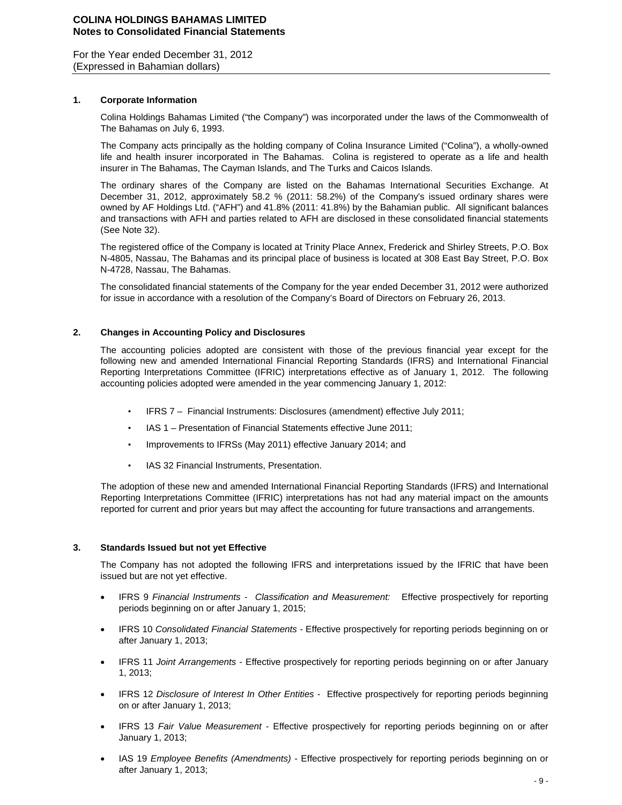### **1. Corporate Information**

Colina Holdings Bahamas Limited ("the Company") was incorporated under the laws of the Commonwealth of The Bahamas on July 6, 1993.

The Company acts principally as the holding company of Colina Insurance Limited ("Colina"), a wholly-owned life and health insurer incorporated in The Bahamas. Colina is registered to operate as a life and health insurer in The Bahamas, The Cayman Islands, and The Turks and Caicos Islands.

The ordinary shares of the Company are listed on the Bahamas International Securities Exchange. At December 31, 2012, approximately 58.2 % (2011: 58.2%) of the Company's issued ordinary shares were owned by AF Holdings Ltd. ("AFH") and 41.8% (2011: 41.8%) by the Bahamian public. All significant balances and transactions with AFH and parties related to AFH are disclosed in these consolidated financial statements (See Note 32).

The registered office of the Company is located at Trinity Place Annex, Frederick and Shirley Streets, P.O. Box N-4805, Nassau, The Bahamas and its principal place of business is located at 308 East Bay Street, P.O. Box N-4728, Nassau, The Bahamas.

The consolidated financial statements of the Company for the year ended December 31, 2012 were authorized for issue in accordance with a resolution of the Company's Board of Directors on February 26, 2013.

### **2. Changes in Accounting Policy and Disclosures**

The accounting policies adopted are consistent with those of the previous financial year except for the following new and amended International Financial Reporting Standards (IFRS) and International Financial Reporting Interpretations Committee (IFRIC) interpretations effective as of January 1, 2012. The following accounting policies adopted were amended in the year commencing January 1, 2012:

- IFRS 7 Financial Instruments: Disclosures (amendment) effective July 2011;
- IAS 1 Presentation of Financial Statements effective June 2011;
- Improvements to IFRSs (May 2011) effective January 2014; and
- IAS 32 Financial Instruments, Presentation.

The adoption of these new and amended International Financial Reporting Standards (IFRS) and International Reporting Interpretations Committee (IFRIC) interpretations has not had any material impact on the amounts reported for current and prior years but may affect the accounting for future transactions and arrangements.

### **3. Standards Issued but not yet Effective**

The Company has not adopted the following IFRS and interpretations issued by the IFRIC that have been issued but are not yet effective.

- IFRS 9 *Financial Instruments Classification and Measurement:* Effective prospectively for reporting periods beginning on or after January 1, 2015;
- IFRS 10 *Consolidated Financial Statements* Effective prospectively for reporting periods beginning on or after January 1, 2013;
- IFRS 11 *Joint Arrangements* Effective prospectively for reporting periods beginning on or after January 1, 2013;
- IFRS 12 *Disclosure of Interest In Other Entities* Effective prospectively for reporting periods beginning on or after January 1, 2013;
- IFRS 13 *Fair Value Measurement* Effective prospectively for reporting periods beginning on or after January 1, 2013;
- IAS 19 *Employee Benefits (Amendments)* Effective prospectively for reporting periods beginning on or after January 1, 2013;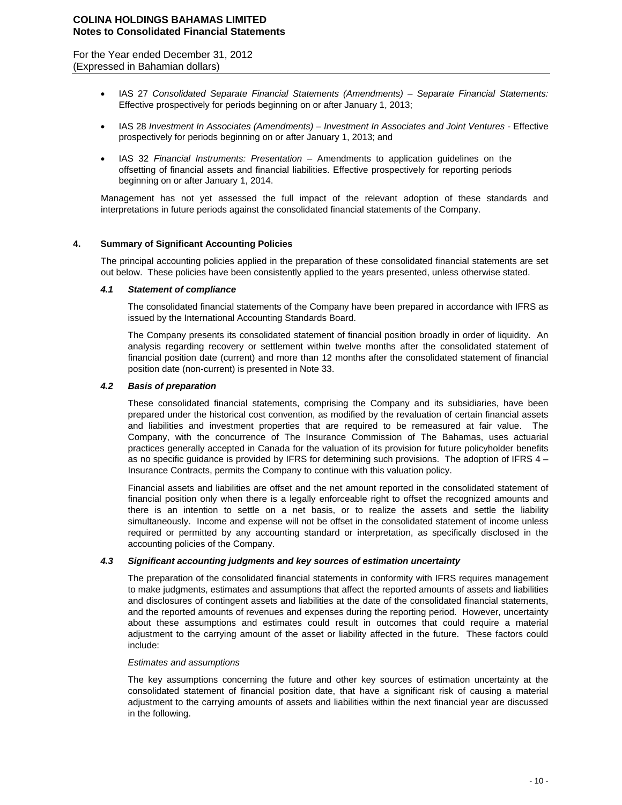For the Year ended December 31, 2012 (Expressed in Bahamian dollars)

- IAS 27 *Consolidated Separate Financial Statements (Amendments) Separate Financial Statements:*  Effective prospectively for periods beginning on or after January 1, 2013;
- IAS 28 Investment In Associates (Amendments) Investment In Associates and Joint Ventures Effective prospectively for periods beginning on or after January 1, 2013; and
- IAS 32 *Financial Instruments: Presentation* Amendments to application guidelines on the offsetting of financial assets and financial liabilities. Effective prospectively for reporting periods beginning on or after January 1, 2014.

Management has not yet assessed the full impact of the relevant adoption of these standards and interpretations in future periods against the consolidated financial statements of the Company.

## **4. Summary of Significant Accounting Policies**

The principal accounting policies applied in the preparation of these consolidated financial statements are set out below. These policies have been consistently applied to the years presented, unless otherwise stated.

### *4.1 Statement of compliance*

The consolidated financial statements of the Company have been prepared in accordance with IFRS as issued by the International Accounting Standards Board.

The Company presents its consolidated statement of financial position broadly in order of liquidity. An analysis regarding recovery or settlement within twelve months after the consolidated statement of financial position date (current) and more than 12 months after the consolidated statement of financial position date (non-current) is presented in Note 33.

### *4.2 Basis of preparation*

These consolidated financial statements, comprising the Company and its subsidiaries, have been prepared under the historical cost convention, as modified by the revaluation of certain financial assets and liabilities and investment properties that are required to be remeasured at fair value. The Company, with the concurrence of The Insurance Commission of The Bahamas, uses actuarial practices generally accepted in Canada for the valuation of its provision for future policyholder benefits as no specific guidance is provided by IFRS for determining such provisions. The adoption of IFRS 4 – Insurance Contracts, permits the Company to continue with this valuation policy.

Financial assets and liabilities are offset and the net amount reported in the consolidated statement of financial position only when there is a legally enforceable right to offset the recognized amounts and there is an intention to settle on a net basis, or to realize the assets and settle the liability simultaneously. Income and expense will not be offset in the consolidated statement of income unless required or permitted by any accounting standard or interpretation, as specifically disclosed in the accounting policies of the Company.

### *4.3 Significant accounting judgments and key sources of estimation uncertainty*

The preparation of the consolidated financial statements in conformity with IFRS requires management to make judgments, estimates and assumptions that affect the reported amounts of assets and liabilities and disclosures of contingent assets and liabilities at the date of the consolidated financial statements, and the reported amounts of revenues and expenses during the reporting period. However, uncertainty about these assumptions and estimates could result in outcomes that could require a material adjustment to the carrying amount of the asset or liability affected in the future. These factors could include:

### *Estimates and assumptions*

The key assumptions concerning the future and other key sources of estimation uncertainty at the consolidated statement of financial position date, that have a significant risk of causing a material adjustment to the carrying amounts of assets and liabilities within the next financial year are discussed in the following.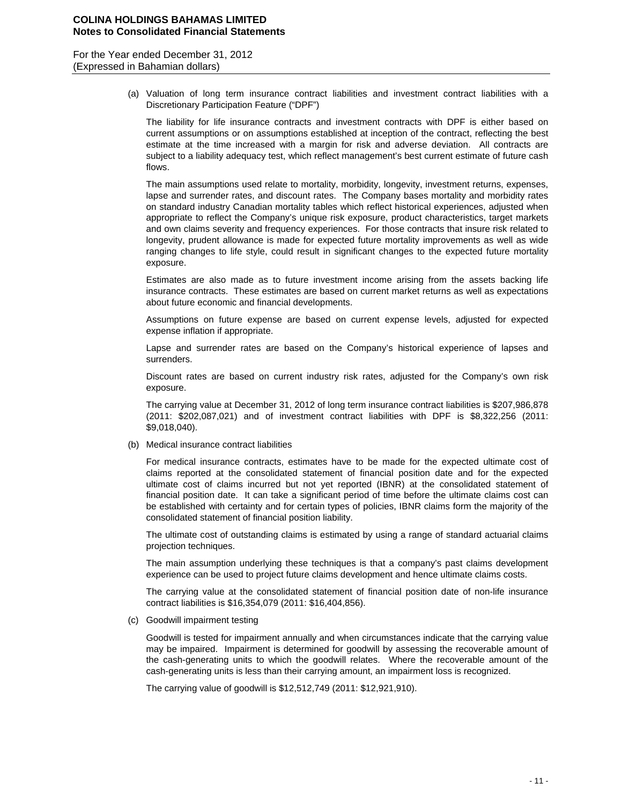> (a) Valuation of long term insurance contract liabilities and investment contract liabilities with a Discretionary Participation Feature ("DPF")

The liability for life insurance contracts and investment contracts with DPF is either based on current assumptions or on assumptions established at inception of the contract, reflecting the best estimate at the time increased with a margin for risk and adverse deviation. All contracts are subject to a liability adequacy test, which reflect management's best current estimate of future cash flows.

The main assumptions used relate to mortality, morbidity, longevity, investment returns, expenses, lapse and surrender rates, and discount rates. The Company bases mortality and morbidity rates on standard industry Canadian mortality tables which reflect historical experiences, adjusted when appropriate to reflect the Company's unique risk exposure, product characteristics, target markets and own claims severity and frequency experiences. For those contracts that insure risk related to longevity, prudent allowance is made for expected future mortality improvements as well as wide ranging changes to life style, could result in significant changes to the expected future mortality exposure.

Estimates are also made as to future investment income arising from the assets backing life insurance contracts. These estimates are based on current market returns as well as expectations about future economic and financial developments.

Assumptions on future expense are based on current expense levels, adjusted for expected expense inflation if appropriate.

Lapse and surrender rates are based on the Company's historical experience of lapses and surrenders.

Discount rates are based on current industry risk rates, adjusted for the Company's own risk exposure.

The carrying value at December 31, 2012 of long term insurance contract liabilities is \$207,986,878 (2011: \$202,087,021) and of investment contract liabilities with DPF is \$8,322,256 (2011: \$9,018,040).

(b) Medical insurance contract liabilities

For medical insurance contracts, estimates have to be made for the expected ultimate cost of claims reported at the consolidated statement of financial position date and for the expected ultimate cost of claims incurred but not yet reported (IBNR) at the consolidated statement of financial position date. It can take a significant period of time before the ultimate claims cost can be established with certainty and for certain types of policies, IBNR claims form the majority of the consolidated statement of financial position liability.

The ultimate cost of outstanding claims is estimated by using a range of standard actuarial claims projection techniques.

The main assumption underlying these techniques is that a company's past claims development experience can be used to project future claims development and hence ultimate claims costs.

The carrying value at the consolidated statement of financial position date of non-life insurance contract liabilities is \$16,354,079 (2011: \$16,404,856).

(c) Goodwill impairment testing

Goodwill is tested for impairment annually and when circumstances indicate that the carrying value may be impaired. Impairment is determined for goodwill by assessing the recoverable amount of the cash-generating units to which the goodwill relates. Where the recoverable amount of the cash-generating units is less than their carrying amount, an impairment loss is recognized.

The carrying value of goodwill is \$12,512,749 (2011: \$12,921,910).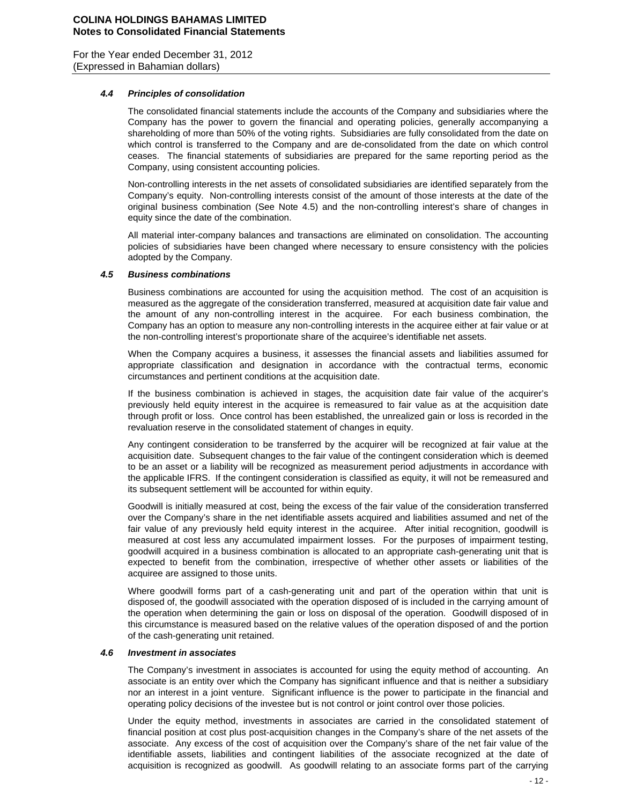### *4.4 Principles of consolidation*

The consolidated financial statements include the accounts of the Company and subsidiaries where the Company has the power to govern the financial and operating policies, generally accompanying a shareholding of more than 50% of the voting rights. Subsidiaries are fully consolidated from the date on which control is transferred to the Company and are de-consolidated from the date on which control ceases. The financial statements of subsidiaries are prepared for the same reporting period as the Company, using consistent accounting policies.

Non-controlling interests in the net assets of consolidated subsidiaries are identified separately from the Company's equity. Non-controlling interests consist of the amount of those interests at the date of the original business combination (See Note 4.5) and the non-controlling interest's share of changes in equity since the date of the combination.

All material inter-company balances and transactions are eliminated on consolidation. The accounting policies of subsidiaries have been changed where necessary to ensure consistency with the policies adopted by the Company.

#### *4.5 Business combinations*

Business combinations are accounted for using the acquisition method. The cost of an acquisition is measured as the aggregate of the consideration transferred, measured at acquisition date fair value and the amount of any non-controlling interest in the acquiree. For each business combination, the Company has an option to measure any non-controlling interests in the acquiree either at fair value or at the non-controlling interest's proportionate share of the acquiree's identifiable net assets.

When the Company acquires a business, it assesses the financial assets and liabilities assumed for appropriate classification and designation in accordance with the contractual terms, economic circumstances and pertinent conditions at the acquisition date.

If the business combination is achieved in stages, the acquisition date fair value of the acquirer's previously held equity interest in the acquiree is remeasured to fair value as at the acquisition date through profit or loss. Once control has been established, the unrealized gain or loss is recorded in the revaluation reserve in the consolidated statement of changes in equity.

Any contingent consideration to be transferred by the acquirer will be recognized at fair value at the acquisition date. Subsequent changes to the fair value of the contingent consideration which is deemed to be an asset or a liability will be recognized as measurement period adjustments in accordance with the applicable IFRS. If the contingent consideration is classified as equity, it will not be remeasured and its subsequent settlement will be accounted for within equity.

Goodwill is initially measured at cost, being the excess of the fair value of the consideration transferred over the Company's share in the net identifiable assets acquired and liabilities assumed and net of the fair value of any previously held equity interest in the acquiree. After initial recognition, goodwill is measured at cost less any accumulated impairment losses. For the purposes of impairment testing, goodwill acquired in a business combination is allocated to an appropriate cash-generating unit that is expected to benefit from the combination, irrespective of whether other assets or liabilities of the acquiree are assigned to those units.

Where goodwill forms part of a cash-generating unit and part of the operation within that unit is disposed of, the goodwill associated with the operation disposed of is included in the carrying amount of the operation when determining the gain or loss on disposal of the operation. Goodwill disposed of in this circumstance is measured based on the relative values of the operation disposed of and the portion of the cash-generating unit retained.

#### *4.6 Investment in associates*

The Company's investment in associates is accounted for using the equity method of accounting. An associate is an entity over which the Company has significant influence and that is neither a subsidiary nor an interest in a joint venture. Significant influence is the power to participate in the financial and operating policy decisions of the investee but is not control or joint control over those policies.

Under the equity method, investments in associates are carried in the consolidated statement of financial position at cost plus post-acquisition changes in the Company's share of the net assets of the associate. Any excess of the cost of acquisition over the Company's share of the net fair value of the identifiable assets, liabilities and contingent liabilities of the associate recognized at the date of acquisition is recognized as goodwill. As goodwill relating to an associate forms part of the carrying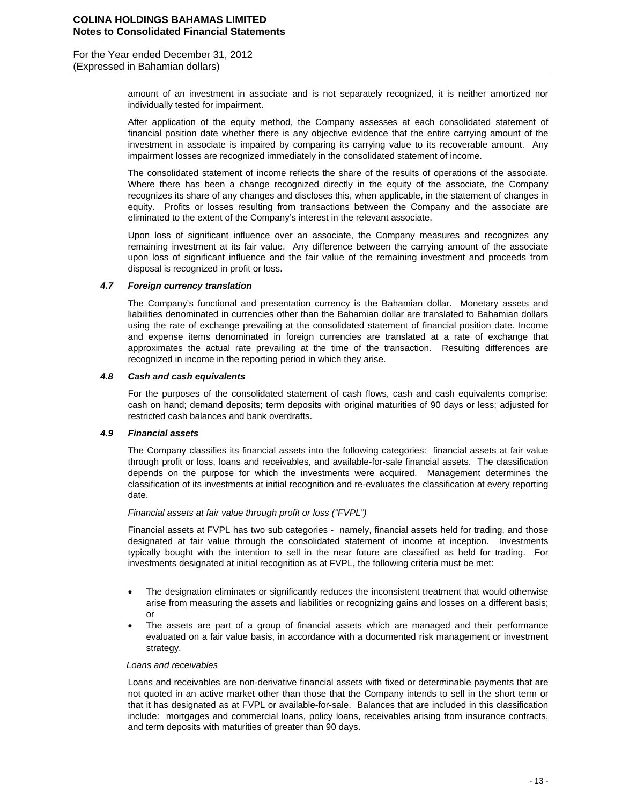> amount of an investment in associate and is not separately recognized, it is neither amortized nor individually tested for impairment.

> After application of the equity method, the Company assesses at each consolidated statement of financial position date whether there is any objective evidence that the entire carrying amount of the investment in associate is impaired by comparing its carrying value to its recoverable amount. Any impairment losses are recognized immediately in the consolidated statement of income.

> The consolidated statement of income reflects the share of the results of operations of the associate. Where there has been a change recognized directly in the equity of the associate, the Company recognizes its share of any changes and discloses this, when applicable, in the statement of changes in equity. Profits or losses resulting from transactions between the Company and the associate are eliminated to the extent of the Company's interest in the relevant associate.

> Upon loss of significant influence over an associate, the Company measures and recognizes any remaining investment at its fair value. Any difference between the carrying amount of the associate upon loss of significant influence and the fair value of the remaining investment and proceeds from disposal is recognized in profit or loss.

#### *4.7 Foreign currency translation*

The Company's functional and presentation currency is the Bahamian dollar. Monetary assets and liabilities denominated in currencies other than the Bahamian dollar are translated to Bahamian dollars using the rate of exchange prevailing at the consolidated statement of financial position date. Income and expense items denominated in foreign currencies are translated at a rate of exchange that approximates the actual rate prevailing at the time of the transaction. Resulting differences are recognized in income in the reporting period in which they arise.

#### *4.8 Cash and cash equivalents*

For the purposes of the consolidated statement of cash flows, cash and cash equivalents comprise: cash on hand; demand deposits; term deposits with original maturities of 90 days or less; adjusted for restricted cash balances and bank overdrafts.

### *4.9 Financial assets*

The Company classifies its financial assets into the following categories: financial assets at fair value through profit or loss, loans and receivables, and available-for-sale financial assets. The classification depends on the purpose for which the investments were acquired. Management determines the classification of its investments at initial recognition and re-evaluates the classification at every reporting date.

#### *Financial assets at fair value through profit or loss ("FVPL")*

Financial assets at FVPL has two sub categories - namely, financial assets held for trading, and those designated at fair value through the consolidated statement of income at inception. Investments typically bought with the intention to sell in the near future are classified as held for trading. For investments designated at initial recognition as at FVPL, the following criteria must be met:

- The designation eliminates or significantly reduces the inconsistent treatment that would otherwise arise from measuring the assets and liabilities or recognizing gains and losses on a different basis; or
- The assets are part of a group of financial assets which are managed and their performance evaluated on a fair value basis, in accordance with a documented risk management or investment strategy.

#### *Loans and receivables*

Loans and receivables are non-derivative financial assets with fixed or determinable payments that are not quoted in an active market other than those that the Company intends to sell in the short term or that it has designated as at FVPL or available-for-sale. Balances that are included in this classification include: mortgages and commercial loans, policy loans, receivables arising from insurance contracts, and term deposits with maturities of greater than 90 days.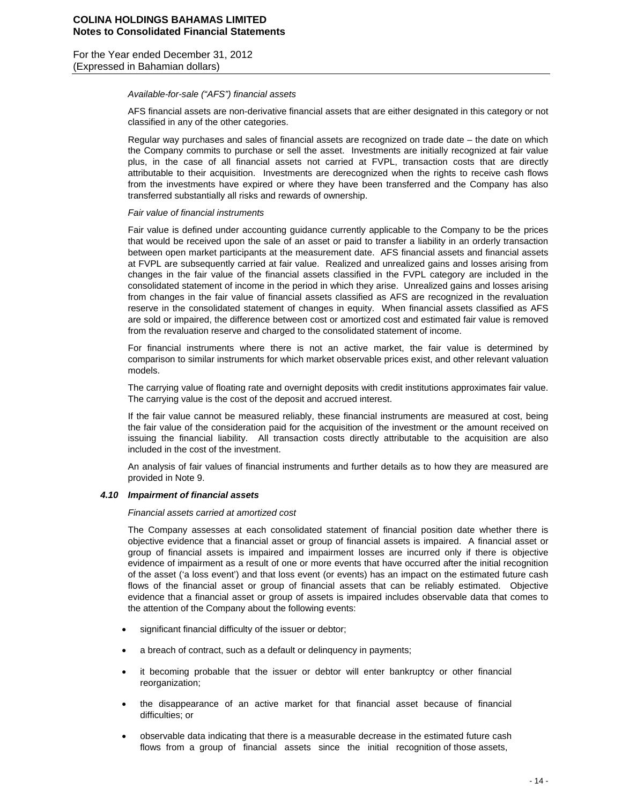#### *Available-for-sale ("AFS") financial assets*

AFS financial assets are non-derivative financial assets that are either designated in this category or not classified in any of the other categories.

Regular way purchases and sales of financial assets are recognized on trade date – the date on which the Company commits to purchase or sell the asset. Investments are initially recognized at fair value plus, in the case of all financial assets not carried at FVPL, transaction costs that are directly attributable to their acquisition. Investments are derecognized when the rights to receive cash flows from the investments have expired or where they have been transferred and the Company has also transferred substantially all risks and rewards of ownership.

### *Fair value of financial instruments*

Fair value is defined under accounting guidance currently applicable to the Company to be the prices that would be received upon the sale of an asset or paid to transfer a liability in an orderly transaction between open market participants at the measurement date. AFS financial assets and financial assets at FVPL are subsequently carried at fair value. Realized and unrealized gains and losses arising from changes in the fair value of the financial assets classified in the FVPL category are included in the consolidated statement of income in the period in which they arise. Unrealized gains and losses arising from changes in the fair value of financial assets classified as AFS are recognized in the revaluation reserve in the consolidated statement of changes in equity. When financial assets classified as AFS are sold or impaired, the difference between cost or amortized cost and estimated fair value is removed from the revaluation reserve and charged to the consolidated statement of income.

For financial instruments where there is not an active market, the fair value is determined by comparison to similar instruments for which market observable prices exist, and other relevant valuation models.

The carrying value of floating rate and overnight deposits with credit institutions approximates fair value. The carrying value is the cost of the deposit and accrued interest.

If the fair value cannot be measured reliably, these financial instruments are measured at cost, being the fair value of the consideration paid for the acquisition of the investment or the amount received on issuing the financial liability. All transaction costs directly attributable to the acquisition are also included in the cost of the investment.

An analysis of fair values of financial instruments and further details as to how they are measured are provided in Note 9.

### *4.10 Impairment of financial assets*

### *Financial assets carried at amortized cost*

The Company assesses at each consolidated statement of financial position date whether there is objective evidence that a financial asset or group of financial assets is impaired. A financial asset or group of financial assets is impaired and impairment losses are incurred only if there is objective evidence of impairment as a result of one or more events that have occurred after the initial recognition of the asset ('a loss event') and that loss event (or events) has an impact on the estimated future cash flows of the financial asset or group of financial assets that can be reliably estimated. Objective evidence that a financial asset or group of assets is impaired includes observable data that comes to the attention of the Company about the following events:

- significant financial difficulty of the issuer or debtor;
- a breach of contract, such as a default or delinquency in payments;
- it becoming probable that the issuer or debtor will enter bankruptcy or other financial reorganization;
- the disappearance of an active market for that financial asset because of financial difficulties; or
- observable data indicating that there is a measurable decrease in the estimated future cash flows from a group of financial assets since the initial recognition of those assets,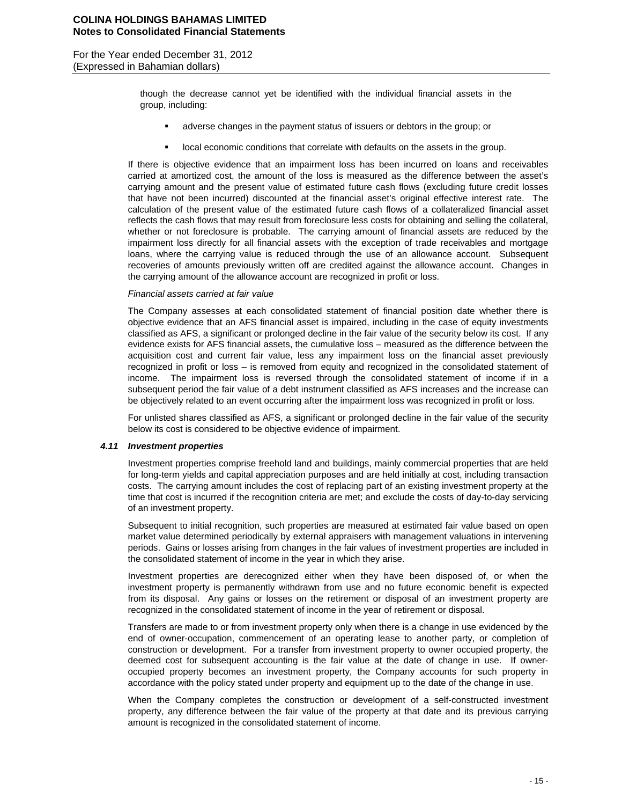For the Year ended December 31, 2012 (Expressed in Bahamian dollars)

> though the decrease cannot yet be identified with the individual financial assets in the group, including:

- adverse changes in the payment status of issuers or debtors in the group; or
- local economic conditions that correlate with defaults on the assets in the group.

If there is objective evidence that an impairment loss has been incurred on loans and receivables carried at amortized cost, the amount of the loss is measured as the difference between the asset's carrying amount and the present value of estimated future cash flows (excluding future credit losses that have not been incurred) discounted at the financial asset's original effective interest rate. The calculation of the present value of the estimated future cash flows of a collateralized financial asset reflects the cash flows that may result from foreclosure less costs for obtaining and selling the collateral, whether or not foreclosure is probable. The carrying amount of financial assets are reduced by the impairment loss directly for all financial assets with the exception of trade receivables and mortgage loans, where the carrying value is reduced through the use of an allowance account. Subsequent recoveries of amounts previously written off are credited against the allowance account. Changes in the carrying amount of the allowance account are recognized in profit or loss.

#### *Financial assets carried at fair value*

The Company assesses at each consolidated statement of financial position date whether there is objective evidence that an AFS financial asset is impaired, including in the case of equity investments classified as AFS, a significant or prolonged decline in the fair value of the security below its cost. If any evidence exists for AFS financial assets, the cumulative loss – measured as the difference between the acquisition cost and current fair value, less any impairment loss on the financial asset previously recognized in profit or loss – is removed from equity and recognized in the consolidated statement of income. The impairment loss is reversed through the consolidated statement of income if in a subsequent period the fair value of a debt instrument classified as AFS increases and the increase can be objectively related to an event occurring after the impairment loss was recognized in profit or loss.

For unlisted shares classified as AFS, a significant or prolonged decline in the fair value of the security below its cost is considered to be objective evidence of impairment.

#### *4.11 Investment properties*

Investment properties comprise freehold land and buildings, mainly commercial properties that are held for long-term yields and capital appreciation purposes and are held initially at cost, including transaction costs. The carrying amount includes the cost of replacing part of an existing investment property at the time that cost is incurred if the recognition criteria are met; and exclude the costs of day-to-day servicing of an investment property.

Subsequent to initial recognition, such properties are measured at estimated fair value based on open market value determined periodically by external appraisers with management valuations in intervening periods. Gains or losses arising from changes in the fair values of investment properties are included in the consolidated statement of income in the year in which they arise.

Investment properties are derecognized either when they have been disposed of, or when the investment property is permanently withdrawn from use and no future economic benefit is expected from its disposal. Any gains or losses on the retirement or disposal of an investment property are recognized in the consolidated statement of income in the year of retirement or disposal.

Transfers are made to or from investment property only when there is a change in use evidenced by the end of owner-occupation, commencement of an operating lease to another party, or completion of construction or development. For a transfer from investment property to owner occupied property, the deemed cost for subsequent accounting is the fair value at the date of change in use. If owneroccupied property becomes an investment property, the Company accounts for such property in accordance with the policy stated under property and equipment up to the date of the change in use.

When the Company completes the construction or development of a self-constructed investment property, any difference between the fair value of the property at that date and its previous carrying amount is recognized in the consolidated statement of income.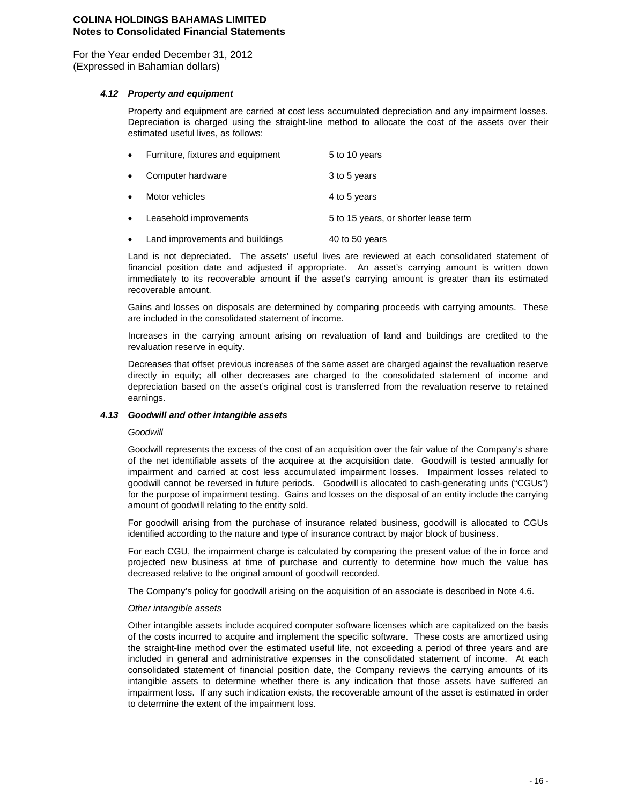### *4.12 Property and equipment*

Property and equipment are carried at cost less accumulated depreciation and any impairment losses. Depreciation is charged using the straight-line method to allocate the cost of the assets over their estimated useful lives, as follows:

| $\bullet$ | Furniture, fixtures and equipment | 5 to 10 years                        |
|-----------|-----------------------------------|--------------------------------------|
| $\bullet$ | Computer hardware                 | 3 to 5 years                         |
| $\bullet$ | Motor vehicles                    | 4 to 5 years                         |
| $\bullet$ | Leasehold improvements            | 5 to 15 years, or shorter lease term |
| $\bullet$ | Land improvements and buildings   | 40 to 50 years                       |

Land is not depreciated. The assets' useful lives are reviewed at each consolidated statement of financial position date and adjusted if appropriate. An asset's carrying amount is written down immediately to its recoverable amount if the asset's carrying amount is greater than its estimated recoverable amount.

Gains and losses on disposals are determined by comparing proceeds with carrying amounts. These are included in the consolidated statement of income.

Increases in the carrying amount arising on revaluation of land and buildings are credited to the revaluation reserve in equity.

Decreases that offset previous increases of the same asset are charged against the revaluation reserve directly in equity; all other decreases are charged to the consolidated statement of income and depreciation based on the asset's original cost is transferred from the revaluation reserve to retained earnings.

### *4.13 Goodwill and other intangible assets*

#### *Goodwill*

Goodwill represents the excess of the cost of an acquisition over the fair value of the Company's share of the net identifiable assets of the acquiree at the acquisition date. Goodwill is tested annually for impairment and carried at cost less accumulated impairment losses. Impairment losses related to goodwill cannot be reversed in future periods. Goodwill is allocated to cash-generating units ("CGUs") for the purpose of impairment testing. Gains and losses on the disposal of an entity include the carrying amount of goodwill relating to the entity sold.

For goodwill arising from the purchase of insurance related business, goodwill is allocated to CGUs identified according to the nature and type of insurance contract by major block of business.

For each CGU, the impairment charge is calculated by comparing the present value of the in force and projected new business at time of purchase and currently to determine how much the value has decreased relative to the original amount of goodwill recorded.

The Company's policy for goodwill arising on the acquisition of an associate is described in Note 4.6.

#### *Other intangible assets*

Other intangible assets include acquired computer software licenses which are capitalized on the basis of the costs incurred to acquire and implement the specific software. These costs are amortized using the straight-line method over the estimated useful life, not exceeding a period of three years and are included in general and administrative expenses in the consolidated statement of income. At each consolidated statement of financial position date, the Company reviews the carrying amounts of its intangible assets to determine whether there is any indication that those assets have suffered an impairment loss. If any such indication exists, the recoverable amount of the asset is estimated in order to determine the extent of the impairment loss.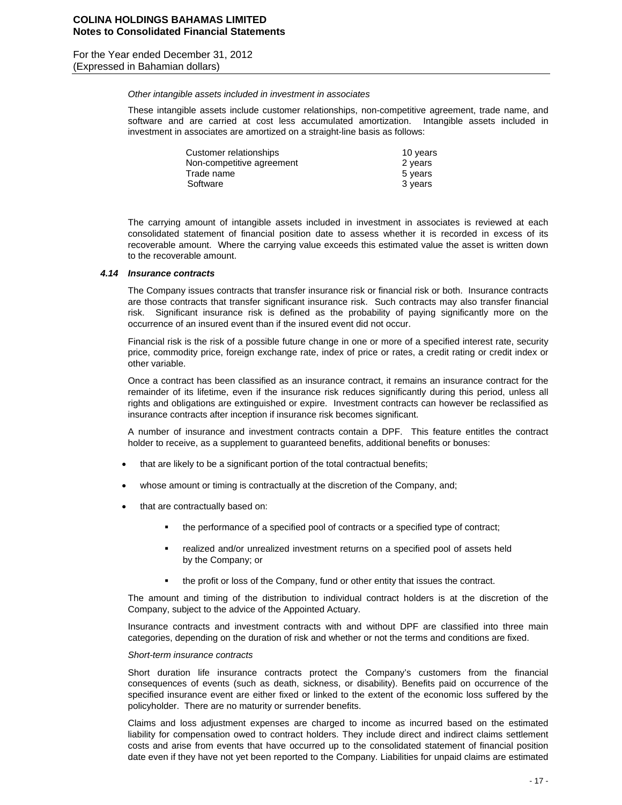#### *Other intangible assets included in investment in associates*

These intangible assets include customer relationships, non-competitive agreement, trade name, and software and are carried at cost less accumulated amortization. Intangible assets included in investment in associates are amortized on a straight-line basis as follows:

| 10 years |
|----------|
| 2 years  |
| 5 years  |
| 3 years  |
|          |

The carrying amount of intangible assets included in investment in associates is reviewed at each consolidated statement of financial position date to assess whether it is recorded in excess of its recoverable amount. Where the carrying value exceeds this estimated value the asset is written down to the recoverable amount.

#### *4.14 Insurance contracts*

The Company issues contracts that transfer insurance risk or financial risk or both. Insurance contracts are those contracts that transfer significant insurance risk. Such contracts may also transfer financial risk. Significant insurance risk is defined as the probability of paying significantly more on the occurrence of an insured event than if the insured event did not occur.

Financial risk is the risk of a possible future change in one or more of a specified interest rate, security price, commodity price, foreign exchange rate, index of price or rates, a credit rating or credit index or other variable.

Once a contract has been classified as an insurance contract, it remains an insurance contract for the remainder of its lifetime, even if the insurance risk reduces significantly during this period, unless all rights and obligations are extinguished or expire. Investment contracts can however be reclassified as insurance contracts after inception if insurance risk becomes significant.

A number of insurance and investment contracts contain a DPF. This feature entitles the contract holder to receive, as a supplement to guaranteed benefits, additional benefits or bonuses:

- that are likely to be a significant portion of the total contractual benefits;
- whose amount or timing is contractually at the discretion of the Company, and;
- that are contractually based on:
	- the performance of a specified pool of contracts or a specified type of contract;
	- realized and/or unrealized investment returns on a specified pool of assets held by the Company; or
	- the profit or loss of the Company, fund or other entity that issues the contract.

The amount and timing of the distribution to individual contract holders is at the discretion of the Company, subject to the advice of the Appointed Actuary.

Insurance contracts and investment contracts with and without DPF are classified into three main categories, depending on the duration of risk and whether or not the terms and conditions are fixed.

#### *Short-term insurance contracts*

Short duration life insurance contracts protect the Company's customers from the financial consequences of events (such as death, sickness, or disability). Benefits paid on occurrence of the specified insurance event are either fixed or linked to the extent of the economic loss suffered by the policyholder. There are no maturity or surrender benefits.

Claims and loss adjustment expenses are charged to income as incurred based on the estimated liability for compensation owed to contract holders. They include direct and indirect claims settlement costs and arise from events that have occurred up to the consolidated statement of financial position date even if they have not yet been reported to the Company. Liabilities for unpaid claims are estimated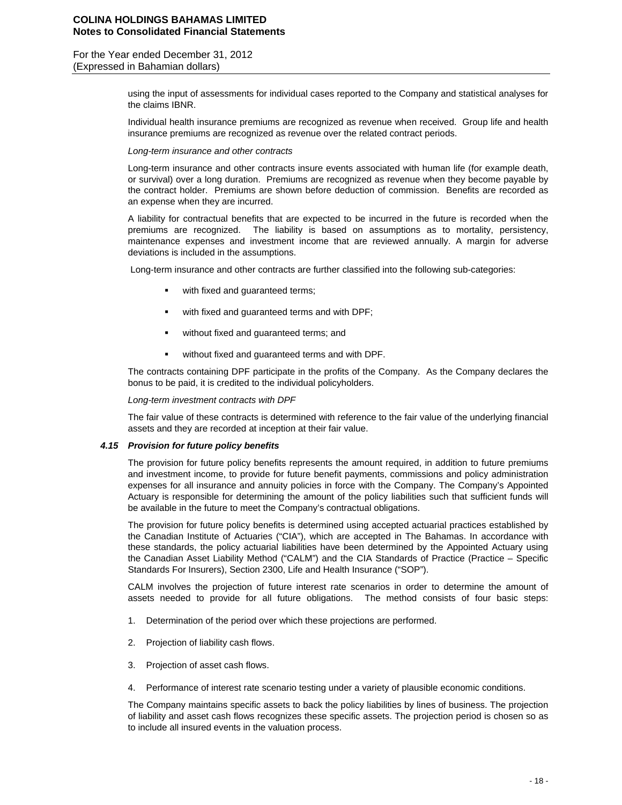For the Year ended December 31, 2012 (Expressed in Bahamian dollars)

> using the input of assessments for individual cases reported to the Company and statistical analyses for the claims IBNR.

> Individual health insurance premiums are recognized as revenue when received. Group life and health insurance premiums are recognized as revenue over the related contract periods.

#### *Long-term insurance and other contracts*

Long-term insurance and other contracts insure events associated with human life (for example death, or survival) over a long duration. Premiums are recognized as revenue when they become payable by the contract holder. Premiums are shown before deduction of commission. Benefits are recorded as an expense when they are incurred.

A liability for contractual benefits that are expected to be incurred in the future is recorded when the premiums are recognized. The liability is based on assumptions as to mortality, persistency, maintenance expenses and investment income that are reviewed annually. A margin for adverse deviations is included in the assumptions.

Long-term insurance and other contracts are further classified into the following sub-categories:

- with fixed and guaranteed terms;
- with fixed and guaranteed terms and with DPF;
- without fixed and guaranteed terms; and
- without fixed and guaranteed terms and with DPF.

The contracts containing DPF participate in the profits of the Company. As the Company declares the bonus to be paid, it is credited to the individual policyholders.

#### *Long-term investment contracts with DPF*

The fair value of these contracts is determined with reference to the fair value of the underlying financial assets and they are recorded at inception at their fair value.

#### *4.15 Provision for future policy benefits*

The provision for future policy benefits represents the amount required, in addition to future premiums and investment income, to provide for future benefit payments, commissions and policy administration expenses for all insurance and annuity policies in force with the Company. The Company's Appointed Actuary is responsible for determining the amount of the policy liabilities such that sufficient funds will be available in the future to meet the Company's contractual obligations.

The provision for future policy benefits is determined using accepted actuarial practices established by the Canadian Institute of Actuaries ("CIA"), which are accepted in The Bahamas. In accordance with these standards, the policy actuarial liabilities have been determined by the Appointed Actuary using the Canadian Asset Liability Method ("CALM") and the CIA Standards of Practice (Practice – Specific Standards For Insurers), Section 2300, Life and Health Insurance ("SOP").

CALM involves the projection of future interest rate scenarios in order to determine the amount of assets needed to provide for all future obligations. The method consists of four basic steps:

- 1. Determination of the period over which these projections are performed.
- 2. Projection of liability cash flows.
- 3. Projection of asset cash flows.
- 4. Performance of interest rate scenario testing under a variety of plausible economic conditions.

The Company maintains specific assets to back the policy liabilities by lines of business. The projection of liability and asset cash flows recognizes these specific assets. The projection period is chosen so as to include all insured events in the valuation process.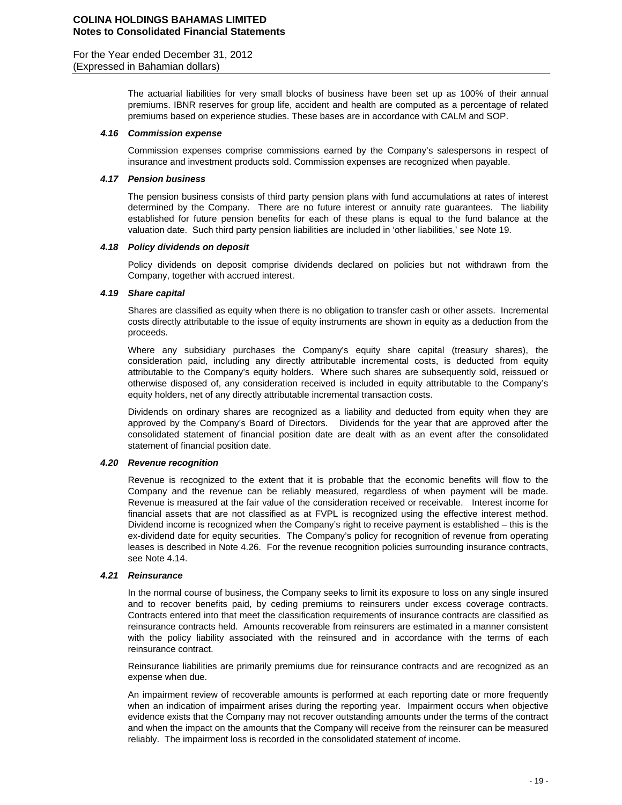> The actuarial liabilities for very small blocks of business have been set up as 100% of their annual premiums. IBNR reserves for group life, accident and health are computed as a percentage of related premiums based on experience studies. These bases are in accordance with CALM and SOP.

#### *4.16 Commission expense*

Commission expenses comprise commissions earned by the Company's salespersons in respect of insurance and investment products sold. Commission expenses are recognized when payable.

### *4.17 Pension business*

The pension business consists of third party pension plans with fund accumulations at rates of interest determined by the Company. There are no future interest or annuity rate guarantees. The liability established for future pension benefits for each of these plans is equal to the fund balance at the valuation date. Such third party pension liabilities are included in 'other liabilities,' see Note 19.

#### *4.18 Policy dividends on deposit*

Policy dividends on deposit comprise dividends declared on policies but not withdrawn from the Company, together with accrued interest.

#### *4.19 Share capital*

Shares are classified as equity when there is no obligation to transfer cash or other assets. Incremental costs directly attributable to the issue of equity instruments are shown in equity as a deduction from the proceeds.

Where any subsidiary purchases the Company's equity share capital (treasury shares), the consideration paid, including any directly attributable incremental costs, is deducted from equity attributable to the Company's equity holders. Where such shares are subsequently sold, reissued or otherwise disposed of, any consideration received is included in equity attributable to the Company's equity holders, net of any directly attributable incremental transaction costs.

Dividends on ordinary shares are recognized as a liability and deducted from equity when they are approved by the Company's Board of Directors. Dividends for the year that are approved after the consolidated statement of financial position date are dealt with as an event after the consolidated statement of financial position date.

### *4.20 Revenue recognition*

Revenue is recognized to the extent that it is probable that the economic benefits will flow to the Company and the revenue can be reliably measured, regardless of when payment will be made. Revenue is measured at the fair value of the consideration received or receivable. Interest income for financial assets that are not classified as at FVPL is recognized using the effective interest method. Dividend income is recognized when the Company's right to receive payment is established – this is the ex-dividend date for equity securities. The Company's policy for recognition of revenue from operating leases is described in Note 4.26. For the revenue recognition policies surrounding insurance contracts, see Note 4.14.

## *4.21 Reinsurance*

In the normal course of business, the Company seeks to limit its exposure to loss on any single insured and to recover benefits paid, by ceding premiums to reinsurers under excess coverage contracts. Contracts entered into that meet the classification requirements of insurance contracts are classified as reinsurance contracts held. Amounts recoverable from reinsurers are estimated in a manner consistent with the policy liability associated with the reinsured and in accordance with the terms of each reinsurance contract.

Reinsurance liabilities are primarily premiums due for reinsurance contracts and are recognized as an expense when due.

An impairment review of recoverable amounts is performed at each reporting date or more frequently when an indication of impairment arises during the reporting year. Impairment occurs when objective evidence exists that the Company may not recover outstanding amounts under the terms of the contract and when the impact on the amounts that the Company will receive from the reinsurer can be measured reliably. The impairment loss is recorded in the consolidated statement of income.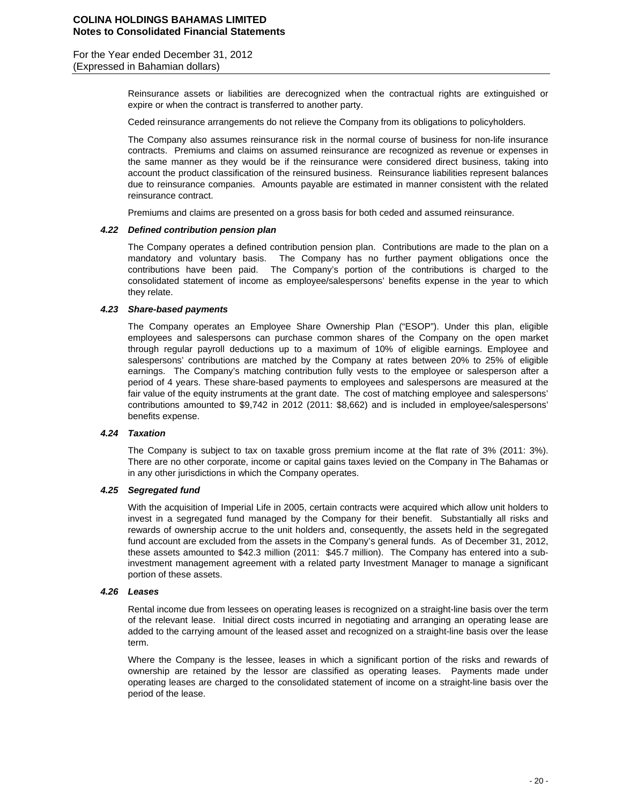> Reinsurance assets or liabilities are derecognized when the contractual rights are extinguished or expire or when the contract is transferred to another party.

Ceded reinsurance arrangements do not relieve the Company from its obligations to policyholders.

The Company also assumes reinsurance risk in the normal course of business for non-life insurance contracts. Premiums and claims on assumed reinsurance are recognized as revenue or expenses in the same manner as they would be if the reinsurance were considered direct business, taking into account the product classification of the reinsured business. Reinsurance liabilities represent balances due to reinsurance companies. Amounts payable are estimated in manner consistent with the related reinsurance contract.

Premiums and claims are presented on a gross basis for both ceded and assumed reinsurance.

#### *4.22 Defined contribution pension plan*

The Company operates a defined contribution pension plan. Contributions are made to the plan on a mandatory and voluntary basis. The Company has no further payment obligations once the contributions have been paid. The Company's portion of the contributions is charged to the consolidated statement of income as employee/salespersons' benefits expense in the year to which they relate.

### *4.23 Share-based payments*

The Company operates an Employee Share Ownership Plan ("ESOP"). Under this plan, eligible employees and salespersons can purchase common shares of the Company on the open market through regular payroll deductions up to a maximum of 10% of eligible earnings. Employee and salespersons' contributions are matched by the Company at rates between 20% to 25% of eligible earnings. The Company's matching contribution fully vests to the employee or salesperson after a period of 4 years. These share-based payments to employees and salespersons are measured at the fair value of the equity instruments at the grant date. The cost of matching employee and salespersons' contributions amounted to \$9,742 in 2012 (2011: \$8,662) and is included in employee/salespersons' benefits expense.

### *4.24 Taxation*

The Company is subject to tax on taxable gross premium income at the flat rate of 3% (2011: 3%). There are no other corporate, income or capital gains taxes levied on the Company in The Bahamas or in any other jurisdictions in which the Company operates.

#### *4.25 Segregated fund*

With the acquisition of Imperial Life in 2005, certain contracts were acquired which allow unit holders to invest in a segregated fund managed by the Company for their benefit. Substantially all risks and rewards of ownership accrue to the unit holders and, consequently, the assets held in the segregated fund account are excluded from the assets in the Company's general funds. As of December 31, 2012, these assets amounted to \$42.3 million (2011: \$45.7 million). The Company has entered into a subinvestment management agreement with a related party Investment Manager to manage a significant portion of these assets.

#### *4.26 Leases*

Rental income due from lessees on operating leases is recognized on a straight-line basis over the term of the relevant lease. Initial direct costs incurred in negotiating and arranging an operating lease are added to the carrying amount of the leased asset and recognized on a straight-line basis over the lease term.

Where the Company is the lessee, leases in which a significant portion of the risks and rewards of ownership are retained by the lessor are classified as operating leases. Payments made under operating leases are charged to the consolidated statement of income on a straight-line basis over the period of the lease.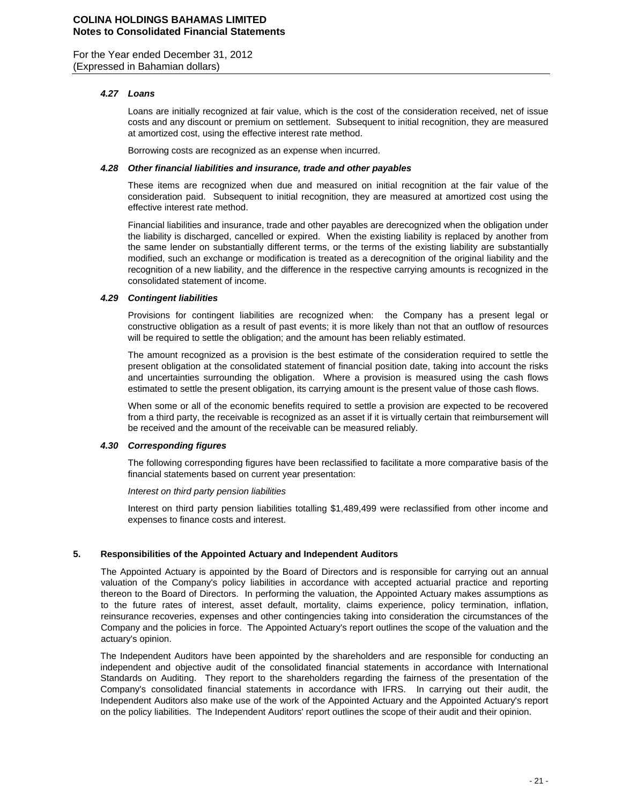### *4.27 Loans*

Loans are initially recognized at fair value, which is the cost of the consideration received, net of issue costs and any discount or premium on settlement. Subsequent to initial recognition, they are measured at amortized cost, using the effective interest rate method.

Borrowing costs are recognized as an expense when incurred.

#### *4.28 Other financial liabilities and insurance, trade and other payables*

These items are recognized when due and measured on initial recognition at the fair value of the consideration paid. Subsequent to initial recognition, they are measured at amortized cost using the effective interest rate method.

Financial liabilities and insurance, trade and other payables are derecognized when the obligation under the liability is discharged, cancelled or expired. When the existing liability is replaced by another from the same lender on substantially different terms, or the terms of the existing liability are substantially modified, such an exchange or modification is treated as a derecognition of the original liability and the recognition of a new liability, and the difference in the respective carrying amounts is recognized in the consolidated statement of income.

### *4.29 Contingent liabilities*

Provisions for contingent liabilities are recognized when: the Company has a present legal or constructive obligation as a result of past events; it is more likely than not that an outflow of resources will be required to settle the obligation; and the amount has been reliably estimated.

The amount recognized as a provision is the best estimate of the consideration required to settle the present obligation at the consolidated statement of financial position date, taking into account the risks and uncertainties surrounding the obligation. Where a provision is measured using the cash flows estimated to settle the present obligation, its carrying amount is the present value of those cash flows.

When some or all of the economic benefits required to settle a provision are expected to be recovered from a third party, the receivable is recognized as an asset if it is virtually certain that reimbursement will be received and the amount of the receivable can be measured reliably.

### *4.30 Corresponding figures*

The following corresponding figures have been reclassified to facilitate a more comparative basis of the financial statements based on current year presentation:

*Interest on third party pension liabilities* 

Interest on third party pension liabilities totalling \$1,489,499 were reclassified from other income and expenses to finance costs and interest.

### **5. Responsibilities of the Appointed Actuary and Independent Auditors**

The Appointed Actuary is appointed by the Board of Directors and is responsible for carrying out an annual valuation of the Company's policy liabilities in accordance with accepted actuarial practice and reporting thereon to the Board of Directors. In performing the valuation, the Appointed Actuary makes assumptions as to the future rates of interest, asset default, mortality, claims experience, policy termination, inflation, reinsurance recoveries, expenses and other contingencies taking into consideration the circumstances of the Company and the policies in force. The Appointed Actuary's report outlines the scope of the valuation and the actuary's opinion.

The Independent Auditors have been appointed by the shareholders and are responsible for conducting an independent and objective audit of the consolidated financial statements in accordance with International Standards on Auditing. They report to the shareholders regarding the fairness of the presentation of the Company's consolidated financial statements in accordance with IFRS. In carrying out their audit, the Independent Auditors also make use of the work of the Appointed Actuary and the Appointed Actuary's report on the policy liabilities. The Independent Auditors' report outlines the scope of their audit and their opinion.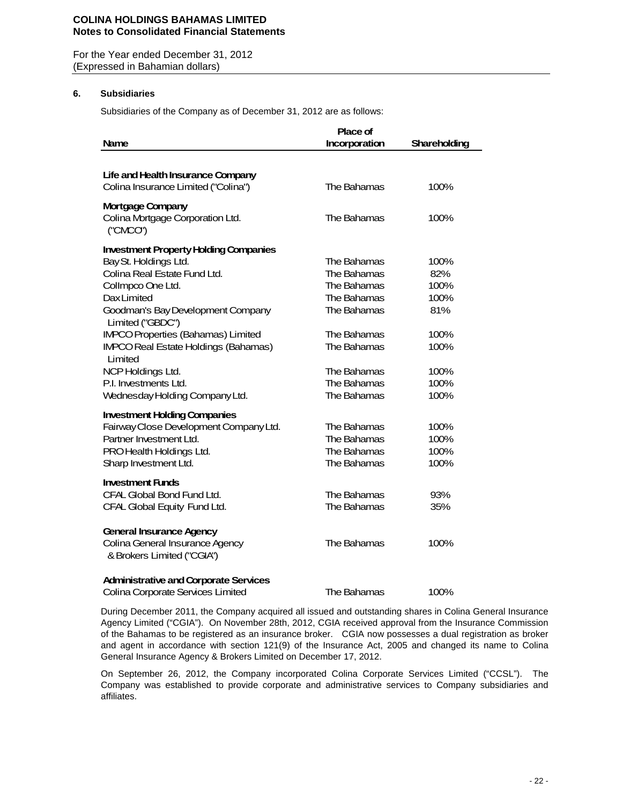For the Year ended December 31, 2012 (Expressed in Bahamian dollars)

# **6. Subsidiaries**

Subsidiaries of the Company as of December 31, 2012 are as follows:

|                                                                               | Place of      |              |
|-------------------------------------------------------------------------------|---------------|--------------|
| <b>Name</b>                                                                   | Incorporation | Shareholding |
|                                                                               |               |              |
| Life and Health Insurance Company                                             |               |              |
| Colina Insurance Limited ("Colina")                                           | The Bahamas   | 100%         |
|                                                                               |               |              |
| <b>Mortgage Company</b>                                                       |               |              |
| Colina Mortgage Corporation Ltd.                                              | The Bahamas   | 100%         |
| ("CMCO")                                                                      |               |              |
| <b>Investment Property Holding Companies</b>                                  |               |              |
| Bay St. Holdings Ltd.                                                         | The Bahamas   | 100%         |
| Colina Real Estate Fund Ltd.                                                  | The Bahamas   | 82%          |
| Collmpco One Ltd.                                                             | The Bahamas   | 100%         |
| <b>DaxLimited</b>                                                             | The Bahamas   | 100%         |
| Goodman's Bay Development Company                                             | The Bahamas   | 81%          |
| Limited ("GBDC")                                                              |               |              |
| <b>IMPCO Properties (Bahamas) Limited</b>                                     | The Bahamas   | 100%         |
| <b>IMPCO Real Estate Holdings (Bahamas)</b>                                   | The Bahamas   | 100%         |
| Limited                                                                       |               |              |
| NCP Holdings Ltd.                                                             | The Bahamas   | 100%         |
| P.I. Investments Ltd.                                                         | The Bahamas   | 100%         |
| Wednesday Holding Company Ltd.                                                | The Bahamas   | 100%         |
|                                                                               |               |              |
| <b>Investment Holding Companies</b><br>Fairway Close Development Company Ltd. | The Bahamas   | 100%         |
| Partner Investment Ltd.                                                       | The Bahamas   | 100%         |
| PRO Health Holdings Ltd.                                                      | The Bahamas   | 100%         |
| Sharp Investment Ltd.                                                         | The Bahamas   | 100%         |
|                                                                               |               |              |
| <b>Investment Funds</b>                                                       |               |              |
| CFAL Global Bond Fund Ltd.                                                    | The Bahamas   | 93%          |
| CFAL Global Equity Fund Ltd.                                                  | The Bahamas   | 35%          |
|                                                                               |               |              |
| General Insurance Agency<br>Colina General Insurance Agency                   | The Bahamas   | 100%         |
| & Brokers Limited ("CGIA")                                                    |               |              |
|                                                                               |               |              |
| <b>Administrative and Corporate Services</b>                                  |               |              |
| Colina Corporate Services Limited                                             | The Bahamas   | 100%         |

During December 2011, the Company acquired all issued and outstanding shares in Colina General Insurance Agency Limited ("CGIA"). On November 28th, 2012, CGIA received approval from the Insurance Commission of the Bahamas to be registered as an insurance broker. CGIA now possesses a dual registration as broker and agent in accordance with section 121(9) of the Insurance Act, 2005 and changed its name to Colina General Insurance Agency & Brokers Limited on December 17, 2012.

On September 26, 2012, the Company incorporated Colina Corporate Services Limited ("CCSL"). The Company was established to provide corporate and administrative services to Company subsidiaries and affiliates.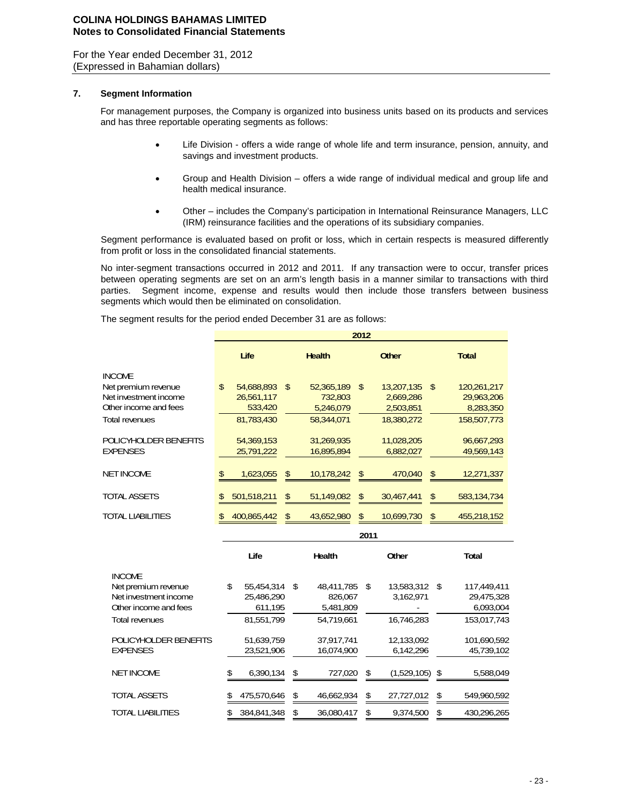For the Year ended December 31, 2012 (Expressed in Bahamian dollars)

## **7. Segment Information**

For management purposes, the Company is organized into business units based on its products and services and has three reportable operating segments as follows:

- Life Division offers a wide range of whole life and term insurance, pension, annuity, and savings and investment products.
- Group and Health Division offers a wide range of individual medical and group life and health medical insurance.
- Other includes the Company's participation in International Reinsurance Managers, LLC (IRM) reinsurance facilities and the operations of its subsidiary companies.

Segment performance is evaluated based on profit or loss, which in certain respects is measured differently from profit or loss in the consolidated financial statements.

No inter-segment transactions occurred in 2012 and 2011. If any transaction were to occur, transfer prices between operating segments are set on an arm's length basis in a manner similar to transactions with third parties. Segment income, expense and results would then include those transfers between business segments which would then be eliminated on consolidation.

The segment results for the period ended December 31 are as follows:

|                       | 2012               |    |               |    |            |    |              |  |  |  |
|-----------------------|--------------------|----|---------------|----|------------|----|--------------|--|--|--|
|                       | Life               |    | <b>Health</b> |    | Other      |    | <b>Total</b> |  |  |  |
| <b>INCOME</b>         |                    |    |               |    |            |    |              |  |  |  |
| Net premium revenue   | \$<br>54,688,893   | \$ | 52,365,189    | \$ | 13,207,135 | \$ | 120,261,217  |  |  |  |
| Net investment income | 26,561,117         |    | 732.803       |    | 2,669,286  |    | 29,963,206   |  |  |  |
| Other income and fees | 533,420            |    | 5,246,079     |    | 2,503,851  |    | 8,283,350    |  |  |  |
| Total revenues        | 81,783,430         |    | 58,344,071    |    | 18,380,272 |    | 158,507,773  |  |  |  |
| POLICYHOLDER BENEFITS | 54,369,153         |    | 31,269,935    |    | 11,028,205 |    | 96,667,293   |  |  |  |
| <b>EXPENSES</b>       | 25,791,222         |    | 16,895,894    |    | 6,882,027  |    | 49,569,143   |  |  |  |
| <b>NET INCOME</b>     | \$.<br>1,623,055   | \$ | 10,178,242    | \$ | 470,040    | \$ | 12,271,337   |  |  |  |
| TOTAL ASSETS          | 501,518,211<br>\$  | \$ | 51,149,082    | \$ | 30,467,441 | \$ | 583,134,734  |  |  |  |
| TOTAL LIABILITIES     | 400,865,442<br>\$. | \$ | 43,652,980    | \$ | 10,699,730 | \$ | 455,218,152  |  |  |  |

|                       | Life<br><b>Health</b> |      |            | Other |             |    | Total       |  |
|-----------------------|-----------------------|------|------------|-------|-------------|----|-------------|--|
| <b>INCOME</b>         |                       |      |            |       |             |    |             |  |
| Net premium revenue   | \$<br>55,454,314      | - \$ | 48,411,785 | \$    | 13,583,312  | \$ | 117,449,411 |  |
| Net investment income | 25,486,290            |      | 826,067    |       | 3,162,971   |    | 29,475,328  |  |
| Other income and fees | 611,195               |      | 5,481,809  |       |             |    | 6,093,004   |  |
| Total revenues        | 81,551,799            |      | 54,719,661 |       | 16.746.283  |    | 153,017,743 |  |
| POLICYHOLDER BENEFITS | 51,639,759            |      | 37,917,741 |       | 12,133,092  |    | 101,690,592 |  |
| <b>EXPENSES</b>       | 23,521,906            |      | 16,074,900 |       | 6,142,296   |    | 45,739,102  |  |
| <b>NET INCOME</b>     | \$<br>6,390,134       | \$   | 727,020    | \$    | (1,529,105) | \$ | 5,588,049   |  |
| TOTAL ASSETS          | \$<br>475,570,646     | \$   | 46,662,934 | \$    | 27,727,012  | \$ | 549,960,592 |  |
| TOTAL LIABILITIES     | \$<br>384,841,348     | \$   | 36,080,417 | \$    | 9,374,500   | \$ | 430,296,265 |  |

**2011**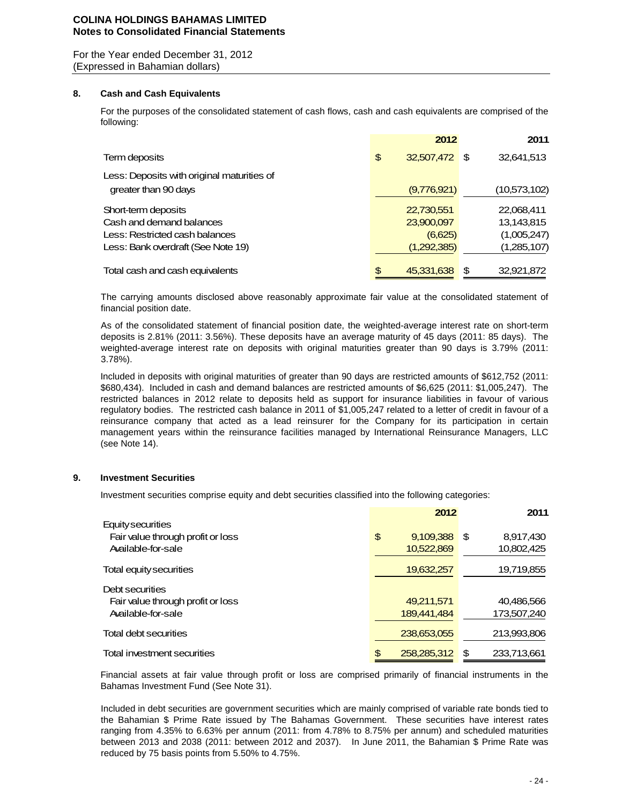For the Year ended December 31, 2012 (Expressed in Bahamian dollars)

### **8. Cash and Cash Equivalents**

For the purposes of the consolidated statement of cash flows, cash and cash equivalents are comprised of the following:

|                                            | 2012             |     | 2011         |
|--------------------------------------------|------------------|-----|--------------|
| Term deposits                              | \$<br>32,507,472 | ∣\$ | 32,641,513   |
| Less: Deposits with original maturities of |                  |     |              |
| greater than 90 days                       | (9,776,921)      |     | (10,573,102) |
| Short-term deposits                        | 22,730,551       |     | 22,068,411   |
| Cash and demand balances                   | 23,900,097       |     | 13,143,815   |
| Less: Restricted cash balances             | (6,625)          |     | (1,005,247)  |
| Less: Bank overdraft (See Note 19)         | (1,292,385)      |     | (1,285,107)  |
| Total cash and cash equivalents            | \$<br>45,331,638 |     | 32,921,872   |

The carrying amounts disclosed above reasonably approximate fair value at the consolidated statement of financial position date.

As of the consolidated statement of financial position date, the weighted-average interest rate on short-term deposits is 2.81% (2011: 3.56%). These deposits have an average maturity of 45 days (2011: 85 days). The weighted-average interest rate on deposits with original maturities greater than 90 days is 3.79% (2011: 3.78%).

Included in deposits with original maturities of greater than 90 days are restricted amounts of \$612,752 (2011: \$680,434). Included in cash and demand balances are restricted amounts of \$6,625 (2011: \$1,005,247). The restricted balances in 2012 relate to deposits held as support for insurance liabilities in favour of various regulatory bodies. The restricted cash balance in 2011 of \$1,005,247 related to a letter of credit in favour of a reinsurance company that acted as a lead reinsurer for the Company for its participation in certain management years within the reinsurance facilities managed by International Reinsurance Managers, LLC (see Note 14).

### **9. Investment Securities**

Investment securities comprise equity and debt securities classified into the following categories:

|                                   | 2012              | 2011              |
|-----------------------------------|-------------------|-------------------|
| Equity securities                 |                   |                   |
| Fair value through profit or loss | \$<br>9,109,388   | 8,917,430<br>- \$ |
| Available-for-sale                | 10,522,869        | 10,802,425        |
| Total equity securities           | 19,632,257        | 19,719,855        |
| Debt securities                   |                   |                   |
| Fair value through profit or loss | 49,211,571        | 40.486.566        |
| Available-for-sale                | 189,441,484       | 173,507,240       |
| Total debt securities             | 238,653,055       | 213.993.806       |
| Total investment securities       | £.<br>258.285.312 | 233.713.661       |

Financial assets at fair value through profit or loss are comprised primarily of financial instruments in the Bahamas Investment Fund (See Note 31).

Included in debt securities are government securities which are mainly comprised of variable rate bonds tied to the Bahamian \$ Prime Rate issued by The Bahamas Government. These securities have interest rates ranging from 4.35% to 6.63% per annum (2011: from 4.78% to 8.75% per annum) and scheduled maturities between 2013 and 2038 (2011: between 2012 and 2037). In June 2011, the Bahamian \$ Prime Rate was reduced by 75 basis points from 5.50% to 4.75%.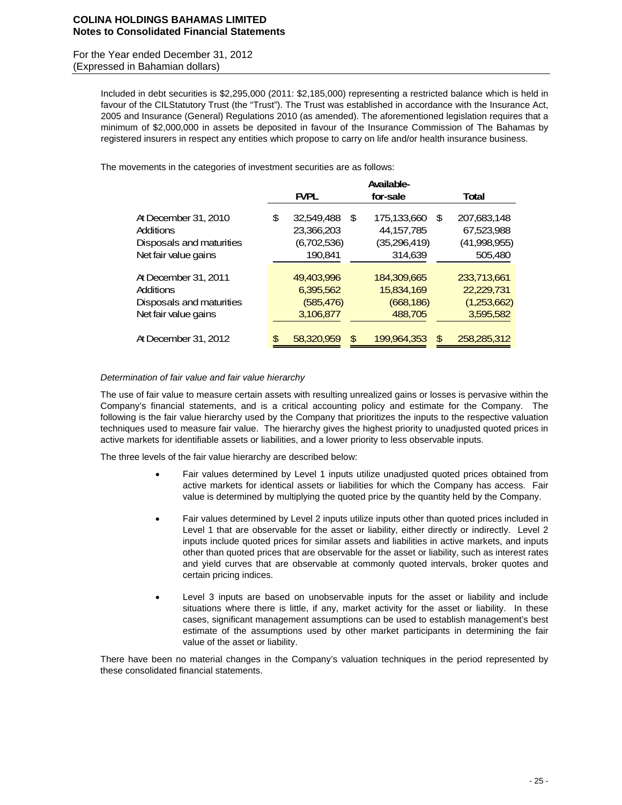For the Year ended December 31, 2012 (Expressed in Bahamian dollars)

> Included in debt securities is \$2,295,000 (2011: \$2,185,000) representing a restricted balance which is held in favour of the CILStatutory Trust (the "Trust"). The Trust was established in accordance with the Insurance Act, 2005 and Insurance (General) Regulations 2010 (as amended). The aforementioned legislation requires that a minimum of \$2,000,000 in assets be deposited in favour of the Insurance Commission of The Bahamas by registered insurers in respect any entities which propose to carry on life and/or health insurance business.

The movements in the categories of investment securities are as follows:

|                                                                                       | Available-                                               |                                                            |                                                            |  |  |  |  |
|---------------------------------------------------------------------------------------|----------------------------------------------------------|------------------------------------------------------------|------------------------------------------------------------|--|--|--|--|
|                                                                                       | <b>FVPL</b>                                              | for-sale                                                   |                                                            |  |  |  |  |
| At December 31, 2010<br>Additions<br>Disposals and maturities<br>Net fair value gains | \$<br>32.549.488<br>23,366,203<br>(6,702,536)<br>190,841 | 175.133.660<br>\$<br>44.157.785<br>(35,296,419)<br>314,639 | 207,683,148<br>\$<br>67.523.988<br>(41,998,955)<br>505,480 |  |  |  |  |
| At December 31, 2011<br>Additions<br>Disposals and maturities<br>Net fair value gains | 49,403,996<br>6.395.562<br>(585, 476)<br>3,106,877       | 184,309,665<br>15,834,169<br>(668, 186)<br>488,705         | 233,713,661<br>22,229,731<br>(1,253,662)<br>3,595,582      |  |  |  |  |
| At December 31, 2012                                                                  | 58.320.959<br>\$                                         | 199.964.353<br>S.                                          | \$.<br>258,285,312                                         |  |  |  |  |

## *Determination of fair value and fair value hierarchy*

The use of fair value to measure certain assets with resulting unrealized gains or losses is pervasive within the Company's financial statements, and is a critical accounting policy and estimate for the Company. The following is the fair value hierarchy used by the Company that prioritizes the inputs to the respective valuation techniques used to measure fair value. The hierarchy gives the highest priority to unadjusted quoted prices in active markets for identifiable assets or liabilities, and a lower priority to less observable inputs.

The three levels of the fair value hierarchy are described below:

- Fair values determined by Level 1 inputs utilize unadjusted quoted prices obtained from active markets for identical assets or liabilities for which the Company has access. Fair value is determined by multiplying the quoted price by the quantity held by the Company.
- Fair values determined by Level 2 inputs utilize inputs other than quoted prices included in Level 1 that are observable for the asset or liability, either directly or indirectly. Level 2 inputs include quoted prices for similar assets and liabilities in active markets, and inputs other than quoted prices that are observable for the asset or liability, such as interest rates and yield curves that are observable at commonly quoted intervals, broker quotes and certain pricing indices.
- Level 3 inputs are based on unobservable inputs for the asset or liability and include situations where there is little, if any, market activity for the asset or liability. In these cases, significant management assumptions can be used to establish management's best estimate of the assumptions used by other market participants in determining the fair value of the asset or liability.

There have been no material changes in the Company's valuation techniques in the period represented by these consolidated financial statements.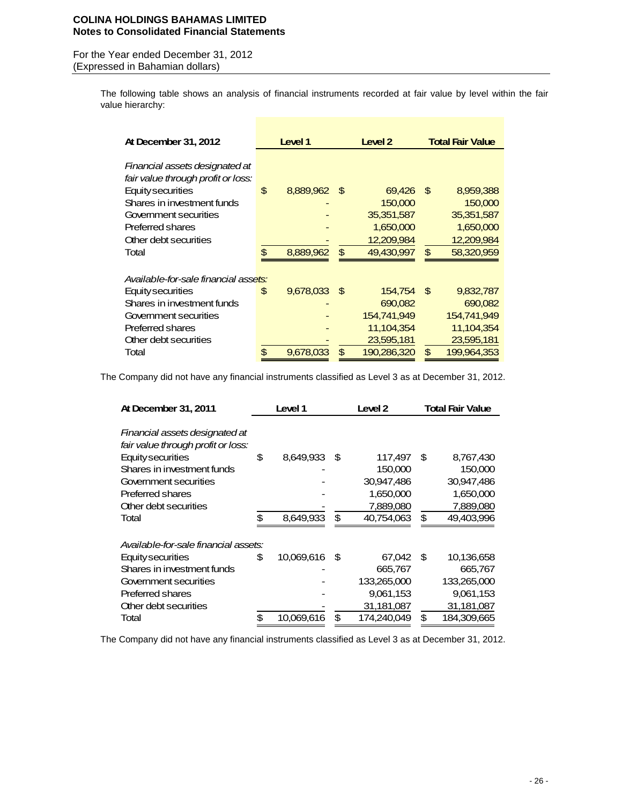For the Year ended December 31, 2012 (Expressed in Bahamian dollars)

> The following table shows an analysis of financial instruments recorded at fair value by level within the fair value hierarchy:

| At December 31, 2012                 | Level 1         | Level <sub>2</sub> |             |            |             |  |  | <b>Total Fair Value</b> |
|--------------------------------------|-----------------|--------------------|-------------|------------|-------------|--|--|-------------------------|
|                                      |                 |                    |             |            |             |  |  |                         |
| Financial assets designated at       |                 |                    |             |            |             |  |  |                         |
| fair value through profit or loss:   |                 |                    |             |            |             |  |  |                         |
| Equity securities                    | \$<br>8,889,962 | \$.                | 69.426      | \$         | 8,959,388   |  |  |                         |
| Shares in investment funds           |                 |                    | 150,000     |            | 150,000     |  |  |                         |
| Government securities                |                 |                    | 35,351,587  |            | 35,351,587  |  |  |                         |
| Preferred shares                     | 1,650,000       |                    |             |            | 1,650,000   |  |  |                         |
| Other debt securities                |                 | 12,209,984         |             | 12,209,984 |             |  |  |                         |
| Total                                | \$<br>8,889,962 | \$                 | 49,430,997  | \$         | 58,320,959  |  |  |                         |
|                                      |                 |                    |             |            |             |  |  |                         |
| Available-for-sale financial assets: |                 |                    |             |            |             |  |  |                         |
| Equity securities                    | \$<br>9,678,033 | \$                 | 154,754     | - \$       | 9,832,787   |  |  |                         |
| Shares in investment funds           |                 |                    | 690,082     |            | 690,082     |  |  |                         |
| Government securities                |                 |                    | 154,741,949 |            | 154,741,949 |  |  |                         |
| Preferred shares                     |                 |                    | 11,104,354  |            | 11,104,354  |  |  |                         |
| Other debt securities                |                 |                    | 23,595,181  |            | 23,595,181  |  |  |                         |
| Total                                | \$<br>9,678,033 | \$                 | 190,286,320 | \$         | 199,964,353 |  |  |                         |

The Company did not have any financial instruments classified as Level 3 as at December 31, 2012.

| At December 31, 2011                                                 | Level 1          |           | Level <sub>2</sub> | <b>Total Fair Value</b> |             |
|----------------------------------------------------------------------|------------------|-----------|--------------------|-------------------------|-------------|
| Financial assets designated at<br>fair value through profit or loss: |                  |           |                    |                         |             |
| Equity securities                                                    | \$<br>8,649,933  | \$.       | 117,497            | \$.                     | 8,767,430   |
| Shares in investment funds                                           |                  |           | 150,000            |                         | 150,000     |
| Government securities                                                |                  |           | 30,947,486         |                         | 30,947,486  |
| Preferred shares                                                     |                  | 1,650,000 |                    |                         | 1,650,000   |
| Other debt securities                                                |                  |           | 7,889,080          |                         | 7,889,080   |
| Total                                                                | \$<br>8,649,933  | \$        | 40,754,063         | \$                      | 49,403,996  |
|                                                                      |                  |           |                    |                         |             |
| Available-for-sale financial assets:                                 |                  |           |                    |                         |             |
| Equity securities                                                    | \$<br>10,069,616 | - \$      | 67,042             | \$.                     | 10,136,658  |
| Shares in investment funds                                           |                  |           | 665,767            |                         | 665,767     |
| Government securities                                                |                  |           | 133,265,000        |                         | 133,265,000 |
| <b>Preferred shares</b>                                              |                  |           | 9,061,153          |                         | 9,061,153   |
| Other debt securities                                                |                  |           | 31,181,087         |                         | 31,181,087  |
| Total                                                                | \$<br>10,069,616 | \$        | 174,240,049        | \$                      | 184,309,665 |

The Company did not have any financial instruments classified as Level 3 as at December 31, 2012.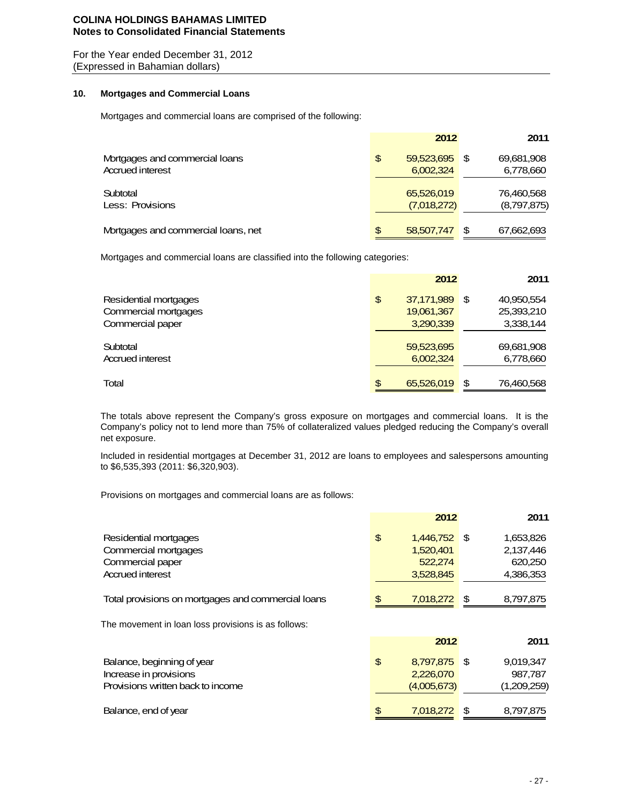For the Year ended December 31, 2012 (Expressed in Bahamian dollars)

## **10. Mortgages and Commercial Loans**

Mortgages and commercial loans are comprised of the following:

|                                     | 2012             | 2011        |
|-------------------------------------|------------------|-------------|
| Mortgages and commercial loans      | \$<br>59,523,695 | 69,681,908  |
| Accrued interest                    | 6,002,324        | 6,778,660   |
| Subtotal                            | 65,526,019       | 76,460,568  |
| Less: Provisions                    | (7,018,272)      | (8,797,875) |
| Mortgages and commercial loans, net | \$<br>58,507,747 | 67,662,693  |

Mortgages and commercial loans are classified into the following categories:

|                       | 2012             | 2011              |
|-----------------------|------------------|-------------------|
| Residential mortgages | \$<br>37,171,989 | 40,950,554<br>\$. |
| Commercial mortgages  | 19,061,367       | 25,393,210        |
| Commercial paper      | 3,290,339        | 3,338,144         |
| Subtotal              | 59,523,695       | 69,681,908        |
| Accrued interest      | 6,002,324        | 6,778,660         |
| Total                 | \$<br>65,526,019 | 76,460,568<br>\$. |

The totals above represent the Company's gross exposure on mortgages and commercial loans. It is the Company's policy not to lend more than 75% of collateralized values pledged reducing the Company's overall net exposure.

Included in residential mortgages at December 31, 2012 are loans to employees and salespersons amounting to \$6,535,393 (2011: \$6,320,903).

Provisions on mortgages and commercial loans are as follows:

|                                                     | 2012            |          | 2011        |
|-----------------------------------------------------|-----------------|----------|-------------|
| Residential mortgages                               | \$<br>1,446,752 | <b>S</b> | 1,653,826   |
| Commercial mortgages                                | 1,520,401       |          | 2,137,446   |
| Commercial paper                                    | 522,274         |          | 620,250     |
| <b>Accrued interest</b>                             | 3,528,845       |          | 4,386,353   |
| Total provisions on mortgages and commercial loans  | \$<br>7,018,272 | \$.      | 8,797,875   |
| The movement in loan loss provisions is as follows: |                 |          |             |
|                                                     | 2012            |          | 2011        |
| Balance, beginning of year                          | \$<br>8,797,875 | <b>S</b> | 9,019,347   |
| Increase in provisions                              | 2,226,070       |          | 987,787     |
| Provisions written back to income                   | (4,005,673)     |          | (1,209,259) |
| Balance, end of year                                | \$<br>7,018,272 |          | 8,797,875   |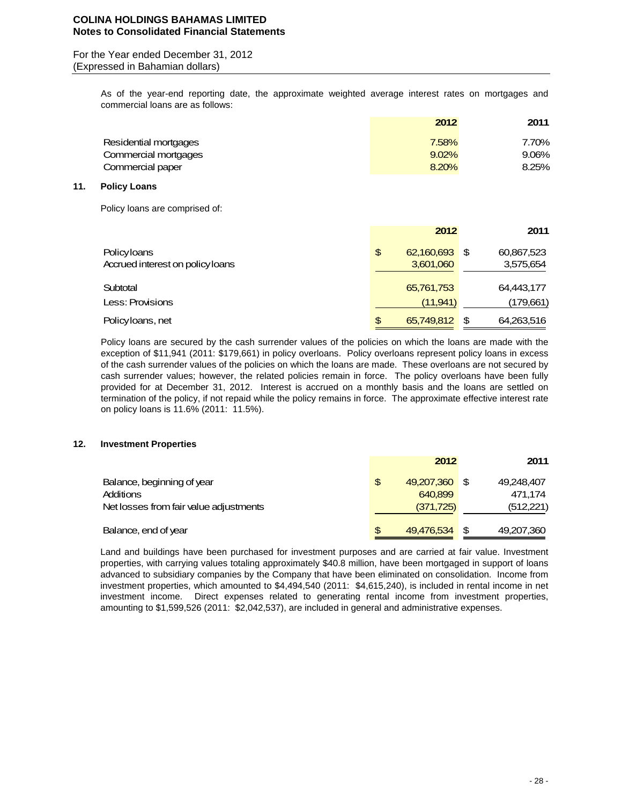### For the Year ended December 31, 2012 (Expressed in Bahamian dollars)

As of the year-end reporting date, the approximate weighted average interest rates on mortgages and commercial loans are as follows:

|                       | 2012  | 2011  |
|-----------------------|-------|-------|
| Residential mortgages | 7.58% | 7.70% |
| Commercial mortgages  | 9.02% | 9.06% |
| Commercial paper      | 8.20% | 8.25% |

### **11. Policy Loans**

Policy loans are comprised of:

|                                  | 2012             |     | 2011       |
|----------------------------------|------------------|-----|------------|
| Policy loans                     | \$<br>62,160,693 | \$. | 60,867,523 |
| Accrued interest on policy loans | 3,601,060        |     | 3,575,654  |
| Subtotal                         | 65,761,753       |     | 64,443,177 |
| Less: Provisions                 | (11,941)         |     | (179,661)  |
| Policy loans, net                | \$<br>65,749,812 |     | 64,263,516 |

Policy loans are secured by the cash surrender values of the policies on which the loans are made with the exception of \$11,941 (2011: \$179,661) in policy overloans. Policy overloans represent policy loans in excess of the cash surrender values of the policies on which the loans are made. These overloans are not secured by cash surrender values; however, the related policies remain in force. The policy overloans have been fully provided for at December 31, 2012. Interest is accrued on a monthly basis and the loans are settled on termination of the policy, if not repaid while the policy remains in force. The approximate effective interest rate on policy loans is 11.6% (2011: 11.5%).

### **12. Investment Properties**

|                                        | 2012             |     | 2011       |
|----------------------------------------|------------------|-----|------------|
| Balance, beginning of year             | \$<br>49,207,360 |     | 49,248,407 |
| Additions                              | 640.899          |     | 471.174    |
| Net losses from fair value adjustments | (371, 725)       |     | (512, 221) |
| Balance, end of year                   | \$<br>49.476.534 | -SS | 49,207,360 |

Land and buildings have been purchased for investment purposes and are carried at fair value. Investment properties, with carrying values totaling approximately \$40.8 million, have been mortgaged in support of loans advanced to subsidiary companies by the Company that have been eliminated on consolidation. Income from investment properties, which amounted to \$4,494,540 (2011: \$4,615,240), is included in rental income in net investment income. Direct expenses related to generating rental income from investment properties, amounting to \$1,599,526 (2011: \$2,042,537), are included in general and administrative expenses.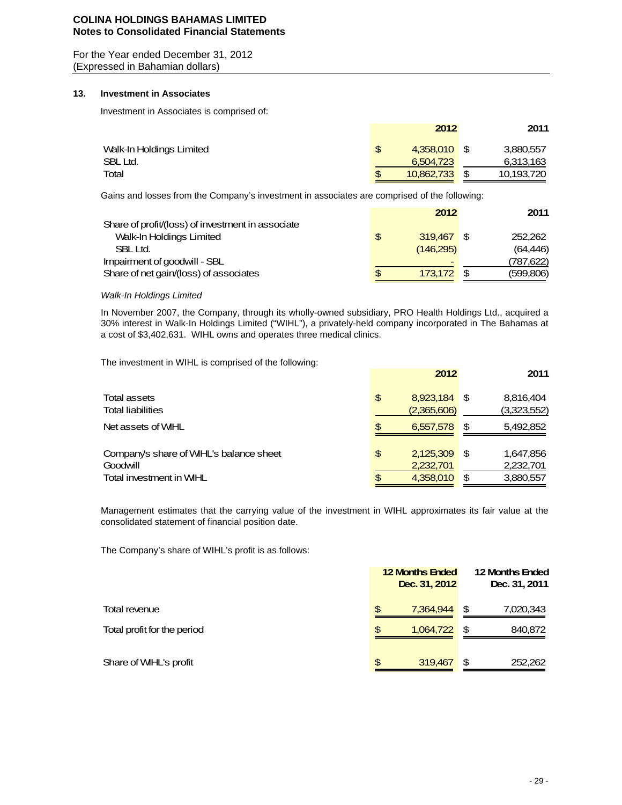For the Year ended December 31, 2012 (Expressed in Bahamian dollars)

### **13. Investment in Associates**

Investment in Associates is comprised of:

|                          | 2012               | 2011       |
|--------------------------|--------------------|------------|
| Walk-In Holdings Limited | \$<br>4,358,010 \$ | 3,880,557  |
| <b>SBL Ltd.</b>          | 6,504,723          | 6,313,163  |
| Total                    | \$<br>10,862,733   | 10,193,720 |

Gains and losses from the Company's investment in associates are comprised of the following:

|                                                   | 2012          | 2011       |
|---------------------------------------------------|---------------|------------|
| Share of profit/(loss) of investment in associate |               |            |
| <b>Walk-In Holdings Limited</b>                   | \$<br>319.467 | 252,262    |
| <b>SBL Ltd.</b>                                   | (146.295)     | (64, 446)  |
| Impairment of goodwill - SBL                      | -             | (787, 622) |
| Share of net gain/(loss) of associates            | \$<br>173.172 | (599,806)  |

### *Walk-In Holdings Limited*

In November 2007, the Company, through its wholly-owned subsidiary, PRO Health Holdings Ltd., acquired a 30% interest in Walk-In Holdings Limited ("WIHL"), a privately-held company incorporated in The Bahamas at a cost of \$3,402,631. WIHL owns and operates three medical clinics.

The investment in WIHL is comprised of the following:

|                                                                                 |          | 2012                                |          | 2011                                |
|---------------------------------------------------------------------------------|----------|-------------------------------------|----------|-------------------------------------|
| Total assets<br><b>Total liabilities</b>                                        | \$       | 8,923,184<br>(2,365,606)            | - \$     | 8,816,404<br>(3,323,552)            |
| Net assets of WHL                                                               | \$       | 6,557,578                           | S        | 5,492,852                           |
| Company's share of WIHL's balance sheet<br>Goodwill<br>Total investment in WIHL | \$<br>\$ | 2,125,309<br>2,232,701<br>4,358,010 | S<br>\$. | 1,647,856<br>2,232,701<br>3,880,557 |

Management estimates that the carrying value of the investment in WIHL approximates its fair value at the consolidated statement of financial position date.

The Company's share of WIHL's profit is as follows:

|                             | <b>12 Months Ended</b><br>Dec. 31, 2012 | <b>12 Months Ended</b><br>Dec. 31, 2011 |
|-----------------------------|-----------------------------------------|-----------------------------------------|
| Total revenue               | 7,364,944<br>\$                         | 7,020,343<br>- \$                       |
| Total profit for the period | \$<br>1,064,722                         | 840,872<br>- \$                         |
| Share of WIHL's profit      | \$<br>319,467                           | 252,262<br>\$                           |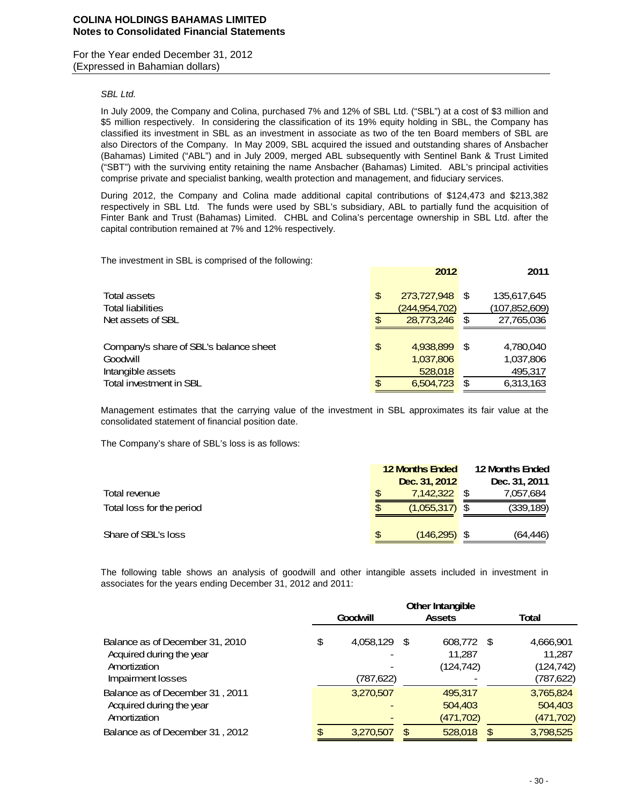### *SBL Ltd.*

In July 2009, the Company and Colina, purchased 7% and 12% of SBL Ltd. ("SBL") at a cost of \$3 million and \$5 million respectively. In considering the classification of its 19% equity holding in SBL, the Company has classified its investment in SBL as an investment in associate as two of the ten Board members of SBL are also Directors of the Company. In May 2009, SBL acquired the issued and outstanding shares of Ansbacher (Bahamas) Limited ("ABL") and in July 2009, merged ABL subsequently with Sentinel Bank & Trust Limited ("SBT") with the surviving entity retaining the name Ansbacher (Bahamas) Limited. ABL's principal activities comprise private and specialist banking, wealth protection and management, and fiduciary services.

During 2012, the Company and Colina made additional capital contributions of \$124,473 and \$213,382 respectively in SBL Ltd. The funds were used by SBL's subsidiary, ABL to partially fund the acquisition of Finter Bank and Trust (Bahamas) Limited. CHBL and Colina's percentage ownership in SBL Ltd. after the capital contribution remained at 7% and 12% respectively.

The investment in SBL is comprised of the following:

|                                                                                                    |          | 2012                                           |            | 2011                                           |
|----------------------------------------------------------------------------------------------------|----------|------------------------------------------------|------------|------------------------------------------------|
| Total assets<br><b>Total liabilities</b><br>Net assets of SBL                                      | \$<br>\$ | 273,727,948<br>(244,954,702)<br>28,773,246     | - \$<br>S  | 135,617,645<br>(107, 852, 609)<br>27,765,036   |
| Company's share of SBL's balance sheet<br>Goodwill<br>Intangible assets<br>Total investment in SBL | \$<br>\$ | 4.938.899<br>1,037,806<br>528,018<br>6,504,723 | \$.<br>\$. | 4,780,040<br>1,037,806<br>495,317<br>6,313,163 |

Management estimates that the carrying value of the investment in SBL approximates its fair value at the consolidated statement of financial position date.

The Company's share of SBL's loss is as follows:

|                           | <b>12 Months Ended</b> |                  |      | <b>12 Months Ended</b> |
|---------------------------|------------------------|------------------|------|------------------------|
|                           |                        | Dec. 31, 2012    |      | Dec. 31, 2011          |
| Total revenue             | \$                     | 7,142,322        | - 35 | 7,057,684              |
| Total loss for the period |                        | $(1,055,317)$ \$ |      | (339, 189)             |
| Share of SBL's loss       | \$                     | $(146, 295)$ \$  |      | (64,446)               |

The following table shows an analysis of goodwill and other intangible assets included in investment in associates for the years ending December 31, 2012 and 2011:

|                                        | <b>Other Intangible</b>   |                          |      |            |       |            |  |
|----------------------------------------|---------------------------|--------------------------|------|------------|-------|------------|--|
|                                        | <b>Assets</b><br>Goodwill |                          |      |            | Total |            |  |
| Balance as of December 31, 2010        | \$                        | 4,058,129                | - \$ | 608,772 \$ |       | 4,666,901  |  |
| Acquired during the year               |                           | $\overline{\phantom{0}}$ |      | 11,287     |       | 11.287     |  |
| Amortization                           |                           |                          |      | (124, 742) |       | (124,742)  |  |
| Impairment losses                      |                           | (787, 622)               |      |            |       | (787,622)  |  |
| <b>Balance as of December 31, 2011</b> |                           | 3,270,507                |      | 495,317    |       | 3,765,824  |  |
| Acquired during the year               |                           |                          |      | 504,403    |       | 504,403    |  |
| Amortization                           |                           |                          |      | (471, 702) |       | (471, 702) |  |
| Balance as of December 31, 2012        | \$.                       | 3,270,507                | \$   | 528,018    | \$.   | 3,798,525  |  |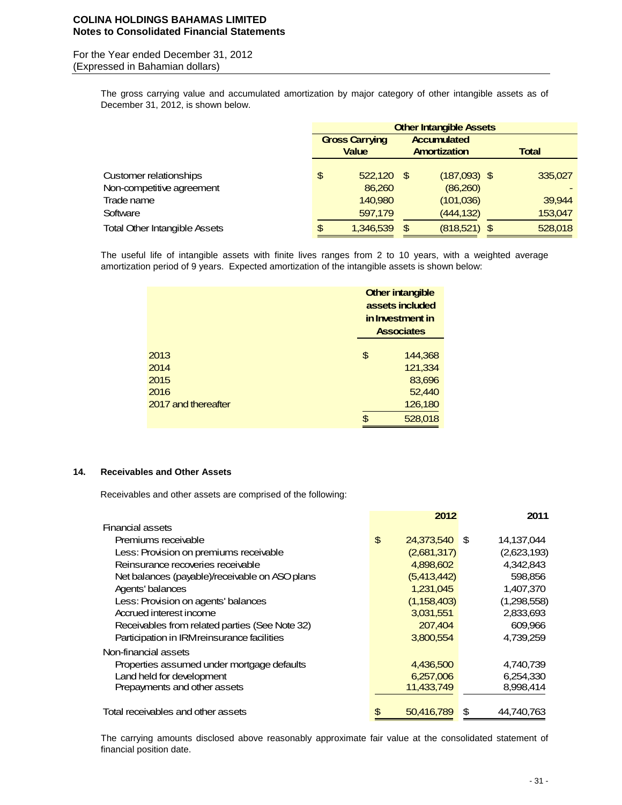For the Year ended December 31, 2012 (Expressed in Bahamian dollars)

> The gross carrying value and accumulated amortization by major category of other intangible assets as of December 31, 2012, is shown below.

|                                      | <b>Other Intangible Assets</b> |                       |                     |                    |  |              |
|--------------------------------------|--------------------------------|-----------------------|---------------------|--------------------|--|--------------|
|                                      |                                | <b>Gross Carrying</b> |                     | <b>Accumulated</b> |  |              |
|                                      | <b>Value</b>                   |                       | <b>Amortization</b> |                    |  | <b>Total</b> |
|                                      |                                |                       |                     |                    |  |              |
| Customer relationships               | \$                             | 522,120 \$            |                     | $(187,093)$ \$     |  | 335,027      |
| Non-competitive agreement            |                                | 86,260                |                     | (86,260)           |  |              |
| Trade name                           |                                | 140,980               |                     | (101,036)          |  | 39,944       |
| Software                             |                                | 597,179               |                     | (444, 132)         |  | 153,047      |
| <b>Total Other Intangible Assets</b> | \$                             | 1,346,539             | \$.                 | $(818,521)$ \$     |  | 528,018      |

The useful life of intangible assets with finite lives ranges from 2 to 10 years, with a weighted average amortization period of 9 years. Expected amortization of the intangible assets is shown below:

|                     | <b>Other intangible</b><br>assets included<br>in Investment in<br><b>Associates</b> |
|---------------------|-------------------------------------------------------------------------------------|
| 2013                | \$<br>144,368                                                                       |
| 2014                | 121,334                                                                             |
| 2015                | 83,696                                                                              |
| 2016                | 52,440                                                                              |
| 2017 and thereafter | 126,180                                                                             |
|                     | 528,018                                                                             |

### **14. Receivables and Other Assets**

Receivables and other assets are comprised of the following:

|                                                | 2012                |     | 2011        |
|------------------------------------------------|---------------------|-----|-------------|
| Financial assets                               |                     |     |             |
| Premiums receivable                            | \$<br>24,373,540 \$ |     | 14,137,044  |
| Less: Provision on premiums receivable         | (2,681,317)         |     | (2,623,193) |
| Reinsurance recoveries receivable              | 4,898,602           |     | 4,342,843   |
| Net balances (payable)/receivable on ASO plans | (5,413,442)         |     | 598,856     |
| Agents' balances                               | 1,231,045           |     | 1,407,370   |
| Less: Provision on agents' balances            | (1,158,403)         |     | (1,298,558) |
| Accrued interest income                        | 3,031,551           |     | 2,833,693   |
| Receivables from related parties (See Note 32) | 207,404             |     | 609,966     |
| Participation in IRM reinsurance facilities    | 3,800,554           |     | 4,739,259   |
| Non-financial assets                           |                     |     |             |
| Properties assumed under mortgage defaults     | 4,436,500           |     | 4,740,739   |
| Land held for development                      | 6,257,006           |     | 6,254,330   |
| Prepayments and other assets                   | 11,433,749          |     | 8,998,414   |
|                                                |                     |     |             |
| Total receivables and other assets             | \$<br>50.416.789    | \$. | 44.740.763  |

The carrying amounts disclosed above reasonably approximate fair value at the consolidated statement of financial position date.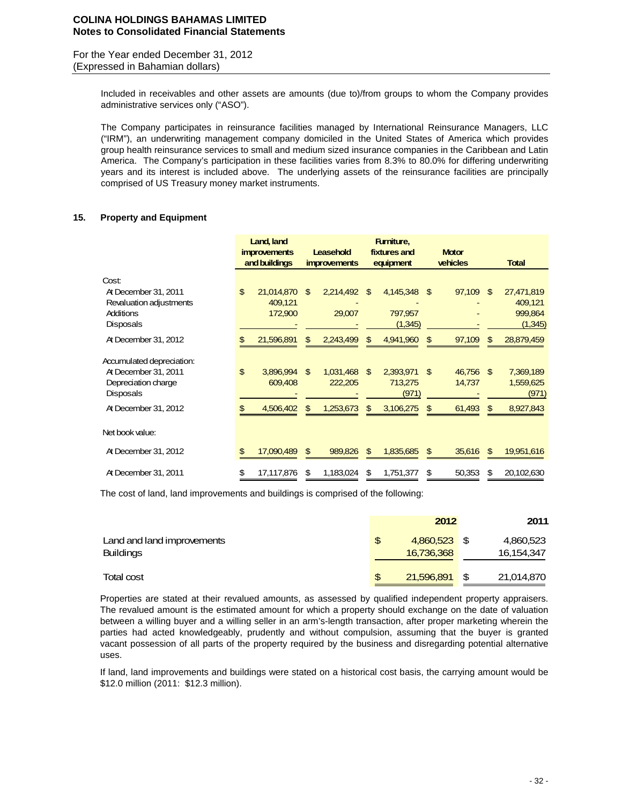For the Year ended December 31, 2012 (Expressed in Bahamian dollars)

> Included in receivables and other assets are amounts (due to)/from groups to whom the Company provides administrative services only ("ASO").

> The Company participates in reinsurance facilities managed by International Reinsurance Managers, LLC ("IRM"), an underwriting management company domiciled in the United States of America which provides group health reinsurance services to small and medium sized insurance companies in the Caribbean and Latin America. The Company's participation in these facilities varies from 8.3% to 80.0% for differing underwriting years and its interest is included above. The underlying assets of the reinsurance facilities are principally comprised of US Treasury money market instruments.

## **15. Property and Equipment**

|                           | Land, land<br><i>improvements</i><br>and buildings |                | Leasehold<br><i>improvements</i> | <b>Furniture,</b><br>fixtures and<br>equipment |     | <b>Motor</b><br><b>vehicles</b> | <b>Total</b>     |
|---------------------------|----------------------------------------------------|----------------|----------------------------------|------------------------------------------------|-----|---------------------------------|------------------|
|                           |                                                    |                |                                  |                                                |     |                                 |                  |
| Cost:                     |                                                    |                |                                  |                                                |     |                                 |                  |
| At December 31, 2011      | \$<br>21,014,870                                   | \$             | 2,214,492                        | \$<br>4,145,348                                | \$. | 97,109                          | \$<br>27,471,819 |
| Revaluation adjustments   | 409,121                                            |                |                                  |                                                |     |                                 | 409,121          |
| Additions                 | 172,900                                            |                | 29,007                           | 797,957                                        |     |                                 | 999,864          |
| <b>Disposals</b>          |                                                    |                |                                  | (1,345)                                        |     |                                 | (1,345)          |
| At December 31, 2012      | \$<br>21,596,891                                   | \$             | 2,243,499                        | \$<br>4,941,960                                | \$  | 97,109                          | \$<br>28,879,459 |
| Accumulated depreciation: |                                                    |                |                                  |                                                |     |                                 |                  |
| At December 31, 2011      | \$<br>3,896,994                                    | \$             | 1,031,468                        | \$<br>2,393,971                                | \$  | 46,756 \$                       | 7,369,189        |
| Depreciation charge       | 609,408                                            |                | 222,205                          | 713,275                                        |     | 14,737                          | 1,559,625        |
| <b>Disposals</b>          |                                                    |                |                                  | (971)                                          |     |                                 | (971)            |
| At December 31, 2012      | 4,506,402                                          | \$             | 1,253,673                        | \$<br>3,106,275                                | \$  | 61,493                          | \$<br>8,927,843  |
| Net book value:           |                                                    |                |                                  |                                                |     |                                 |                  |
| At December 31, 2012      | \$<br>17,090,489                                   | $\mathfrak{F}$ | 989,826                          | \$<br>1,835,685                                | \$  | 35,616                          | \$<br>19,951,616 |
| At December 31, 2011      | \$<br>17,117,876                                   | \$             | 1,183,024                        | \$<br>1,751,377                                | \$  | 50,353                          | \$<br>20,102,630 |

The cost of land, land improvements and buildings is comprised of the following:

|                                                | 2012                          |      | 2011                    |
|------------------------------------------------|-------------------------------|------|-------------------------|
| Land and land improvements<br><b>Buildings</b> | \$<br>4,860,523<br>16,736,368 | - \$ | 4,860,523<br>16,154,347 |
| Total cost                                     | \$<br>21,596,891              | \$   | 21,014,870              |

Properties are stated at their revalued amounts, as assessed by qualified independent property appraisers. The revalued amount is the estimated amount for which a property should exchange on the date of valuation between a willing buyer and a willing seller in an arm's-length transaction, after proper marketing wherein the parties had acted knowledgeably, prudently and without compulsion, assuming that the buyer is granted vacant possession of all parts of the property required by the business and disregarding potential alternative uses.

If land, land improvements and buildings were stated on a historical cost basis, the carrying amount would be \$12.0 million (2011: \$12.3 million).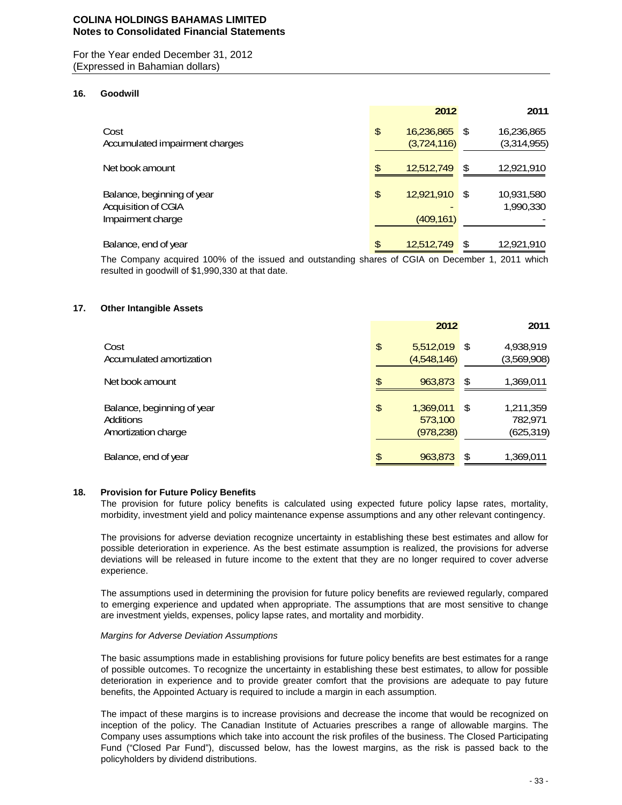For the Year ended December 31, 2012 (Expressed in Bahamian dollars)

### **16. Goodwill**

|                                                                        | 2012                            |      | 2011                      |
|------------------------------------------------------------------------|---------------------------------|------|---------------------------|
| Cost<br>Accumulated impairment charges                                 | \$<br>16,236,865<br>(3,724,116) | - \$ | 16,236,865<br>(3,314,955) |
| Net book amount                                                        | \$<br>12,512,749                | \$   | 12,921,910                |
| Balance, beginning of year<br>Acquisition of CGIA<br>Impairment charge | \$<br>12,921,910<br>(409, 161)  | \$   | 10,931,580<br>1,990,330   |
| Balance, end of year                                                   | \$<br>12,512,749                | S    | 12,921,910                |

The Company acquired 100% of the issued and outstanding shares of CGIA on December 1, 2011 which resulted in goodwill of \$1,990,330 at that date.

### **17. Other Intangible Assets**

|                                                                | 2012                                     | 2011                                     |
|----------------------------------------------------------------|------------------------------------------|------------------------------------------|
| Cost<br>Accumulated amortization                               | \$<br>5,512,019 \$<br>(4,548,146)        | 4,938,919<br>(3,569,908)                 |
| Net book amount                                                | \$<br>963,873                            | \$<br>1,369,011                          |
| Balance, beginning of year<br>Additions<br>Amortization charge | \$<br>1,369,011<br>573,100<br>(978, 238) | \$<br>1,211,359<br>782,971<br>(625, 319) |
| Balance, end of year                                           | \$<br>963.873                            | \$<br>1,369,011                          |

### **18. Provision for Future Policy Benefits**

The provision for future policy benefits is calculated using expected future policy lapse rates, mortality, morbidity, investment yield and policy maintenance expense assumptions and any other relevant contingency.

The provisions for adverse deviation recognize uncertainty in establishing these best estimates and allow for possible deterioration in experience. As the best estimate assumption is realized, the provisions for adverse deviations will be released in future income to the extent that they are no longer required to cover adverse experience.

The assumptions used in determining the provision for future policy benefits are reviewed regularly, compared to emerging experience and updated when appropriate. The assumptions that are most sensitive to change are investment yields, expenses, policy lapse rates, and mortality and morbidity.

### *Margins for Adverse Deviation Assumptions*

The basic assumptions made in establishing provisions for future policy benefits are best estimates for a range of possible outcomes. To recognize the uncertainty in establishing these best estimates, to allow for possible deterioration in experience and to provide greater comfort that the provisions are adequate to pay future benefits, the Appointed Actuary is required to include a margin in each assumption.

The impact of these margins is to increase provisions and decrease the income that would be recognized on inception of the policy. The Canadian Institute of Actuaries prescribes a range of allowable margins. The Company uses assumptions which take into account the risk profiles of the business. The Closed Participating Fund ("Closed Par Fund"), discussed below, has the lowest margins, as the risk is passed back to the policyholders by dividend distributions.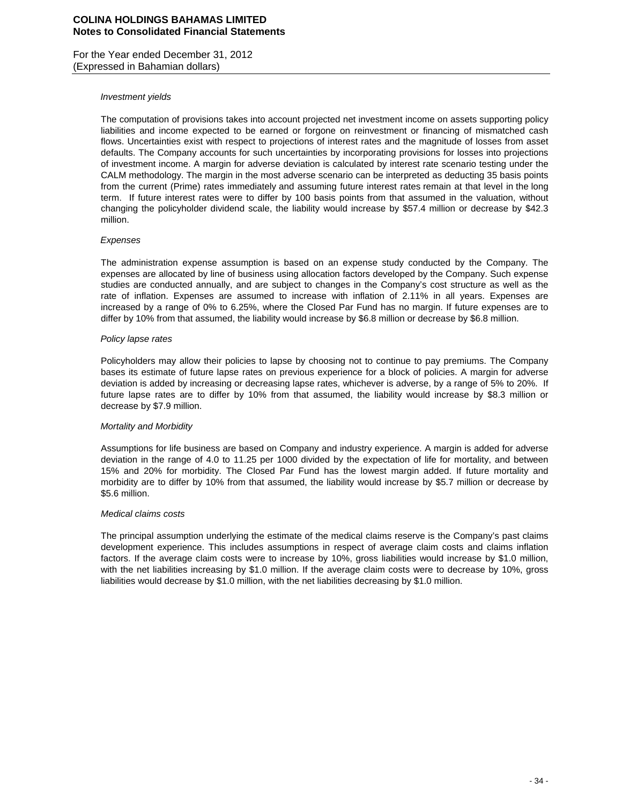For the Year ended December 31, 2012 (Expressed in Bahamian dollars)

#### *Investment yields*

The computation of provisions takes into account projected net investment income on assets supporting policy liabilities and income expected to be earned or forgone on reinvestment or financing of mismatched cash flows. Uncertainties exist with respect to projections of interest rates and the magnitude of losses from asset defaults. The Company accounts for such uncertainties by incorporating provisions for losses into projections of investment income. A margin for adverse deviation is calculated by interest rate scenario testing under the CALM methodology. The margin in the most adverse scenario can be interpreted as deducting 35 basis points from the current (Prime) rates immediately and assuming future interest rates remain at that level in the long term. If future interest rates were to differ by 100 basis points from that assumed in the valuation, without changing the policyholder dividend scale, the liability would increase by \$57.4 million or decrease by \$42.3 million.

#### *Expenses*

The administration expense assumption is based on an expense study conducted by the Company. The expenses are allocated by line of business using allocation factors developed by the Company. Such expense studies are conducted annually, and are subject to changes in the Company's cost structure as well as the rate of inflation. Expenses are assumed to increase with inflation of 2.11% in all years. Expenses are increased by a range of 0% to 6.25%, where the Closed Par Fund has no margin. If future expenses are to differ by 10% from that assumed, the liability would increase by \$6.8 million or decrease by \$6.8 million.

#### *Policy lapse rates*

Policyholders may allow their policies to lapse by choosing not to continue to pay premiums. The Company bases its estimate of future lapse rates on previous experience for a block of policies. A margin for adverse deviation is added by increasing or decreasing lapse rates, whichever is adverse, by a range of 5% to 20%. If future lapse rates are to differ by 10% from that assumed, the liability would increase by \$8.3 million or decrease by \$7.9 million.

#### *Mortality and Morbidity*

Assumptions for life business are based on Company and industry experience. A margin is added for adverse deviation in the range of 4.0 to 11.25 per 1000 divided by the expectation of life for mortality, and between 15% and 20% for morbidity. The Closed Par Fund has the lowest margin added. If future mortality and morbidity are to differ by 10% from that assumed, the liability would increase by \$5.7 million or decrease by \$5.6 million.

#### *Medical claims costs*

The principal assumption underlying the estimate of the medical claims reserve is the Company's past claims development experience. This includes assumptions in respect of average claim costs and claims inflation factors. If the average claim costs were to increase by 10%, gross liabilities would increase by \$1.0 million, with the net liabilities increasing by \$1.0 million. If the average claim costs were to decrease by 10%, gross liabilities would decrease by \$1.0 million, with the net liabilities decreasing by \$1.0 million.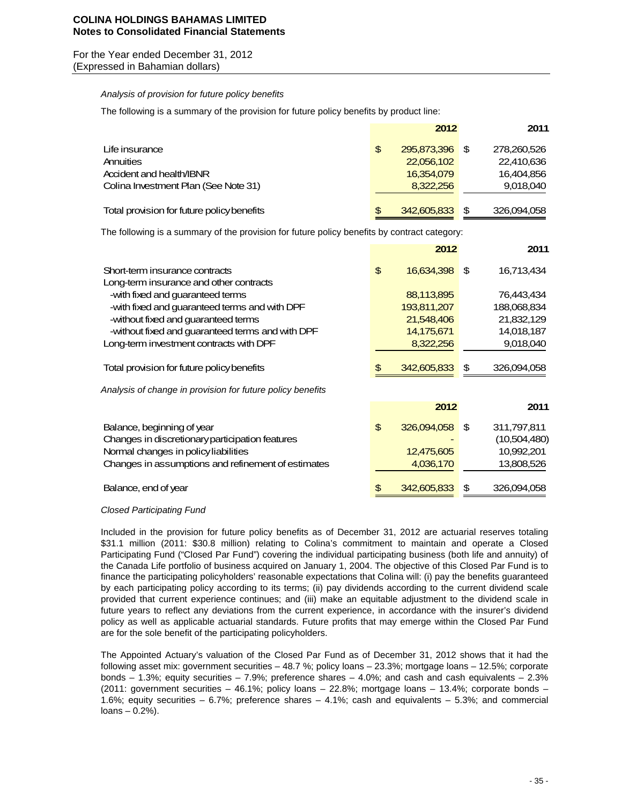For the Year ended December 31, 2012 (Expressed in Bahamian dollars)

### *Analysis of provision for future policy benefits*

The following is a summary of the provision for future policy benefits by product line:

|                                            | 2012              | 2011        |
|--------------------------------------------|-------------------|-------------|
| Life insurance                             | \$<br>295,873,396 | 278,260,526 |
| Annuities                                  | 22,056,102        | 22,410,636  |
| Accident and health/IBNR                   | 16.354.079        | 16.404.856  |
| Colina Investment Plan (See Note 31)       | 8,322,256         | 9,018,040   |
| Total provision for future policy benefits | \$<br>342,605,833 | 326.094.058 |

The following is a summary of the provision for future policy benefits by contract category:

|                                                            | 2012              |      | 2011         |
|------------------------------------------------------------|-------------------|------|--------------|
| Short-term insurance contracts                             | \$<br>16,634,398  | \$   | 16,713,434   |
| Long-term insurance and other contracts                    |                   |      |              |
| -with fixed and guaranteed terms                           | 88,113,895        |      | 76,443,434   |
| -with fixed and guaranteed terms and with DPF              | 193,811,207       |      | 188,068,834  |
| -without fixed and guaranteed terms                        | 21,548,406        |      | 21,832,129   |
| -without fixed and guaranteed terms and with DPF           | 14,175,671        |      | 14,018,187   |
| Long-term investment contracts with DPF                    | 8,322,256         |      | 9,018,040    |
| Total provision for future policy benefits                 | \$<br>342,605,833 | \$.  | 326,094,058  |
| Analysis of change in provision for future policy benefits |                   |      |              |
|                                                            | 2012              |      | 2011         |
| Balance, beginning of year                                 | \$<br>326,094,058 | - \$ | 311,797,811  |
| Changes in discretionary participation features            |                   |      | (10,504,480) |
| Normal changes in policy liabilities                       | 12,475,605        |      | 10,992,201   |
| Changes in assumptions and refinement of estimates         | 4,036,170         |      | 13,808,526   |
| Balance, end of year                                       | \$<br>342,605,833 | \$   | 326,094,058  |

## *Closed Participating Fund*

Included in the provision for future policy benefits as of December 31, 2012 are actuarial reserves totaling \$31.1 million (2011: \$30.8 million) relating to Colina's commitment to maintain and operate a Closed Participating Fund ("Closed Par Fund") covering the individual participating business (both life and annuity) of the Canada Life portfolio of business acquired on January 1, 2004. The objective of this Closed Par Fund is to finance the participating policyholders' reasonable expectations that Colina will: (i) pay the benefits guaranteed by each participating policy according to its terms; (ii) pay dividends according to the current dividend scale provided that current experience continues; and (iii) make an equitable adjustment to the dividend scale in future years to reflect any deviations from the current experience, in accordance with the insurer's dividend policy as well as applicable actuarial standards. Future profits that may emerge within the Closed Par Fund are for the sole benefit of the participating policyholders.

The Appointed Actuary's valuation of the Closed Par Fund as of December 31, 2012 shows that it had the following asset mix: government securities – 48.7 %; policy loans – 23.3%; mortgage loans – 12.5%; corporate bonds  $-1.3\%$ ; equity securities  $-7.9\%$ ; preference shares  $-4.0\%$ ; and cash and cash equivalents  $-2.3\%$ (2011: government securities – 46.1%; policy loans – 22.8%; mortgage loans – 13.4%; corporate bonds – 1.6%; equity securities – 6.7%; preference shares – 4.1%; cash and equivalents – 5.3%; and commercial loans – 0.2%).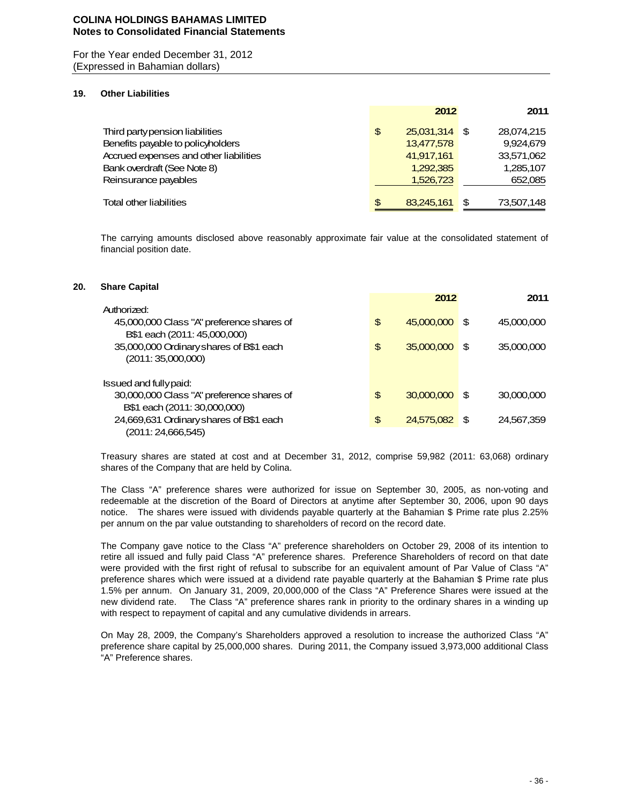For the Year ended December 31, 2012 (Expressed in Bahamian dollars)

## **19. Other Liabilities**

**20.** 

|                                        | 2012             | 2011               |
|----------------------------------------|------------------|--------------------|
| Third party pension liabilities        | \$<br>25,031,314 | 28,074,215<br>- \$ |
| Benefits payable to policyholders      | 13,477,578       | 9,924,679          |
| Accrued expenses and other liabilities | 41,917,161       | 33,571,062         |
| Bank overdraft (See Note 8)            | 1,292,385        | 1,285,107          |
| Reinsurance payables                   | 1,526,723        | 652,085            |
| Total other liabilities                | \$<br>83,245,161 | 73,507,148<br>\$.  |

The carrying amounts disclosed above reasonably approximate fair value at the consolidated statement of financial position date.

| <b>Share Capital</b>                      |                     |      |            |
|-------------------------------------------|---------------------|------|------------|
|                                           | 2012                |      | 2011       |
| Authorized:                               |                     |      |            |
| 45,000,000 Class "A" preference shares of | \$<br>45,000,000 \$ |      | 45,000,000 |
| B\$1 each (2011: 45,000,000)              |                     |      |            |
| 35,000,000 Ordinary shares of B\$1 each   | \$<br>35,000,000 \$ |      | 35,000,000 |
| (2011:35,000,000)                         |                     |      |            |
| <b>Issued and fully paid:</b>             |                     |      |            |
| 30,000,000 Class "A" preference shares of | \$<br>30,000,000    | S    | 30,000,000 |
| B\$1 each (2011: 30,000,000)              |                     |      |            |
| 24,669,631 Ordinary shares of B\$1 each   | \$<br>24,575,082    | - 36 | 24,567,359 |
| (2011: 24.666.545)                        |                     |      |            |

Treasury shares are stated at cost and at December 31, 2012, comprise 59,982 (2011: 63,068) ordinary shares of the Company that are held by Colina.

The Class "A" preference shares were authorized for issue on September 30, 2005, as non-voting and redeemable at the discretion of the Board of Directors at anytime after September 30, 2006, upon 90 days notice. The shares were issued with dividends payable quarterly at the Bahamian \$ Prime rate plus 2.25% per annum on the par value outstanding to shareholders of record on the record date.

The Company gave notice to the Class "A" preference shareholders on October 29, 2008 of its intention to retire all issued and fully paid Class "A" preference shares. Preference Shareholders of record on that date were provided with the first right of refusal to subscribe for an equivalent amount of Par Value of Class "A" preference shares which were issued at a dividend rate payable quarterly at the Bahamian \$ Prime rate plus 1.5% per annum. On January 31, 2009, 20,000,000 of the Class "A" Preference Shares were issued at the new dividend rate. The Class "A" preference shares rank in priority to the ordinary shares in a winding up with respect to repayment of capital and any cumulative dividends in arrears.

On May 28, 2009, the Company's Shareholders approved a resolution to increase the authorized Class "A" preference share capital by 25,000,000 shares. During 2011, the Company issued 3,973,000 additional Class "A" Preference shares.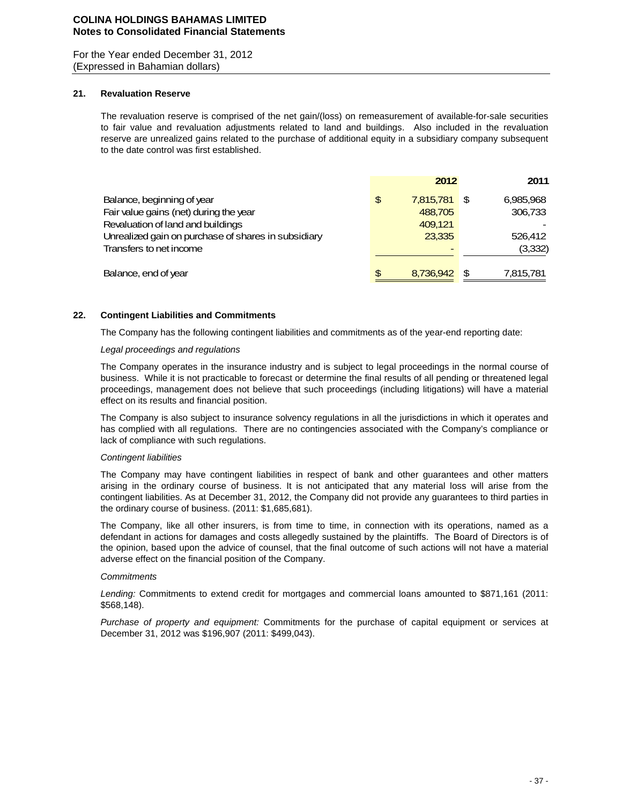For the Year ended December 31, 2012 (Expressed in Bahamian dollars)

# **21. Revaluation Reserve**

The revaluation reserve is comprised of the net gain/(loss) on remeasurement of available-for-sale securities to fair value and revaluation adjustments related to land and buildings. Also included in the revaluation reserve are unrealized gains related to the purchase of additional equity in a subsidiary company subsequent to the date control was first established.

|                                                     | 2012            |     | 2011      |
|-----------------------------------------------------|-----------------|-----|-----------|
| Balance, beginning of year                          | \$<br>7,815,781 | \$. | 6,985,968 |
| Fair value gains (net) during the year              | 488,705         |     | 306,733   |
| Revaluation of land and buildings                   | 409.121         |     |           |
| Unrealized gain on purchase of shares in subsidiary | 23,335          |     | 526.412   |
| Transfers to net income                             |                 |     | (3,332)   |
| Balance, end of year                                | \$<br>8,736,942 |     | 7,815,781 |

# **22. Contingent Liabilities and Commitments**

The Company has the following contingent liabilities and commitments as of the year-end reporting date:

# *Legal proceedings and regulations*

The Company operates in the insurance industry and is subject to legal proceedings in the normal course of business. While it is not practicable to forecast or determine the final results of all pending or threatened legal proceedings, management does not believe that such proceedings (including litigations) will have a material effect on its results and financial position.

The Company is also subject to insurance solvency regulations in all the jurisdictions in which it operates and has complied with all regulations. There are no contingencies associated with the Company's compliance or lack of compliance with such regulations.

# *Contingent liabilities*

The Company may have contingent liabilities in respect of bank and other guarantees and other matters arising in the ordinary course of business. It is not anticipated that any material loss will arise from the contingent liabilities. As at December 31, 2012, the Company did not provide any guarantees to third parties in the ordinary course of business. (2011: \$1,685,681).

The Company, like all other insurers, is from time to time, in connection with its operations, named as a defendant in actions for damages and costs allegedly sustained by the plaintiffs. The Board of Directors is of the opinion, based upon the advice of counsel, that the final outcome of such actions will not have a material adverse effect on the financial position of the Company.

# *Commitments*

*Lending:* Commitments to extend credit for mortgages and commercial loans amounted to \$871,161 (2011: \$568,148).

*Purchase of property and equipment:* Commitments for the purchase of capital equipment or services at December 31, 2012 was \$196,907 (2011: \$499,043).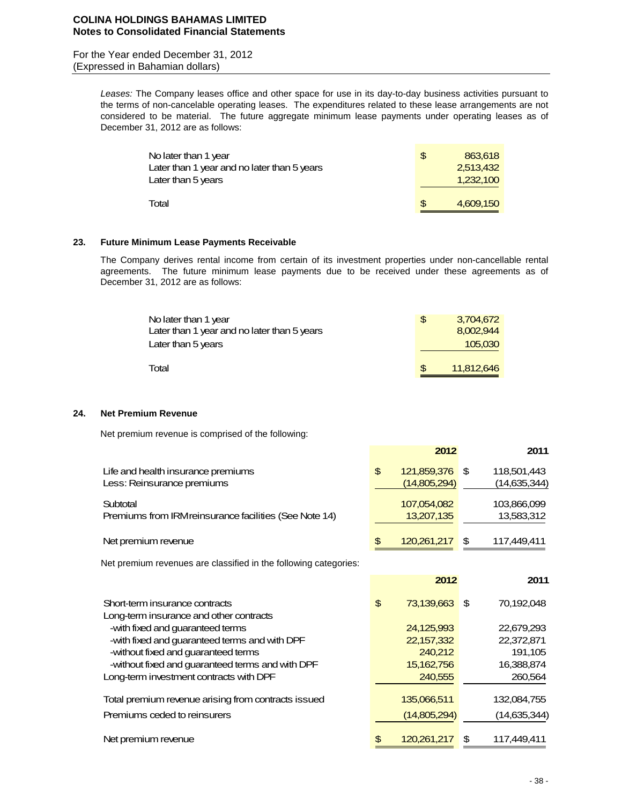For the Year ended December 31, 2012 (Expressed in Bahamian dollars)

> *Leases:* The Company leases office and other space for use in its day-to-day business activities pursuant to the terms of non-cancelable operating leases. The expenditures related to these lease arrangements are not considered to be material. The future aggregate minimum lease payments under operating leases as of December 31, 2012 are as follows:

| No later than 1 year<br>Later than 1 year and no later than 5 years | \$  | 863,618<br>2.513.432   |
|---------------------------------------------------------------------|-----|------------------------|
| Later than 5 years<br>Total                                         | \$. | 1,232,100<br>4,609,150 |

### **23. Future Minimum Lease Payments Receivable**

The Company derives rental income from certain of its investment properties under non-cancellable rental agreements. The future minimum lease payments due to be received under these agreements as of December 31, 2012 are as follows:

| No later than 1 year                        | \$  | 3.704.672  |
|---------------------------------------------|-----|------------|
| Later than 1 year and no later than 5 years |     | 8.002.944  |
| Later than 5 years                          |     | 105,030    |
| Total                                       | \$. | 11.812.646 |

### **24. Net Premium Revenue**

Net premium revenue is comprised of the following:

|                                                                    | 2012                              | 2011                        |
|--------------------------------------------------------------------|-----------------------------------|-----------------------------|
| Life and health insurance premiums<br>Less: Reinsurance premiums   | \$<br>121,859,376<br>(14,805,294) | 118,501,443<br>(14,635,344) |
| Subtotal<br>Premiums from IRM reinsurance facilities (See Note 14) | 107,054,082<br>13,207,135         | 103,866,099<br>13,583,312   |
| Net premium revenue                                                | \$<br>120.261.217                 | 117.449.411                 |

Net premium revenues are classified in the following categories:

|                                                     | 2012              |     | 2011         |
|-----------------------------------------------------|-------------------|-----|--------------|
| Short-term insurance contracts                      | \$<br>73.139.663  | -36 | 70,192,048   |
| Long-term insurance and other contracts             |                   |     |              |
| -with fixed and guaranteed terms                    | 24,125,993        |     | 22,679,293   |
| -with fixed and quaranteed terms and with DPF       | 22,157,332        |     | 22,372,871   |
| -without fixed and guaranteed terms                 | 240.212           |     | 191,105      |
| -without fixed and guaranteed terms and with DPF    | 15,162,756        |     | 16,388,874   |
| Long-term investment contracts with DPF             | 240,555           |     | 260,564      |
| Total premium revenue arising from contracts issued | 135,066,511       |     | 132,084,755  |
| Premiums ceded to reinsurers                        | (14,805,294)      |     | (14,635,344) |
| Net premium revenue                                 | \$<br>120.261.217 |     | 117.449.411  |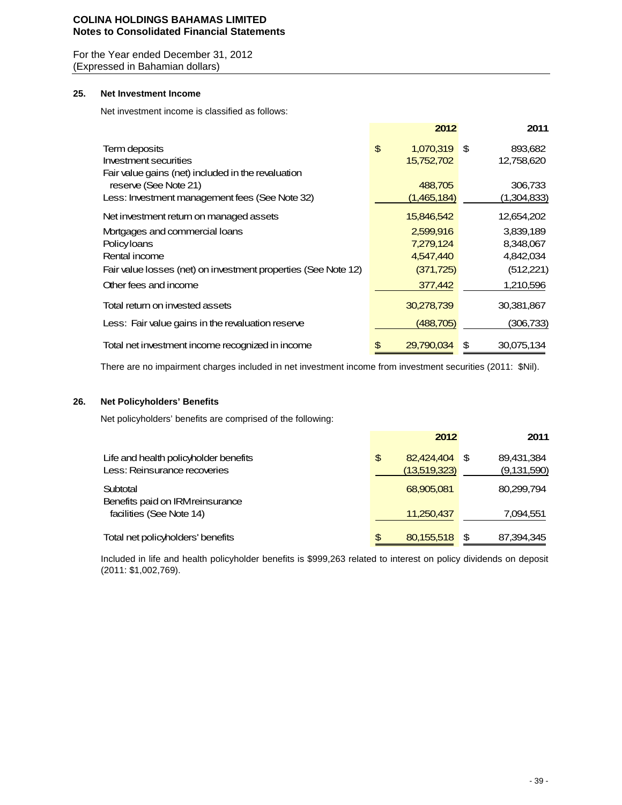For the Year ended December 31, 2012 (Expressed in Bahamian dollars)

### **25. Net Investment Income**

Net investment income is classified as follows:

|                                                                | 2012             | 2011              |
|----------------------------------------------------------------|------------------|-------------------|
| Term deposits                                                  | \$<br>1,070,319  | - \$<br>893,682   |
| Investment securities                                          | 15,752,702       | 12,758,620        |
| Fair value gains (net) included in the revaluation             |                  |                   |
| reserve (See Note 21)                                          | 488,705          | 306,733           |
| Less: Investment management fees (See Note 32)                 | (1,465,184)      | (1,304,833)       |
| Net investment return on managed assets                        | 15,846,542       | 12,654,202        |
| Mortgages and commercial loans                                 | 2,599,916        | 3,839,189         |
| Policy loans                                                   | 7,279,124        | 8,348,067         |
| Rental income                                                  | 4,547,440        | 4,842,034         |
| Fair value losses (net) on investment properties (See Note 12) | (371, 725)       | (512,221)         |
| Other fees and income                                          | 377,442          | 1,210,596         |
| Total return on invested assets                                | 30,278,739       | 30,381,867        |
| Less: Fair value gains in the revaluation reserve              | (488,705)        | (306,733)         |
| Total net investment income recognized in income               | \$<br>29.790.034 | 30.075.134<br>\$. |

There are no impairment charges included in net investment income from investment securities (2011: \$Nil).

## **26. Net Policyholders' Benefits**

Net policyholders' benefits are comprised of the following:

|                                                                       | 2012                             | 2011                                |
|-----------------------------------------------------------------------|----------------------------------|-------------------------------------|
| Life and health policyholder benefits<br>Less: Reinsurance recoveries | \$<br>82,424,404<br>(13,519,323) | 89,431,384<br>- 35<br>(9, 131, 590) |
| Subtotal<br>Benefits paid on IRM reinsurance                          | 68,905,081                       | 80,299,794                          |
| facilities (See Note 14)                                              | 11,250,437                       | 7,094,551                           |
| Total net policyholders' benefits                                     | \$<br>80,155,518                 | 87,394,345                          |

Included in life and health policyholder benefits is \$999,263 related to interest on policy dividends on deposit (2011: \$1,002,769).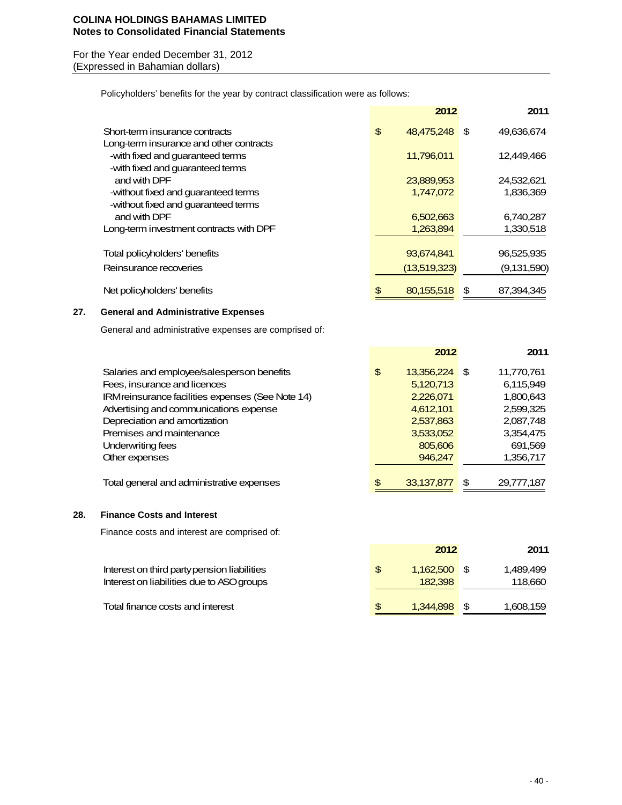For the Year ended December 31, 2012 (Expressed in Bahamian dollars)

Policyholders' benefits for the year by contract classification were as follows:

|                                         | 2012             | 2011             |
|-----------------------------------------|------------------|------------------|
| Short-term insurance contracts          | \$<br>48.475.248 | 49,636,674<br>\$ |
| Long-term insurance and other contracts |                  |                  |
| -with fixed and guaranteed terms        | 11,796,011       | 12,449,466       |
| -with fixed and guaranteed terms        |                  |                  |
| and with DPF                            | 23,889,953       | 24,532,621       |
| -without fixed and guaranteed terms     | 1,747,072        | 1,836,369        |
| -without fixed and guaranteed terms     |                  |                  |
| and with DPF                            | 6,502,663        | 6,740,287        |
| Long-term investment contracts with DPF | 1,263,894        | 1,330,518        |
|                                         |                  |                  |
| Total policyholders' benefits           | 93,674,841       | 96,525,935       |
| Reinsurance recoveries                  | (13,519,323)     | (9, 131, 590)    |
| Net policyholders' benefits             | \$<br>80,155,518 | 87,394,345       |

## **27. General and Administrative Expenses**

General and administrative expenses are comprised of:

| Salaries and employee/salesperson benefits        | \$<br>13,356,224  | 11,770,761<br>S |
|---------------------------------------------------|-------------------|-----------------|
| Fees, insurance and licences                      | 5,120,713         | 6,115,949       |
| IRM reinsurance facilities expenses (See Note 14) | 2,226,071         | 1,800,643       |
| Advertising and communications expense            | 4,612,101         | 2,599,325       |
| Depreciation and amortization                     | 2,537,863         | 2,087,748       |
| Premises and maintenance                          | 3,533,052         | 3,354,475       |
| Underwriting fees                                 | 805,606           | 691,569         |
| Other expenses                                    | 946,247           | 1,356,717       |
|                                                   |                   |                 |
| Total general and administrative expenses         | \$.<br>33,137,877 | 29,777,187      |

### **28. Finance Costs and Interest**

Finance costs and interest are comprised of:

|                                                                                          |     | 2012                 |      | 2011                 |
|------------------------------------------------------------------------------------------|-----|----------------------|------|----------------------|
| Interest on third party pension liabilities<br>Interest on liabilities due to ASO groups | \$. | 1.162,500<br>182,398 | - SS | 1,489,499<br>118,660 |
| Total finance costs and interest                                                         | \$. | 1.344.898            |      | 1,608,159            |

**2012 2011**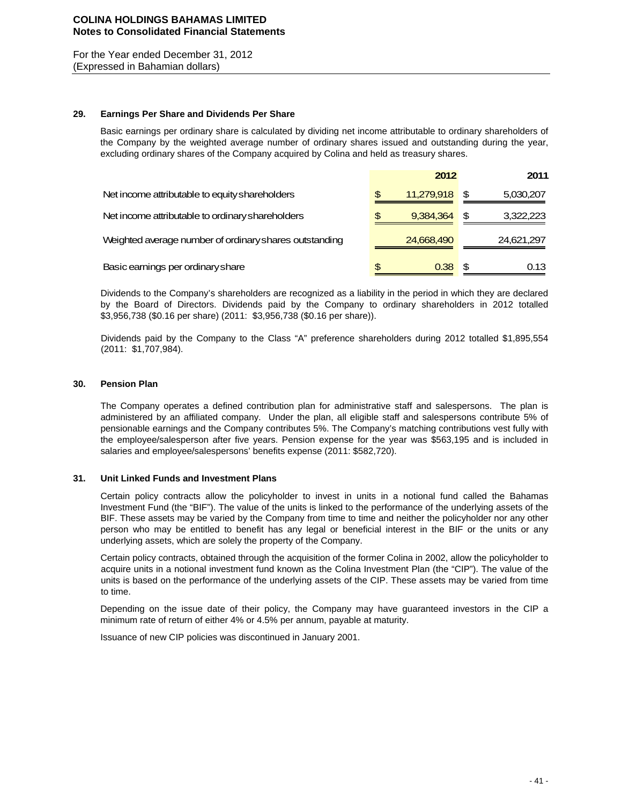For the Year ended December 31, 2012 (Expressed in Bahamian dollars)

# **29. Earnings Per Share and Dividends Per Share**

Basic earnings per ordinary share is calculated by dividing net income attributable to ordinary shareholders of the Company by the weighted average number of ordinary shares issued and outstanding during the year, excluding ordinary shares of the Company acquired by Colina and held as treasury shares.

|                                                        | 2012              | 2011             |
|--------------------------------------------------------|-------------------|------------------|
| Net income attributable to equity shareholders         | 11,279,918<br>\$. | 5,030,207<br>\$. |
| Net income attributable to ordinary shareholders       | \$<br>9,384,364   | 3,322,223<br>\$. |
| Weighted average number of ordinary shares outstanding | 24,668,490        | 24,621,297       |
| Basic earnings per ordinary share                      | S<br>0.38         | 0.13<br>\$.      |

Dividends to the Company's shareholders are recognized as a liability in the period in which they are declared by the Board of Directors. Dividends paid by the Company to ordinary shareholders in 2012 totalled \$3,956,738 (\$0.16 per share) (2011: \$3,956,738 (\$0.16 per share)).

Dividends paid by the Company to the Class "A" preference shareholders during 2012 totalled \$1,895,554 (2011: \$1,707,984).

### **30. Pension Plan**

The Company operates a defined contribution plan for administrative staff and salespersons. The plan is administered by an affiliated company. Under the plan, all eligible staff and salespersons contribute 5% of pensionable earnings and the Company contributes 5%. The Company's matching contributions vest fully with the employee/salesperson after five years. Pension expense for the year was \$563,195 and is included in salaries and employee/salespersons' benefits expense (2011: \$582,720).

### **31. Unit Linked Funds and Investment Plans**

Certain policy contracts allow the policyholder to invest in units in a notional fund called the Bahamas Investment Fund (the "BIF"). The value of the units is linked to the performance of the underlying assets of the BIF. These assets may be varied by the Company from time to time and neither the policyholder nor any other person who may be entitled to benefit has any legal or beneficial interest in the BIF or the units or any underlying assets, which are solely the property of the Company.

 Certain policy contracts, obtained through the acquisition of the former Colina in 2002, allow the policyholder to acquire units in a notional investment fund known as the Colina Investment Plan (the "CIP"). The value of the units is based on the performance of the underlying assets of the CIP. These assets may be varied from time to time.

Depending on the issue date of their policy, the Company may have guaranteed investors in the CIP a minimum rate of return of either 4% or 4.5% per annum, payable at maturity.

Issuance of new CIP policies was discontinued in January 2001.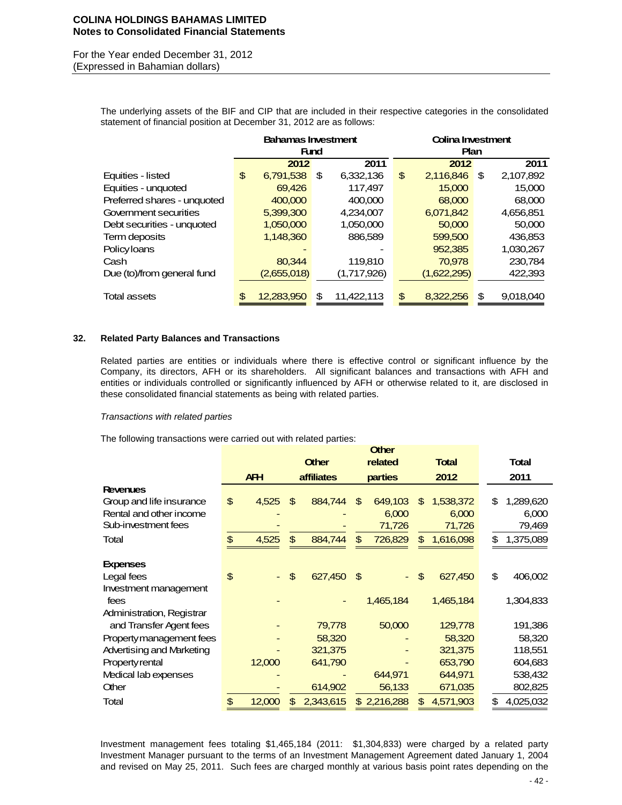For the Year ended December 31, 2012 (Expressed in Bahamian dollars)

> The underlying assets of the BIF and CIP that are included in their respective categories in the consolidated statement of financial position at December 31, 2012 are as follows:

|                             |    | <b>Bahamas Investment</b> |    |             | <b>Colina Investment</b> |             |     |           |  |  |  |  |
|-----------------------------|----|---------------------------|----|-------------|--------------------------|-------------|-----|-----------|--|--|--|--|
|                             |    | <b>Fund</b>               |    |             | Plan                     |             |     |           |  |  |  |  |
|                             |    | 2012                      |    | 2011        | 2012                     |             |     | 2011      |  |  |  |  |
| Equities - listed           | \$ | 6,791,538                 | \$ | 6,332,136   | \$                       | 2,116,846   | \$. | 2,107,892 |  |  |  |  |
| Equities - unquoted         |    | 69.426                    |    | 117.497     |                          | 15,000      |     | 15,000    |  |  |  |  |
| Preferred shares - unquoted |    | 400,000                   |    | 400,000     |                          | 68,000      |     | 68,000    |  |  |  |  |
| Government securities       |    | 5,399,300                 |    | 4,234,007   |                          | 6,071,842   |     | 4,656,851 |  |  |  |  |
| Debt securities - unquoted  |    | 1,050,000                 |    | 1,050,000   |                          | 50,000      |     | 50,000    |  |  |  |  |
| Term deposits               |    | 1,148,360                 |    | 886,589     |                          | 599,500     |     | 436,853   |  |  |  |  |
| Policy loans                |    |                           |    |             |                          | 952.385     |     | 1,030,267 |  |  |  |  |
| Cash                        |    | 80.344                    |    | 119,810     |                          | 70,978      |     | 230,784   |  |  |  |  |
| Due (to)/from general fund  |    | (2,655,018)               |    | (1,717,926) |                          | (1,622,295) |     | 422,393   |  |  |  |  |
| Total assets                | £. | 12,283,950                | \$ | 11,422,113  | \$                       | 8.322.256   | \$  | 9,018,040 |  |  |  |  |

## **32. Related Party Balances and Transactions**

Related parties are entities or individuals where there is effective control or significant influence by the Company, its directors, AFH or its shareholders. All significant balances and transactions with AFH and entities or individuals controlled or significantly influenced by AFH or otherwise related to it, are disclosed in these consolidated financial statements as being with related parties.

### *Transactions with related parties*

The following transactions were carried out with related parties:

|                                  | <b>Other</b> |            |                |                          |    |                |    |              |                 |
|----------------------------------|--------------|------------|----------------|--------------------------|----|----------------|----|--------------|-----------------|
|                                  |              |            |                | <b>Other</b>             |    | related        |    | <b>Total</b> | <b>Total</b>    |
|                                  |              | <b>ARH</b> |                | <i><b>affiliates</b></i> |    | <b>parties</b> |    | 2012         | 2011            |
| <b>Revenues</b>                  |              |            |                |                          |    |                |    |              |                 |
| Group and life insurance         | \$           | 4,525      | $\mathfrak{L}$ | 884,744                  | \$ | 649,103        | \$ | 1,538,372    | \$<br>1,289,620 |
| Rental and other income          |              |            |                |                          |    | 6,000          |    | 6,000        | 6,000           |
| Sub-investment fees              |              |            |                |                          |    | 71,726         |    | 71,726       | 79,469          |
| Total                            | \$           | 4,525      | \$             | 884,744                  | \$ | 726,829        | \$ | 1,616,098    | \$<br>1,375,089 |
| <b>Expenses</b>                  |              |            |                |                          |    |                |    |              |                 |
| Legal fees                       | \$           |            | $\mathfrak{L}$ | 627,450                  | \$ |                | \$ | 627,450      | \$<br>406,002   |
| Investment management            |              |            |                |                          |    |                |    |              |                 |
| fees                             |              |            |                |                          |    | 1,465,184      |    | 1,465,184    | 1,304,833       |
| Administration, Registrar        |              |            |                |                          |    |                |    |              |                 |
| and Transfer Agent fees          |              |            |                | 79,778                   |    | 50,000         |    | 129,778      | 191,386         |
| Property management fees         |              |            |                | 58,320                   |    |                |    | 58,320       | 58,320          |
| <b>Advertising and Marketing</b> |              |            |                | 321,375                  |    |                |    | 321,375      | 118,551         |
| Property rental                  |              | 12,000     |                | 641,790                  |    |                |    | 653,790      | 604,683         |
| Medical lab expenses             |              |            |                |                          |    | 644,971        |    | 644,971      | 538,432         |
| Other                            |              |            |                | 614,902                  |    | 56,133         |    | 671,035      | 802,825         |
| Total                            | S.           | 12,000     | \$             | 2,343,615                |    | \$2,216,288    | \$ | 4,571,903    | \$<br>4,025,032 |

Investment management fees totaling \$1,465,184 (2011: \$1,304,833) were charged by a related party Investment Manager pursuant to the terms of an Investment Management Agreement dated January 1, 2004 and revised on May 25, 2011. Such fees are charged monthly at various basis point rates depending on the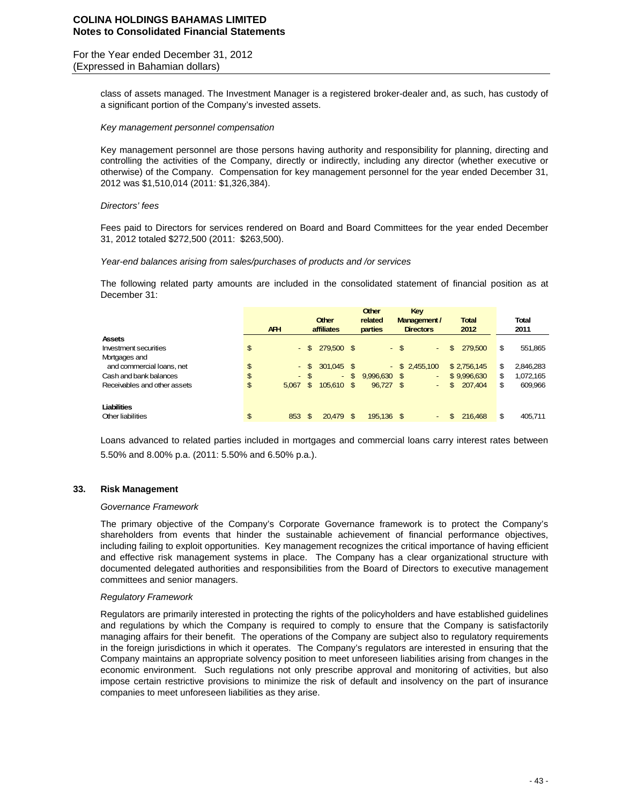For the Year ended December 31, 2012 (Expressed in Bahamian dollars)

> class of assets managed. The Investment Manager is a registered broker-dealer and, as such, has custody of a significant portion of the Company's invested assets.

#### *Key management personnel compensation*

Key management personnel are those persons having authority and responsibility for planning, directing and controlling the activities of the Company, directly or indirectly, including any director (whether executive or otherwise) of the Company. Compensation for key management personnel for the year ended December 31, 2012 was \$1,510,014 (2011: \$1,326,384).

#### *Directors' fees*

Fees paid to Directors for services rendered on Board and Board Committees for the year ended December 31, 2012 totaled \$272,500 (2011: \$263,500).

#### *Year-end balances arising from sales/purchases of products and /or services*

The following related party amounts are included in the consolidated statement of financial position as at December 31:

|                              | <b>AHI</b>                |               | Other<br>affiliates |        | Other<br>related<br>parties | Key<br><b>Management /</b><br><b>Directors</b> | <b>Total</b><br>2012 |     | Total<br>2011 |
|------------------------------|---------------------------|---------------|---------------------|--------|-----------------------------|------------------------------------------------|----------------------|-----|---------------|
| <b>Assets</b>                |                           |               |                     |        |                             |                                                |                      |     |               |
| Investment securities        | \$<br>$\omega_{\rm{eff}}$ | <sup>\$</sup> | 279,500 \$          |        |                             | $-$ \$<br>$\overline{\phantom{0}}$             | \$<br>279,500        | \$  | 551,865       |
| Mortgages and                |                           |               |                     |        |                             |                                                |                      |     |               |
| and commercial loans, net    | \$<br>$\sim$              | \$.           | 301.045 \$          |        |                             | $-$ \$ 2,455,100                               | \$2.756.145          | \$  | 2,846,283     |
| Cash and bank balances       | \$<br>$\sim$ $-$          | $\mathbf{E}$  |                     | $-$ \$ | 9,996,630 \$                | -                                              | \$9,996,630          | \$  | 1,072,165     |
| Receivables and other assets | \$<br>5,067               | \$            | 105,610             | \$     | 96,727 \$                   | ٠                                              | 207,404<br>\$        | \$  | 609,966       |
| Liabilities                  |                           |               |                     |        |                             |                                                |                      |     |               |
| Other liabilities            | \$<br>853                 | \$            | 20.479              | \$.    | 195.136 \$                  | $\overline{\phantom{0}}$                       | 216,468<br>\$        | \$. | 405,711       |

Loans advanced to related parties included in mortgages and commercial loans carry interest rates between 5.50% and 8.00% p.a. (2011: 5.50% and 6.50% p.a.).

### **33. Risk Management**

#### *Governance Framework*

The primary objective of the Company's Corporate Governance framework is to protect the Company's shareholders from events that hinder the sustainable achievement of financial performance objectives, including failing to exploit opportunities. Key management recognizes the critical importance of having efficient and effective risk management systems in place. The Company has a clear organizational structure with documented delegated authorities and responsibilities from the Board of Directors to executive management committees and senior managers.

#### *Regulatory Framework*

Regulators are primarily interested in protecting the rights of the policyholders and have established guidelines and regulations by which the Company is required to comply to ensure that the Company is satisfactorily managing affairs for their benefit. The operations of the Company are subject also to regulatory requirements in the foreign jurisdictions in which it operates. The Company's regulators are interested in ensuring that the Company maintains an appropriate solvency position to meet unforeseen liabilities arising from changes in the economic environment. Such regulations not only prescribe approval and monitoring of activities, but also impose certain restrictive provisions to minimize the risk of default and insolvency on the part of insurance companies to meet unforeseen liabilities as they arise.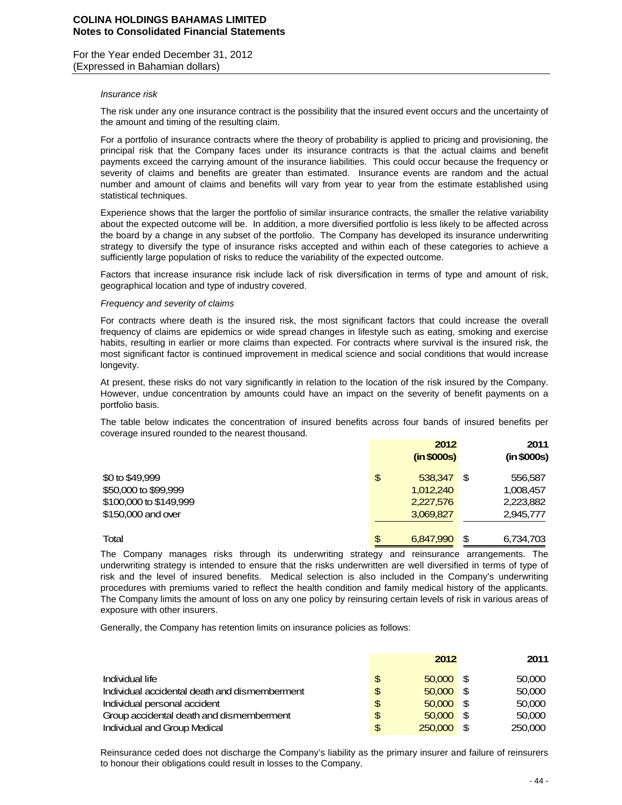#### *Insurance risk*

The risk under any one insurance contract is the possibility that the insured event occurs and the uncertainty of the amount and timing of the resulting claim.

For a portfolio of insurance contracts where the theory of probability is applied to pricing and provisioning, the principal risk that the Company faces under its insurance contracts is that the actual claims and benefit payments exceed the carrying amount of the insurance liabilities. This could occur because the frequency or severity of claims and benefits are greater than estimated. Insurance events are random and the actual number and amount of claims and benefits will vary from year to year from the estimate established using statistical techniques.

Experience shows that the larger the portfolio of similar insurance contracts, the smaller the relative variability about the expected outcome will be. In addition, a more diversified portfolio is less likely to be affected across the board by a change in any subset of the portfolio. The Company has developed its insurance underwriting strategy to diversify the type of insurance risks accepted and within each of these categories to achieve a sufficiently large population of risks to reduce the variability of the expected outcome.

Factors that increase insurance risk include lack of risk diversification in terms of type and amount of risk, geographical location and type of industry covered.

#### *Frequency and severity of claims*

For contracts where death is the insured risk, the most significant factors that could increase the overall frequency of claims are epidemics or wide spread changes in lifestyle such as eating, smoking and exercise habits, resulting in earlier or more claims than expected. For contracts where survival is the insured risk, the most significant factor is continued improvement in medical science and social conditions that would increase longevity.

At present, these risks do not vary significantly in relation to the location of the risk insured by the Company. However, undue concentration by amounts could have an impact on the severity of benefit payments on a portfolio basis.

The table below indicates the concentration of insured benefits across four bands of insured benefits per coverage insured rounded to the nearest thousand.

|                        | 2012<br>(in \$000s) | 2011<br>(in \$000s) |
|------------------------|---------------------|---------------------|
| \$0 to \$49,999        | \$<br>538,347       | \$<br>556,587       |
| \$50,000 to \$99,999   | 1,012,240           | 1,008,457           |
| \$100,000 to \$149,999 | 2,227,576           | 2,223,882           |
| \$150,000 and over     | 3,069,827           | 2,945,777           |
|                        |                     |                     |
| Total                  | \$<br>6,847,990     | \$<br>6,734,703     |

The Company manages risks through its underwriting strategy and reinsurance arrangements. The underwriting strategy is intended to ensure that the risks underwritten are well diversified in terms of type of risk and the level of insured benefits. Medical selection is also included in the Company's underwriting procedures with premiums varied to reflect the health condition and family medical history of the applicants. The Company limits the amount of loss on any one policy by reinsuring certain levels of risk in various areas of exposure with other insurers.

Generally, the Company has retention limits on insurance policies as follows:

|                                               | 2012              | 2011    |
|-----------------------------------------------|-------------------|---------|
| Individual life                               | \$<br>$50,000$ \$ | 50,000  |
| Individual accidental death and dismemberment | \$<br>$50,000$ \$ | 50,000  |
| Individual personal accident                  | \$<br>$50,000$ \$ | 50,000  |
| Group accidental death and dismemberment      | \$<br>50,000      | 50,000  |
| Individual and Group Medical                  | \$<br>250,000     | 250,000 |

Reinsurance ceded does not discharge the Company's liability as the primary insurer and failure of reinsurers to honour their obligations could result in losses to the Company.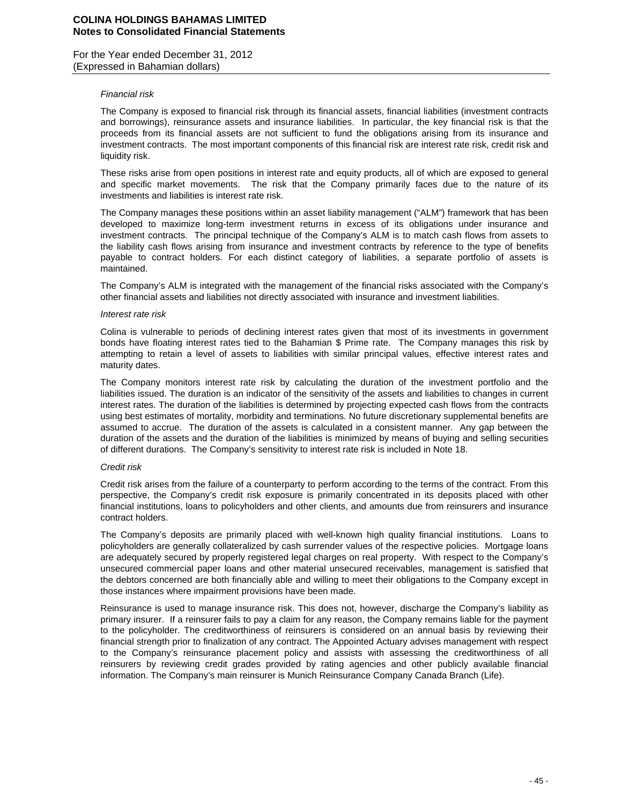#### *Financial risk*

The Company is exposed to financial risk through its financial assets, financial liabilities (investment contracts and borrowings), reinsurance assets and insurance liabilities. In particular, the key financial risk is that the proceeds from its financial assets are not sufficient to fund the obligations arising from its insurance and investment contracts. The most important components of this financial risk are interest rate risk, credit risk and liquidity risk.

These risks arise from open positions in interest rate and equity products, all of which are exposed to general and specific market movements. The risk that the Company primarily faces due to the nature of its investments and liabilities is interest rate risk.

The Company manages these positions within an asset liability management ("ALM") framework that has been developed to maximize long-term investment returns in excess of its obligations under insurance and investment contracts. The principal technique of the Company's ALM is to match cash flows from assets to the liability cash flows arising from insurance and investment contracts by reference to the type of benefits payable to contract holders. For each distinct category of liabilities, a separate portfolio of assets is maintained.

The Company's ALM is integrated with the management of the financial risks associated with the Company's other financial assets and liabilities not directly associated with insurance and investment liabilities.

#### *Interest rate risk*

Colina is vulnerable to periods of declining interest rates given that most of its investments in government bonds have floating interest rates tied to the Bahamian \$ Prime rate. The Company manages this risk by attempting to retain a level of assets to liabilities with similar principal values, effective interest rates and maturity dates.

The Company monitors interest rate risk by calculating the duration of the investment portfolio and the liabilities issued. The duration is an indicator of the sensitivity of the assets and liabilities to changes in current interest rates. The duration of the liabilities is determined by projecting expected cash flows from the contracts using best estimates of mortality, morbidity and terminations. No future discretionary supplemental benefits are assumed to accrue. The duration of the assets is calculated in a consistent manner. Any gap between the duration of the assets and the duration of the liabilities is minimized by means of buying and selling securities of different durations. The Company's sensitivity to interest rate risk is included in Note 18.

### *Credit risk*

Credit risk arises from the failure of a counterparty to perform according to the terms of the contract. From this perspective, the Company's credit risk exposure is primarily concentrated in its deposits placed with other financial institutions, loans to policyholders and other clients, and amounts due from reinsurers and insurance contract holders.

The Company's deposits are primarily placed with well-known high quality financial institutions. Loans to policyholders are generally collateralized by cash surrender values of the respective policies. Mortgage loans are adequately secured by properly registered legal charges on real property. With respect to the Company's unsecured commercial paper loans and other material unsecured receivables, management is satisfied that the debtors concerned are both financially able and willing to meet their obligations to the Company except in those instances where impairment provisions have been made.

Reinsurance is used to manage insurance risk. This does not, however, discharge the Company's liability as primary insurer. If a reinsurer fails to pay a claim for any reason, the Company remains liable for the payment to the policyholder. The creditworthiness of reinsurers is considered on an annual basis by reviewing their financial strength prior to finalization of any contract. The Appointed Actuary advises management with respect to the Company's reinsurance placement policy and assists with assessing the creditworthiness of all reinsurers by reviewing credit grades provided by rating agencies and other publicly available financial information. The Company's main reinsurer is Munich Reinsurance Company Canada Branch (Life).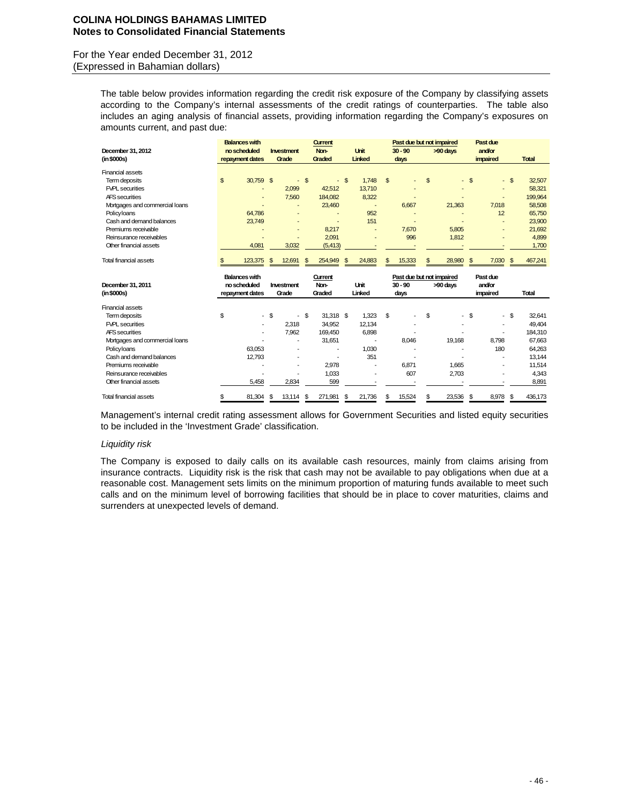For the Year ended December 31, 2012 (Expressed in Bahamian dollars)

> The table below provides information regarding the credit risk exposure of the Company by classifying assets according to the Company's internal assessments of the credit ratings of counterparties. The table also includes an aging analysis of financial assets, providing information regarding the Company's exposures on amounts current, and past due:

|                                | <b>Balances with</b> |                |                |                | <b>Current</b>           |        |             |                | Past due but not impaired |                |          |                | Past due |        |              |
|--------------------------------|----------------------|----------------|----------------|----------------|--------------------------|--------|-------------|----------------|---------------------------|----------------|----------|----------------|----------|--------|--------------|
| December 31, 2012              | no scheduled         |                | Investment     |                | Non-                     |        | <b>Unit</b> |                | $30 - 90$                 |                | >90 days |                | and/or   |        |              |
| (in \$000s)                    | repayment dates      |                | Grade          |                | Graded                   |        | Linked      |                | days                      |                |          |                | impaired |        | <b>Total</b> |
| Financial assets               |                      |                |                |                |                          |        |             |                |                           |                |          |                |          |        |              |
| Term deposits                  | \$<br>30,759 \$      |                | $\blacksquare$ | $\mathfrak{S}$ |                          | $-$ \$ | 1,748       | $\mathfrak{S}$ |                           | $\mathfrak{s}$ |          | $\mathfrak{S}$ |          | $-$ \$ | 32,507       |
| <b>FVPL</b> securities         |                      |                | 2,099          |                | 42,512                   |        | 13,710      |                |                           |                |          |                |          |        | 58,321       |
| AFS securities                 |                      |                | 7.560          |                | 184,082                  |        | 8,322       |                |                           |                |          |                |          |        | 199,964      |
| Mortgages and commercial loans |                      |                |                |                | 23,460                   |        |             |                | 6,667                     |                | 21,363   |                | 7,018    |        | 58,508       |
| <b>Policy loans</b>            | 64,786               |                |                |                |                          |        | 952         |                |                           |                |          |                | 12       |        | 65,750       |
| Cash and demand balances       | 23,749               |                |                |                | $\overline{\phantom{a}}$ |        | 151         |                |                           |                |          |                |          |        | 23,900       |
| Premiums receivable            |                      |                |                |                | 8,217                    |        |             |                | 7.670                     |                | 5.805    |                |          |        | 21,692       |
| Reinsurance receivables        |                      |                |                |                | 2,091                    |        |             |                | 996                       |                | 1,812    |                |          |        | 4,899        |
| Other financial assets         | 4,081                |                | 3,032          |                | (5, 413)                 |        |             |                |                           |                |          |                |          |        | 1,700        |
|                                |                      |                |                |                |                          |        |             |                |                           |                |          |                |          |        |              |
| <b>Total financial assets</b>  | 123,375              | $\mathfrak{s}$ | 12,691         | \$             | 254,949                  | \$     | 24,883      |                | 15,333                    | \$             | 28,980   | \$             | 7,030    | \$     | 467,241      |
|                                |                      |                |                |                |                          |        |             |                |                           |                |          |                |          |        |              |
|                                |                      |                |                |                |                          |        |             |                |                           |                |          |                |          |        |              |
|                                | <b>Balances with</b> |                |                |                | Current                  |        |             |                | Past due but not impaired |                |          |                | Past due |        |              |
| December 31, 2011              | no scheduled         |                | Investment     |                | Non-                     |        | <b>Unit</b> |                | $30 - 90$                 |                | >90 days |                | and/or   |        |              |
| (in \$000s)                    | repayment dates      |                | Grade          |                | Graded                   |        | Linked      |                | days                      |                |          |                | impaired |        | Total        |
| <b>Financial assets</b>        |                      |                |                |                |                          |        |             |                |                           |                |          |                |          |        |              |
| Term deposits                  | \$                   | \$<br>$\sim$   |                | \$             | 31,318 \$                |        | 1,323       | \$             |                           | \$             |          | \$             |          | $-$ \$ | 32,641       |
| <b>FVPL</b> securities         |                      |                | 2,318          |                | 34,952                   |        | 12,134      |                |                           |                |          |                |          |        | 49,404       |
| AFS securities                 |                      |                | 7,962          |                | 169,450                  |        | 6,898       |                |                           |                |          |                |          |        | 184,310      |
| Mortgages and commercial loans |                      |                |                |                | 31,651                   |        |             |                | 8,046                     |                | 19,168   |                | 8,798    |        | 67,663       |
| Policy loans                   | 63.053               |                |                |                |                          |        | 1,030       |                |                           |                |          |                | 180      |        | 64,263       |
| Cash and demand balances       | 12,793               |                |                |                |                          |        | 351         |                |                           |                |          |                |          |        | 13,144       |
| Premiums receivable            |                      |                |                |                | 2,978                    |        |             |                | 6,871                     |                | 1,665    |                |          |        | 11,514       |
| Reinsurance receivables        |                      |                |                |                | 1,033                    |        |             |                | 607                       |                | 2,703    |                |          |        | 4,343        |
| Other financial assets         | 5,458                |                | 2.834          |                | 599                      |        |             |                |                           |                |          |                |          |        | 8,891        |

Management's internal credit rating assessment allows for Government Securities and listed equity securities to be included in the 'Investment Grade' classification.

## *Liquidity risk*

The Company is exposed to daily calls on its available cash resources, mainly from claims arising from insurance contracts. Liquidity risk is the risk that cash may not be available to pay obligations when due at a reasonable cost. Management sets limits on the minimum proportion of maturing funds available to meet such calls and on the minimum level of borrowing facilities that should be in place to cover maturities, claims and surrenders at unexpected levels of demand.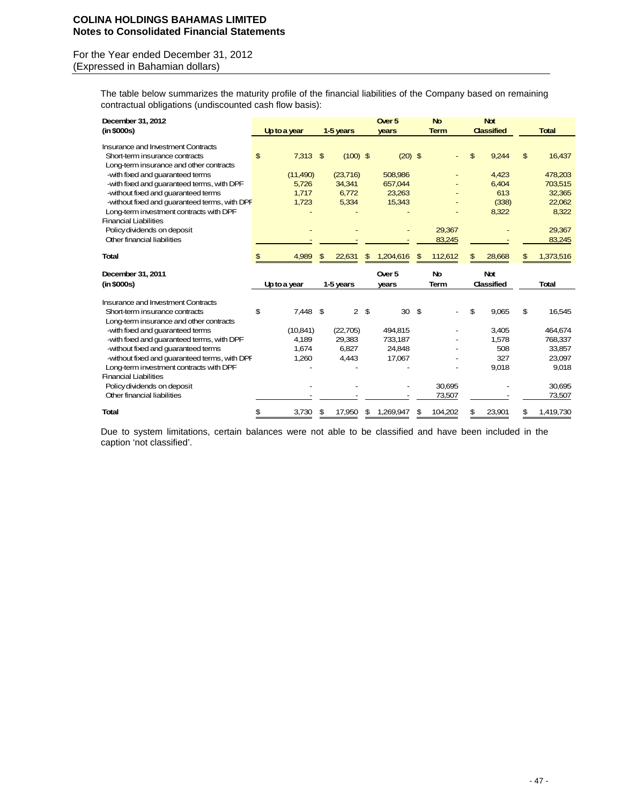For the Year ended December 31, 2012 (Expressed in Bahamian dollars)

> The table below summarizes the maturity profile of the financial liabilities of the Company based on remaining contractual obligations (undiscounted cash flow basis):

| December 31, 2012                                                           |              |                |                | Over 5          | <b>No</b>     | <b>Not</b>        |                 |
|-----------------------------------------------------------------------------|--------------|----------------|----------------|-----------------|---------------|-------------------|-----------------|
| (in \$000s)                                                                 | Up to a year |                | 1-5 years      | years           | <b>Term</b>   | <b>Classified</b> | <b>Total</b>    |
| <b>Insurance and Investment Contracts</b>                                   |              |                |                |                 |               |                   |                 |
| Short-term insurance contracts                                              | \$<br>7,313  | $\mathfrak{F}$ | $(100)$ \$     | $(20)$ \$       |               | \$<br>9,244       | \$<br>16,437    |
| Long-term insurance and other contracts                                     |              |                |                |                 |               |                   |                 |
| -with fixed and quaranteed terms                                            | (11,490)     |                | (23,716)       | 508,986         |               | 4,423             | 478,203         |
| -with fixed and quaranteed terms, with DPF                                  | 5,726        |                | 34,341         | 657,044         |               | 6,404             | 703,515         |
| -without fixed and quaranteed terms                                         | 1,717        |                | 6,772          | 23,263          |               | 613               | 32,365          |
| -without fixed and guaranteed terms, with DPF                               | 1,723        |                | 5,334          | 15,343          |               | (338)             | 22,062          |
| Long-term investment contracts with DPF                                     |              |                |                |                 |               | 8,322             | 8,322           |
| <b>Financial Liabilities</b>                                                |              |                |                |                 |               |                   |                 |
| Policy dividends on deposit                                                 |              |                |                |                 | 29,367        |                   | 29,367          |
| Other financial liabilities                                                 |              |                |                |                 | 83,245        |                   | 83,245          |
| <b>Total</b>                                                                | \$<br>4,989  | \$             | 22,631         | \$<br>1,204,616 | \$<br>112,612 | \$<br>28,668      | \$<br>1,373,516 |
|                                                                             |              |                |                |                 |               |                   |                 |
| December 31, 2011                                                           |              |                |                | Over 5          | No            | Not               |                 |
| (in \$000s)                                                                 | Up to a year |                | 1-5 years      | years           | <b>Term</b>   | Classified        | <b>Total</b>    |
|                                                                             |              |                |                |                 |               |                   |                 |
| <b>Insurance and Investment Contracts</b><br>Short-term insurance contracts | \$           |                |                |                 | \$            | \$                | \$              |
| Long-term insurance and other contracts                                     | 7,448 \$     |                | 2 <sub>5</sub> | 30              |               | 9,065             | 16,545          |
| -with fixed and guaranteed terms                                            | (10, 841)    |                | (22, 705)      | 494.815         |               | 3,405             | 464,674         |
| -with fixed and quaranteed terms, with DPF                                  | 4,189        |                | 29,383         | 733,187         |               | 1,578             | 768,337         |
| -without fixed and quaranteed terms                                         | 1,674        |                | 6,827          | 24,848          |               | 508               | 33,857          |
| -without fixed and guaranteed terms, with DPF                               | 1,260        |                | 4,443          | 17,067          |               | 327               | 23,097          |
| Long-term investment contracts with DPF                                     |              |                |                |                 |               | 9,018             | 9,018           |
| <b>Financial Liabilities</b>                                                |              |                |                |                 |               |                   |                 |
| Policy dividends on deposit                                                 |              |                |                |                 | 30,695        |                   | 30,695          |
| Other financial liabilities                                                 |              |                |                |                 | 73,507        |                   | 73,507          |

Due to system limitations, certain balances were not able to be classified and have been included in the caption 'not classified'.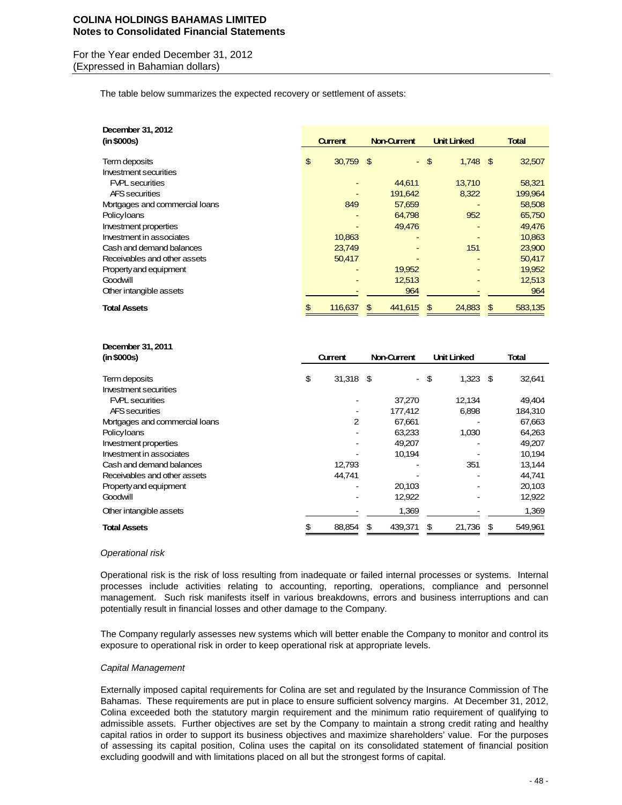For the Year ended December 31, 2012 (Expressed in Bahamian dollars)

The table below summarizes the expected recovery or settlement of assets:

| December 31, 2012              |                 |                     |                              |               |
|--------------------------------|-----------------|---------------------|------------------------------|---------------|
| (in \$000s)                    | Current         | <b>Non-Current</b>  | <b>Unit Linked</b>           | <b>Total</b>  |
| Term deposits                  | \$<br>30,759 \$ | $\omega_{\rm{eff}}$ | $\mathfrak{F}$<br>$1,748$ \$ | 32,507        |
| Investment securities          |                 |                     |                              |               |
| <b>FVPL</b> securities         |                 | 44.611              | 13,710                       | 58,321        |
| AFS securities                 |                 | 191,642             | 8,322                        | 199,964       |
| Mortgages and commercial loans | 849             | 57,659              |                              | 58,508        |
| Policy loans                   |                 | 64,798              | 952                          | 65,750        |
| Investment properties          |                 | 49,476              |                              | 49,476        |
| Investment in associates       | 10,863          |                     |                              | 10,863        |
| Cash and demand balances       | 23,749          |                     | 151                          | 23,900        |
| Receivables and other assets   | 50,417          |                     |                              | 50,417        |
| Property and equipment         |                 | 19,952              |                              | 19,952        |
| Goodwill                       |                 | 12,513              |                              | 12,513        |
| Other intangible assets        |                 | 964                 |                              | 964           |
| <b>Total Assets</b>            | \$<br>116.637   | \$<br>441,615       | 24.883<br>\$                 | 583,135<br>\$ |

| (in \$000s)                    |     | Current   | <b>Non-Current</b> | <b>Unit Linked</b> |            |    | Total   |
|--------------------------------|-----|-----------|--------------------|--------------------|------------|----|---------|
| Term deposits                  | \$  | 31,318 \$ |                    | $-$ \$             | $1,323$ \$ |    | 32,641  |
| Investment securities          |     |           |                    |                    |            |    |         |
| <b>FVPL</b> securities         |     |           | 37,270             |                    | 12,134     |    | 49,404  |
| AFS securities                 |     |           | 177,412            |                    | 6,898      |    | 184,310 |
| Mortgages and commercial loans |     | 2         | 67,661             |                    |            |    | 67,663  |
| Policy loans                   |     |           | 63,233             |                    | 1,030      |    | 64,263  |
| Investment properties          |     |           | 49,207             |                    |            |    | 49,207  |
| Investment in associates       |     |           | 10,194             |                    |            |    | 10,194  |
| Cash and demand balances       |     | 12,793    |                    |                    | 351        |    | 13,144  |
| Receivables and other assets   |     | 44,741    |                    |                    |            |    | 44,741  |
| Property and equipment         |     |           | 20,103             |                    |            |    | 20,103  |
| Goodwill                       |     |           | 12,922             |                    |            |    | 12,922  |
| Other intangible assets        |     |           | 1,369              |                    |            |    | 1,369   |
| <b>Total Assets</b>            | \$. | 88,854    | \$<br>439,371      |                    | 21,736     | \$ | 549,961 |
|                                |     |           |                    |                    |            |    |         |

#### *Operational risk*

**December 31, 2011**

Operational risk is the risk of loss resulting from inadequate or failed internal processes or systems. Internal processes include activities relating to accounting, reporting, operations, compliance and personnel management. Such risk manifests itself in various breakdowns, errors and business interruptions and can potentially result in financial losses and other damage to the Company.

The Company regularly assesses new systems which will better enable the Company to monitor and control its exposure to operational risk in order to keep operational risk at appropriate levels.

### *Capital Management*

Externally imposed capital requirements for Colina are set and regulated by the Insurance Commission of The Bahamas. These requirements are put in place to ensure sufficient solvency margins. At December 31, 2012, Colina exceeded both the statutory margin requirement and the minimum ratio requirement of qualifying to admissible assets. Further objectives are set by the Company to maintain a strong credit rating and healthy capital ratios in order to support its business objectives and maximize shareholders' value. For the purposes of assessing its capital position, Colina uses the capital on its consolidated statement of financial position excluding goodwill and with limitations placed on all but the strongest forms of capital.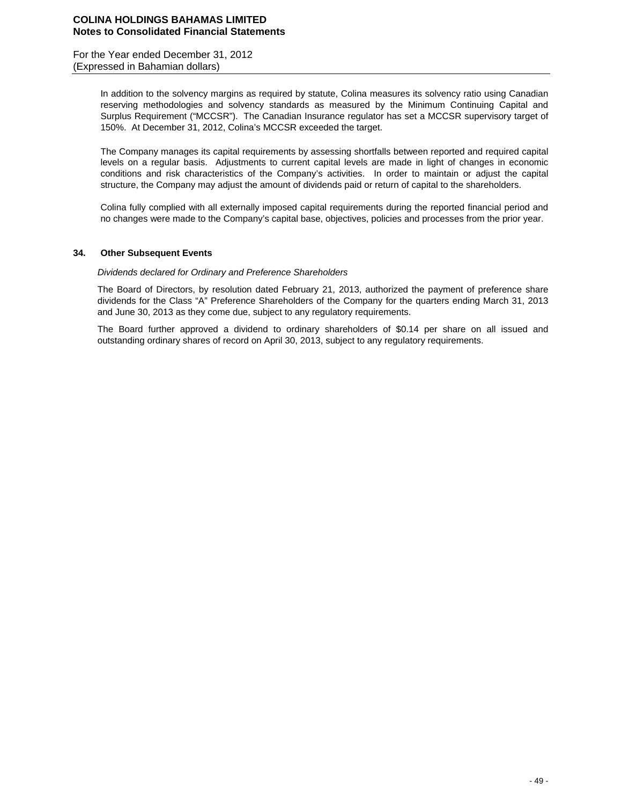> In addition to the solvency margins as required by statute, Colina measures its solvency ratio using Canadian reserving methodologies and solvency standards as measured by the Minimum Continuing Capital and Surplus Requirement ("MCCSR"). The Canadian Insurance regulator has set a MCCSR supervisory target of 150%. At December 31, 2012, Colina's MCCSR exceeded the target.

> The Company manages its capital requirements by assessing shortfalls between reported and required capital levels on a regular basis. Adjustments to current capital levels are made in light of changes in economic conditions and risk characteristics of the Company's activities. In order to maintain or adjust the capital structure, the Company may adjust the amount of dividends paid or return of capital to the shareholders.

> Colina fully complied with all externally imposed capital requirements during the reported financial period and no changes were made to the Company's capital base, objectives, policies and processes from the prior year.

### **34. Other Subsequent Events**

#### *Dividends declared for Ordinary and Preference Shareholders*

The Board of Directors, by resolution dated February 21, 2013, authorized the payment of preference share dividends for the Class "A" Preference Shareholders of the Company for the quarters ending March 31, 2013 and June 30, 2013 as they come due, subject to any regulatory requirements.

The Board further approved a dividend to ordinary shareholders of \$0.14 per share on all issued and outstanding ordinary shares of record on April 30, 2013, subject to any regulatory requirements.